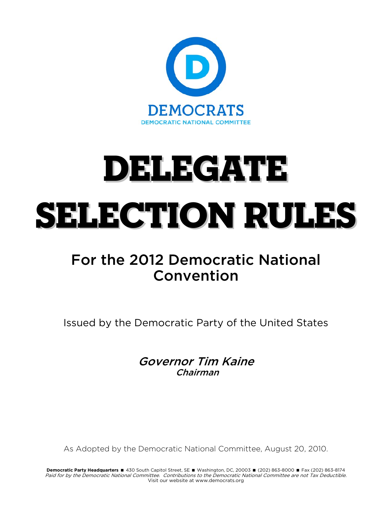

# DELEGATE SELECTION RULES

# For the 2012 Democratic National Convention

Issued by the Democratic Party of the United States

Governor Tim Kaine Chairman

As Adopted by the Democratic National Committee, August 20, 2010.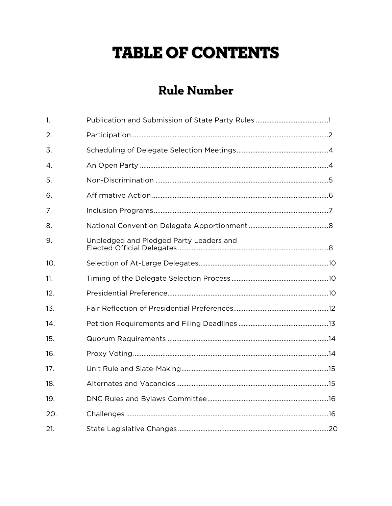# **TABLE OF CONTENTS**

# **Rule Number**

| $\mathbf{1}$ |                                         |  |
|--------------|-----------------------------------------|--|
| 2.           |                                         |  |
| 3.           |                                         |  |
| 4.           |                                         |  |
| 5.           |                                         |  |
| 6.           |                                         |  |
| 7.           |                                         |  |
| 8.           |                                         |  |
| 9.           | Unpledged and Pledged Party Leaders and |  |
| 10.          |                                         |  |
| 11.          |                                         |  |
| 12.          |                                         |  |
| 13.          |                                         |  |
| 14.          |                                         |  |
| 15.          |                                         |  |
| 16.          |                                         |  |
| 17.          |                                         |  |
| 18.          |                                         |  |
| 19.          |                                         |  |
| 20.          |                                         |  |
| 21.          |                                         |  |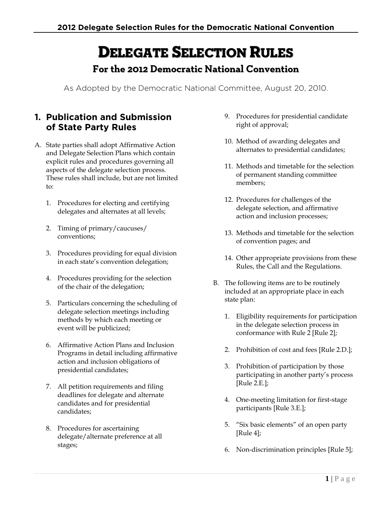# DELEGATE SELECTION RULES

# **For the 2012 Democratic National Convention**

As Adopted by the Democratic National Committee, August 20, 2010.

## **1. Publication and Submission of State Party Rules**

- A. State parties shall adopt Affirmative Action and Delegate Selection Plans which contain explicit rules and procedures governing all aspects of the delegate selection process. These rules shall include, but are not limited to:
	- 1. Procedures for electing and certifying delegates and alternates at all levels;
	- 2. Timing of primary/caucuses/ conventions;
	- 3. Procedures providing for equal division in each state's convention delegation;
	- 4. Procedures providing for the selection of the chair of the delegation;
	- 5. Particulars concerning the scheduling of delegate selection meetings including methods by which each meeting or event will be publicized;
	- 6. Affirmative Action Plans and Inclusion Programs in detail including affirmative action and inclusion obligations of presidential candidates;
	- 7. All petition requirements and filing deadlines for delegate and alternate candidates and for presidential candidates;
	- 8. Procedures for ascertaining delegate/alternate preference at all stages;
- 9. Procedures for presidential candidate right of approval;
- 10. Method of awarding delegates and alternates to presidential candidates;
- 11. Methods and timetable for the selection of permanent standing committee members;
- 12. Procedures for challenges of the delegate selection, and affirmative action and inclusion processes;
- 13. Methods and timetable for the selection of convention pages; and
- 14. Other appropriate provisions from these Rules, the Call and the Regulations.
- B. The following items are to be routinely included at an appropriate place in each state plan:
	- 1. Eligibility requirements for participation in the delegate selection process in conformance with Rule 2 [Rule 2];
	- 2. Prohibition of cost and fees [Rule 2.D.];
	- 3. Prohibition of participation by those participating in another party's process [Rule 2.E.];
	- 4. One-meeting limitation for first-stage participants [Rule 3.E.];
	- 5. "Six basic elements" of an open party [Rule 4];
	- 6. Non-discrimination principles [Rule 5];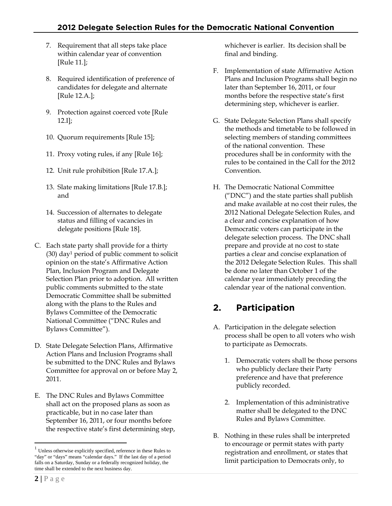- 7. Requirement that all steps take place within calendar year of convention [Rule 11.];
- 8. Required identification of preference of candidates for delegate and alternate [Rule 12.A.];
- 9. Protection against coerced vote [Rule 12.I];
- 10. Quorum requirements [Rule 15];
- 11. Proxy voting rules, if any [Rule 16];
- 12. Unit rule prohibition [Rule 17.A.];
- 13. Slate making limitations [Rule 17.B.]; and
- 14. Succession of alternates to delegate status and filling of vacancies in delegate positions [Rule 18].
- C. Each state party shall provide for a thirty (30) day1 period of public comment to solicit opinion on the state's Affirmative Action Plan, Inclusion Program and Delegate Selection Plan prior to adoption. All written public comments submitted to the state Democratic Committee shall be submitted along with the plans to the Rules and Bylaws Committee of the Democratic National Committee ("DNC Rules and Bylaws Committee").
- D. State Delegate Selection Plans, Affirmative Action Plans and Inclusion Programs shall be submitted to the DNC Rules and Bylaws Committee for approval on or before May 2, 2011.
- E. The DNC Rules and Bylaws Committee shall act on the proposed plans as soon as practicable, but in no case later than September 16, 2011, or four months before the respective state's first determining step,

whichever is earlier. Its decision shall be final and binding.

- F. Implementation of state Affirmative Action Plans and Inclusion Programs shall begin no later than September 16, 2011, or four months before the respective state's first determining step, whichever is earlier.
- G. State Delegate Selection Plans shall specify the methods and timetable to be followed in selecting members of standing committees of the national convention. These procedures shall be in conformity with the rules to be contained in the Call for the 2012 Convention.
- H. The Democratic National Committee ("DNC") and the state parties shall publish and make available at no cost their rules, the 2012 National Delegate Selection Rules, and a clear and concise explanation of how Democratic voters can participate in the delegate selection process. The DNC shall prepare and provide at no cost to state parties a clear and concise explanation of the 2012 Delegate Selection Rules. This shall be done no later than October 1 of the calendar year immediately preceding the calendar year of the national convention.

# **2. Participation**

- A. Participation in the delegate selection process shall be open to all voters who wish to participate as Democrats.
	- 1. Democratic voters shall be those persons who publicly declare their Party preference and have that preference publicly recorded.
	- 2. Implementation of this administrative matter shall be delegated to the DNC Rules and Bylaws Committee.
- B. Nothing in these rules shall be interpreted to encourage or permit states with party registration and enrollment, or states that limit participation to Democrats only, to

 $\overline{a}$ 

<sup>1</sup> Unless otherwise explicitly specified, reference in these Rules to "day" or "days" means "calendar days." If the last day of a period falls on a Saturday, Sunday or a federally recognized holiday, the time shall be extended to the next business day.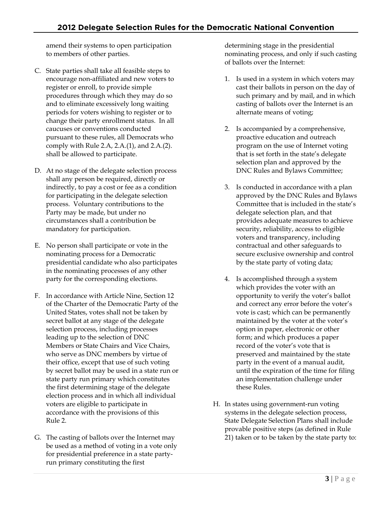amend their systems to open participation to members of other parties.

- C. State parties shall take all feasible steps to encourage non-affiliated and new voters to register or enroll, to provide simple procedures through which they may do so and to eliminate excessively long waiting periods for voters wishing to register or to change their party enrollment status. In all caucuses or conventions conducted pursuant to these rules, all Democrats who comply with Rule 2.A, 2.A.(1), and 2.A.(2). shall be allowed to participate.
- D. At no stage of the delegate selection process shall any person be required, directly or indirectly, to pay a cost or fee as a condition for participating in the delegate selection process. Voluntary contributions to the Party may be made, but under no circumstances shall a contribution be mandatory for participation.
- E. No person shall participate or vote in the nominating process for a Democratic presidential candidate who also participates in the nominating processes of any other party for the corresponding elections.
- F. In accordance with Article Nine, Section 12 of the Charter of the Democratic Party of the United States, votes shall not be taken by secret ballot at any stage of the delegate selection process, including processes leading up to the selection of DNC Members or State Chairs and Vice Chairs, who serve as DNC members by virtue of their office, except that use of such voting by secret ballot may be used in a state run or state party run primary which constitutes the first determining stage of the delegate election process and in which all individual voters are eligible to participate in accordance with the provisions of this Rule 2.
- G. The casting of ballots over the Internet may be used as a method of voting in a vote only for presidential preference in a state partyrun primary constituting the first

determining stage in the presidential nominating process, and only if such casting of ballots over the Internet:

- 1. Is used in a system in which voters may cast their ballots in person on the day of such primary and by mail, and in which casting of ballots over the Internet is an alternate means of voting;
- 2. Is accompanied by a comprehensive, proactive education and outreach program on the use of Internet voting that is set forth in the state's delegate selection plan and approved by the DNC Rules and Bylaws Committee;
- 3. Is conducted in accordance with a plan approved by the DNC Rules and Bylaws Committee that is included in the state's delegate selection plan, and that provides adequate measures to achieve security, reliability, access to eligible voters and transparency, including contractual and other safeguards to secure exclusive ownership and control by the state party of voting data;
- 4. Is accomplished through a system which provides the voter with an opportunity to verify the voter's ballot and correct any error before the voter's vote is cast; which can be permanently maintained by the voter at the voter's option in paper, electronic or other form; and which produces a paper record of the voter's vote that is preserved and maintained by the state party in the event of a manual audit, until the expiration of the time for filing an implementation challenge under these Rules.
- H. In states using government-run voting systems in the delegate selection process, State Delegate Selection Plans shall include provable positive steps (as defined in Rule 21) taken or to be taken by the state party to: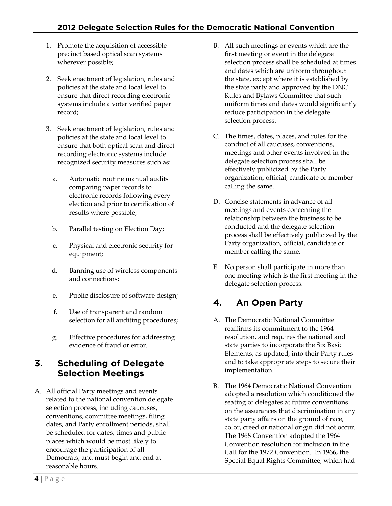- 1. Promote the acquisition of accessible precinct based optical scan systems wherever possible;
- 2. Seek enactment of legislation, rules and policies at the state and local level to ensure that direct recording electronic systems include a voter verified paper record;
- 3. Seek enactment of legislation, rules and policies at the state and local level to ensure that both optical scan and direct recording electronic systems include recognized security measures such as:
	- a. Automatic routine manual audits comparing paper records to electronic records following every election and prior to certification of results where possible;
	- b. Parallel testing on Election Day;
	- c. Physical and electronic security for equipment;
	- d. Banning use of wireless components and connections;
	- e. Public disclosure of software design;
	- f. Use of transparent and random selection for all auditing procedures;
	- g. Effective procedures for addressing evidence of fraud or error.

## **3. Scheduling of Delegate Selection Meetings**

A. All official Party meetings and events related to the national convention delegate selection process, including caucuses, conventions, committee meetings, filing dates, and Party enrollment periods, shall be scheduled for dates, times and public places which would be most likely to encourage the participation of all Democrats, and must begin and end at reasonable hours.

- B. All such meetings or events which are the first meeting or event in the delegate selection process shall be scheduled at times and dates which are uniform throughout the state, except where it is established by the state party and approved by the DNC Rules and Bylaws Committee that such uniform times and dates would significantly reduce participation in the delegate selection process.
- C. The times, dates, places, and rules for the conduct of all caucuses, conventions, meetings and other events involved in the delegate selection process shall be effectively publicized by the Party organization, official, candidate or member calling the same.
- D. Concise statements in advance of all meetings and events concerning the relationship between the business to be conducted and the delegate selection process shall be effectively publicized by the Party organization, official, candidate or member calling the same.
- E. No person shall participate in more than one meeting which is the first meeting in the delegate selection process.

# **4. An Open Party**

- A. The Democratic National Committee reaffirms its commitment to the 1964 resolution, and requires the national and state parties to incorporate the Six Basic Elements, as updated, into their Party rules and to take appropriate steps to secure their implementation.
- B. The 1964 Democratic National Convention adopted a resolution which conditioned the seating of delegates at future conventions on the assurances that discrimination in any state party affairs on the ground of race, color, creed or national origin did not occur. The 1968 Convention adopted the 1964 Convention resolution for inclusion in the Call for the 1972 Convention. In 1966, the Special Equal Rights Committee, which had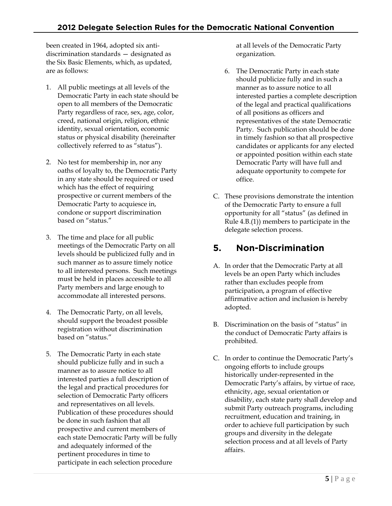been created in 1964, adopted six antidiscrimination standards — designated as the Six Basic Elements, which, as updated, are as follows:

- 1. All public meetings at all levels of the Democratic Party in each state should be open to all members of the Democratic Party regardless of race, sex, age, color, creed, national origin, religion, ethnic identity, sexual orientation, economic status or physical disability (hereinafter collectively referred to as "status").
- 2. No test for membership in, nor any oaths of loyalty to, the Democratic Party in any state should be required or used which has the effect of requiring prospective or current members of the Democratic Party to acquiesce in, condone or support discrimination based on "status."
- 3. The time and place for all public meetings of the Democratic Party on all levels should be publicized fully and in such manner as to assure timely notice to all interested persons. Such meetings must be held in places accessible to all Party members and large enough to accommodate all interested persons.
- 4. The Democratic Party, on all levels, should support the broadest possible registration without discrimination based on "status."
- 5. The Democratic Party in each state should publicize fully and in such a manner as to assure notice to all interested parties a full description of the legal and practical procedures for selection of Democratic Party officers and representatives on all levels. Publication of these procedures should be done in such fashion that all prospective and current members of each state Democratic Party will be fully and adequately informed of the pertinent procedures in time to participate in each selection procedure

at all levels of the Democratic Party organization.

- 6. The Democratic Party in each state should publicize fully and in such a manner as to assure notice to all interested parties a complete description of the legal and practical qualifications of all positions as officers and representatives of the state Democratic Party. Such publication should be done in timely fashion so that all prospective candidates or applicants for any elected or appointed position within each state Democratic Party will have full and adequate opportunity to compete for office.
- C. These provisions demonstrate the intention of the Democratic Party to ensure a full opportunity for all "status" (as defined in Rule 4.B.(1)) members to participate in the delegate selection process.

# **5. Non-Discrimination**

- A. In order that the Democratic Party at all levels be an open Party which includes rather than excludes people from participation, a program of effective affirmative action and inclusion is hereby adopted.
- B. Discrimination on the basis of "status" in the conduct of Democratic Party affairs is prohibited.
- C. In order to continue the Democratic Party's ongoing efforts to include groups historically under-represented in the Democratic Party's affairs, by virtue of race, ethnicity, age, sexual orientation or disability, each state party shall develop and submit Party outreach programs, including recruitment, education and training, in order to achieve full participation by such groups and diversity in the delegate selection process and at all levels of Party affairs.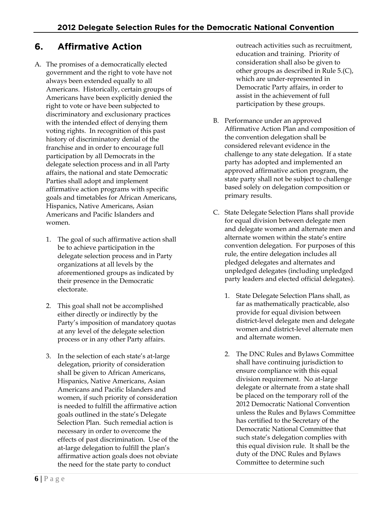# **6. Affirmative Action**

- A. The promises of a democratically elected government and the right to vote have not always been extended equally to all Americans. Historically, certain groups of Americans have been explicitly denied the right to vote or have been subjected to discriminatory and exclusionary practices with the intended effect of denying them voting rights. In recognition of this past history of discriminatory denial of the franchise and in order to encourage full participation by all Democrats in the delegate selection process and in all Party affairs, the national and state Democratic Parties shall adopt and implement affirmative action programs with specific goals and timetables for African Americans, Hispanics, Native Americans, Asian Americans and Pacific Islanders and women.
	- 1. The goal of such affirmative action shall be to achieve participation in the delegate selection process and in Party organizations at all levels by the aforementioned groups as indicated by their presence in the Democratic electorate.
	- 2. This goal shall not be accomplished either directly or indirectly by the Party's imposition of mandatory quotas at any level of the delegate selection process or in any other Party affairs.
	- 3. In the selection of each state's at-large delegation, priority of consideration shall be given to African Americans, Hispanics, Native Americans, Asian Americans and Pacific Islanders and women, if such priority of consideration is needed to fulfill the affirmative action goals outlined in the state's Delegate Selection Plan. Such remedial action is necessary in order to overcome the effects of past discrimination. Use of the at-large delegation to fulfill the plan's affirmative action goals does not obviate the need for the state party to conduct

outreach activities such as recruitment, education and training. Priority of consideration shall also be given to other groups as described in Rule 5.(C), which are under-represented in Democratic Party affairs, in order to assist in the achievement of full participation by these groups.

- B. Performance under an approved Affirmative Action Plan and composition of the convention delegation shall be considered relevant evidence in the challenge to any state delegation. If a state party has adopted and implemented an approved affirmative action program, the state party shall not be subject to challenge based solely on delegation composition or primary results.
- C. State Delegate Selection Plans shall provide for equal division between delegate men and delegate women and alternate men and alternate women within the state's entire convention delegation. For purposes of this rule, the entire delegation includes all pledged delegates and alternates and unpledged delegates (including unpledged party leaders and elected official delegates).
	- 1. State Delegate Selection Plans shall, as far as mathematically practicable, also provide for equal division between district-level delegate men and delegate women and district-level alternate men and alternate women.
	- 2. The DNC Rules and Bylaws Committee shall have continuing jurisdiction to ensure compliance with this equal division requirement. No at-large delegate or alternate from a state shall be placed on the temporary roll of the 2012 Democratic National Convention unless the Rules and Bylaws Committee has certified to the Secretary of the Democratic National Committee that such state's delegation complies with this equal division rule. It shall be the duty of the DNC Rules and Bylaws Committee to determine such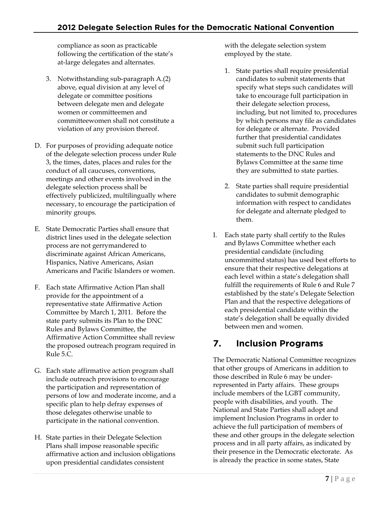compliance as soon as practicable following the certification of the state's at-large delegates and alternates.

- 3. Notwithstanding sub-paragraph A.(2) above, equal division at any level of delegate or committee positions between delegate men and delegate women or committeemen and committeewomen shall not constitute a violation of any provision thereof.
- D. For purposes of providing adequate notice of the delegate selection process under Rule 3, the times, dates, places and rules for the conduct of all caucuses, conventions, meetings and other events involved in the delegate selection process shall be effectively publicized, multilingually where necessary, to encourage the participation of minority groups.
- E. State Democratic Parties shall ensure that district lines used in the delegate selection process are not gerrymandered to discriminate against African Americans, Hispanics, Native Americans, Asian Americans and Pacific Islanders or women.
- F. Each state Affirmative Action Plan shall provide for the appointment of a representative state Affirmative Action Committee by March 1, 2011. Before the state party submits its Plan to the DNC Rules and Bylaws Committee, the Affirmative Action Committee shall review the proposed outreach program required in Rule 5.C.
- G. Each state affirmative action program shall include outreach provisions to encourage the participation and representation of persons of low and moderate income, and a specific plan to help defray expenses of those delegates otherwise unable to participate in the national convention.
- H. State parties in their Delegate Selection Plans shall impose reasonable specific affirmative action and inclusion obligations upon presidential candidates consistent

with the delegate selection system employed by the state.

- 1. State parties shall require presidential candidates to submit statements that specify what steps such candidates will take to encourage full participation in their delegate selection process, including, but not limited to, procedures by which persons may file as candidates for delegate or alternate. Provided further that presidential candidates submit such full participation statements to the DNC Rules and Bylaws Committee at the same time they are submitted to state parties.
- 2. State parties shall require presidential candidates to submit demographic information with respect to candidates for delegate and alternate pledged to them.
- I. Each state party shall certify to the Rules and Bylaws Committee whether each presidential candidate (including uncommitted status) has used best efforts to ensure that their respective delegations at each level within a state's delegation shall fulfill the requirements of Rule 6 and Rule 7 established by the state's Delegate Selection Plan and that the respective delegations of each presidential candidate within the state's delegation shall be equally divided between men and women.

# **7. Inclusion Programs**

The Democratic National Committee recognizes that other groups of Americans in addition to those described in Rule 6 may be underrepresented in Party affairs. These groups include members of the LGBT community, people with disabilities, and youth. The National and State Parties shall adopt and implement Inclusion Programs in order to achieve the full participation of members of these and other groups in the delegate selection process and in all party affairs, as indicated by their presence in the Democratic electorate. As is already the practice in some states, State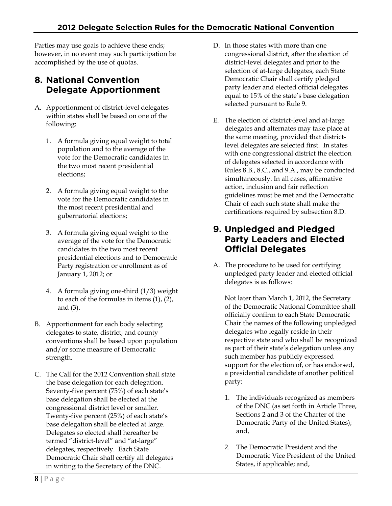Parties may use goals to achieve these ends; however, in no event may such participation be accomplished by the use of quotas.

## **8. National Convention Delegate Apportionment**

- A. Apportionment of district-level delegates within states shall be based on one of the following:
	- 1. A formula giving equal weight to total population and to the average of the vote for the Democratic candidates in the two most recent presidential elections;
	- 2. A formula giving equal weight to the vote for the Democratic candidates in the most recent presidential and gubernatorial elections;
	- 3. A formula giving equal weight to the average of the vote for the Democratic candidates in the two most recent presidential elections and to Democratic Party registration or enrollment as of January 1, 2012; or
	- 4. A formula giving one-third (1/3) weight to each of the formulas in items (1), (2), and (3).
- B. Apportionment for each body selecting delegates to state, district, and county conventions shall be based upon population and/or some measure of Democratic strength.
- C. The Call for the 2012 Convention shall state the base delegation for each delegation. Seventy-five percent (75%) of each state's base delegation shall be elected at the congressional district level or smaller. Twenty-five percent (25%) of each state's base delegation shall be elected at large. Delegates so elected shall hereafter be termed "district-level" and "at-large" delegates, respectively. Each State Democratic Chair shall certify all delegates in writing to the Secretary of the DNC.
- D. In those states with more than one congressional district, after the election of district-level delegates and prior to the selection of at-large delegates, each State Democratic Chair shall certify pledged party leader and elected official delegates equal to 15% of the state's base delegation selected pursuant to Rule 9.
- E. The election of district-level and at-large delegates and alternates may take place at the same meeting, provided that districtlevel delegates are selected first. In states with one congressional district the election of delegates selected in accordance with Rules 8.B., 8.C., and 9.A., may be conducted simultaneously. In all cases, affirmative action, inclusion and fair reflection guidelines must be met and the Democratic Chair of each such state shall make the certifications required by subsection 8.D.

#### **9. Unpledged and Pledged Party Leaders and Elected Official Delegates**

A. The procedure to be used for certifying unpledged party leader and elected official delegates is as follows:

Not later than March 1, 2012, the Secretary of the Democratic National Committee shall officially confirm to each State Democratic Chair the names of the following unpledged delegates who legally reside in their respective state and who shall be recognized as part of their state's delegation unless any such member has publicly expressed support for the election of, or has endorsed, a presidential candidate of another political party:

- 1. The individuals recognized as members of the DNC (as set forth in Article Three, Sections 2 and 3 of the Charter of the Democratic Party of the United States); and,
- 2. The Democratic President and the Democratic Vice President of the United States, if applicable; and,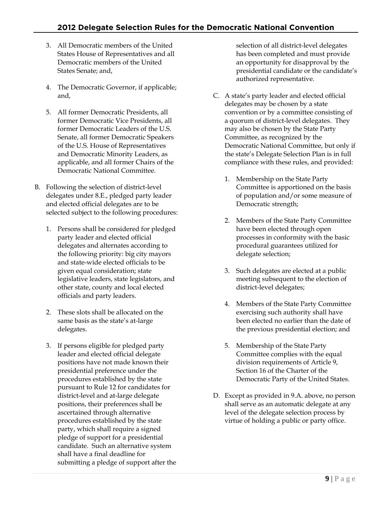- 3. All Democratic members of the United States House of Representatives and all Democratic members of the United States Senate; and,
- 4. The Democratic Governor, if applicable; and,
- 5. All former Democratic Presidents, all former Democratic Vice Presidents, all former Democratic Leaders of the U.S. Senate, all former Democratic Speakers of the U.S. House of Representatives and Democratic Minority Leaders, as applicable, and all former Chairs of the Democratic National Committee.
- B. Following the selection of district-level delegates under 8.E., pledged party leader and elected official delegates are to be selected subject to the following procedures:
	- 1. Persons shall be considered for pledged party leader and elected official delegates and alternates according to the following priority: big city mayors and state-wide elected officials to be given equal consideration; state legislative leaders, state legislators, and other state, county and local elected officials and party leaders.
	- 2. These slots shall be allocated on the same basis as the state's at-large delegates.
	- 3. If persons eligible for pledged party leader and elected official delegate positions have not made known their presidential preference under the procedures established by the state pursuant to Rule 12 for candidates for district-level and at-large delegate positions, their preferences shall be ascertained through alternative procedures established by the state party, which shall require a signed pledge of support for a presidential candidate. Such an alternative system shall have a final deadline for submitting a pledge of support after the

selection of all district-level delegates has been completed and must provide an opportunity for disapproval by the presidential candidate or the candidate's authorized representative.

- C. A state's party leader and elected official delegates may be chosen by a state convention or by a committee consisting of a quorum of district-level delegates. They may also be chosen by the State Party Committee, as recognized by the Democratic National Committee, but only if the state's Delegate Selection Plan is in full compliance with these rules, and provided:
	- 1. Membership on the State Party Committee is apportioned on the basis of population and/or some measure of Democratic strength;
	- 2. Members of the State Party Committee have been elected through open processes in conformity with the basic procedural guarantees utilized for delegate selection;
	- 3. Such delegates are elected at a public meeting subsequent to the election of district-level delegates;
	- 4. Members of the State Party Committee exercising such authority shall have been elected no earlier than the date of the previous presidential election; and
	- 5. Membership of the State Party Committee complies with the equal division requirements of Article 9, Section 16 of the Charter of the Democratic Party of the United States.
- D. Except as provided in 9.A. above, no person shall serve as an automatic delegate at any level of the delegate selection process by virtue of holding a public or party office.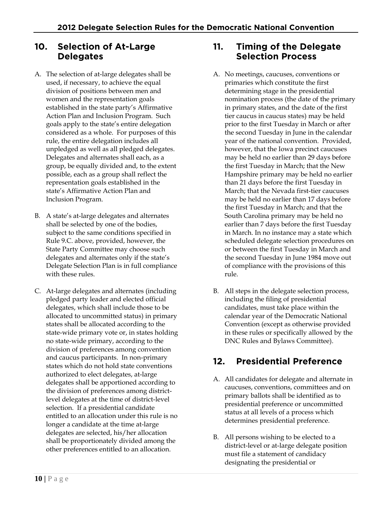#### **10. Selection of At-Large Delegates**

- A. The selection of at-large delegates shall be used, if necessary, to achieve the equal division of positions between men and women and the representation goals established in the state party's Affirmative Action Plan and Inclusion Program. Such goals apply to the state's entire delegation considered as a whole. For purposes of this rule, the entire delegation includes all unpledged as well as all pledged delegates. Delegates and alternates shall each, as a group, be equally divided and, to the extent possible, each as a group shall reflect the representation goals established in the state's Affirmative Action Plan and Inclusion Program.
- B. A state's at-large delegates and alternates shall be selected by one of the bodies, subject to the same conditions specified in Rule 9.C. above, provided, however, the State Party Committee may choose such delegates and alternates only if the state's Delegate Selection Plan is in full compliance with these rules.
- C. At-large delegates and alternates (including pledged party leader and elected official delegates, which shall include those to be allocated to uncommitted status) in primary states shall be allocated according to the state-wide primary vote or, in states holding no state-wide primary, according to the division of preferences among convention and caucus participants. In non-primary states which do not hold state conventions authorized to elect delegates, at-large delegates shall be apportioned according to the division of preferences among districtlevel delegates at the time of district-level selection. If a presidential candidate entitled to an allocation under this rule is no longer a candidate at the time at-large delegates are selected, his/her allocation shall be proportionately divided among the other preferences entitled to an allocation.

#### **11. Timing of the Delegate Selection Process**

- A. No meetings, caucuses, conventions or primaries which constitute the first determining stage in the presidential nomination process (the date of the primary in primary states, and the date of the first tier caucus in caucus states) may be held prior to the first Tuesday in March or after the second Tuesday in June in the calendar year of the national convention. Provided, however, that the Iowa precinct caucuses may be held no earlier than 29 days before the first Tuesday in March; that the New Hampshire primary may be held no earlier than 21 days before the first Tuesday in March; that the Nevada first-tier caucuses may be held no earlier than 17 days before the first Tuesday in March; and that the South Carolina primary may be held no earlier than 7 days before the first Tuesday in March. In no instance may a state which scheduled delegate selection procedures on or between the first Tuesday in March and the second Tuesday in June 1984 move out of compliance with the provisions of this rule.
- B. All steps in the delegate selection process, including the filing of presidential candidates, must take place within the calendar year of the Democratic National Convention (except as otherwise provided in these rules or specifically allowed by the DNC Rules and Bylaws Committee).

# **12. Presidential Preference**

- A. All candidates for delegate and alternate in caucuses, conventions, committees and on primary ballots shall be identified as to presidential preference or uncommitted status at all levels of a process which determines presidential preference.
- B. All persons wishing to be elected to a district-level or at-large delegate position must file a statement of candidacy designating the presidential or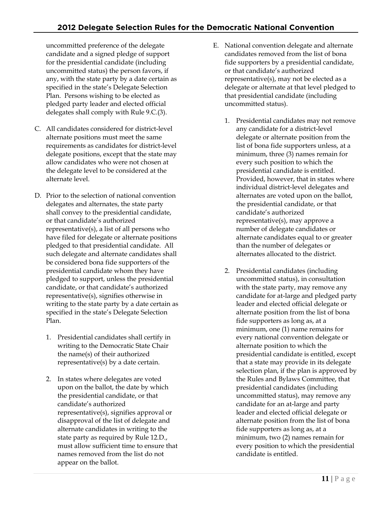uncommitted preference of the delegate candidate and a signed pledge of support for the presidential candidate (including uncommitted status) the person favors, if any, with the state party by a date certain as specified in the state's Delegate Selection Plan. Persons wishing to be elected as pledged party leader and elected official delegates shall comply with Rule 9.C.(3).

- C. All candidates considered for district-level alternate positions must meet the same requirements as candidates for district-level delegate positions, except that the state may allow candidates who were not chosen at the delegate level to be considered at the alternate level.
- D. Prior to the selection of national convention delegates and alternates, the state party shall convey to the presidential candidate, or that candidate's authorized representative(s), a list of all persons who have filed for delegate or alternate positions pledged to that presidential candidate. All such delegate and alternate candidates shall be considered bona fide supporters of the presidential candidate whom they have pledged to support, unless the presidential candidate, or that candidate's authorized representative(s), signifies otherwise in writing to the state party by a date certain as specified in the state's Delegate Selection Plan.
	- 1. Presidential candidates shall certify in writing to the Democratic State Chair the name(s) of their authorized representative(s) by a date certain.
	- 2. In states where delegates are voted upon on the ballot, the date by which the presidential candidate, or that candidate's authorized representative(s), signifies approval or disapproval of the list of delegate and alternate candidates in writing to the state party as required by Rule 12.D., must allow sufficient time to ensure that names removed from the list do not appear on the ballot.
- E. National convention delegate and alternate candidates removed from the list of bona fide supporters by a presidential candidate, or that candidate's authorized representative(s), may not be elected as a delegate or alternate at that level pledged to that presidential candidate (including uncommitted status).
	- 1. Presidential candidates may not remove any candidate for a district-level delegate or alternate position from the list of bona fide supporters unless, at a minimum, three (3) names remain for every such position to which the presidential candidate is entitled. Provided, however, that in states where individual district-level delegates and alternates are voted upon on the ballot, the presidential candidate, or that candidate's authorized representative(s), may approve a number of delegate candidates or alternate candidates equal to or greater than the number of delegates or alternates allocated to the district.
	- 2. Presidential candidates (including uncommitted status), in consultation with the state party, may remove any candidate for at-large and pledged party leader and elected official delegate or alternate position from the list of bona fide supporters as long as, at a minimum, one (1) name remains for every national convention delegate or alternate position to which the presidential candidate is entitled, except that a state may provide in its delegate selection plan, if the plan is approved by the Rules and Bylaws Committee, that presidential candidates (including uncommitted status), may remove any candidate for an at-large and party leader and elected official delegate or alternate position from the list of bona fide supporters as long as, at a minimum, two (2) names remain for every position to which the presidential candidate is entitled.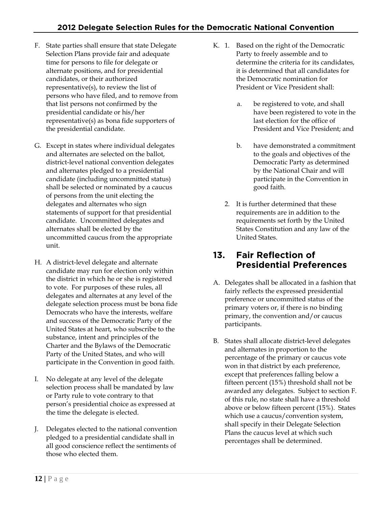- F. State parties shall ensure that state Delegate Selection Plans provide fair and adequate time for persons to file for delegate or alternate positions, and for presidential candidates, or their authorized representative(s), to review the list of persons who have filed, and to remove from that list persons not confirmed by the presidential candidate or his/her representative(s) as bona fide supporters of the presidential candidate.
- G. Except in states where individual delegates and alternates are selected on the ballot, district-level national convention delegates and alternates pledged to a presidential candidate (including uncommitted status) shall be selected or nominated by a caucus of persons from the unit electing the delegates and alternates who sign statements of support for that presidential candidate. Uncommitted delegates and alternates shall be elected by the uncommitted caucus from the appropriate unit.
- H. A district-level delegate and alternate candidate may run for election only within the district in which he or she is registered to vote. For purposes of these rules, all delegates and alternates at any level of the delegate selection process must be bona fide Democrats who have the interests, welfare and success of the Democratic Party of the United States at heart, who subscribe to the substance, intent and principles of the Charter and the Bylaws of the Democratic Party of the United States, and who will participate in the Convention in good faith.
- I. No delegate at any level of the delegate selection process shall be mandated by law or Party rule to vote contrary to that person's presidential choice as expressed at the time the delegate is elected.
- J. Delegates elected to the national convention pledged to a presidential candidate shall in all good conscience reflect the sentiments of those who elected them.
- K. 1. Based on the right of the Democratic Party to freely assemble and to determine the criteria for its candidates, it is determined that all candidates for the Democratic nomination for President or Vice President shall:
	- a. be registered to vote, and shall have been registered to vote in the last election for the office of President and Vice President; and
	- b. have demonstrated a commitment to the goals and objectives of the Democratic Party as determined by the National Chair and will participate in the Convention in good faith.
	- 2. It is further determined that these requirements are in addition to the requirements set forth by the United States Constitution and any law of the United States.

#### **13. Fair Reflection of Presidential Preferences**

- A. Delegates shall be allocated in a fashion that fairly reflects the expressed presidential preference or uncommitted status of the primary voters or, if there is no binding primary, the convention and/or caucus participants.
- B. States shall allocate district-level delegates and alternates in proportion to the percentage of the primary or caucus vote won in that district by each preference, except that preferences falling below a fifteen percent (15%) threshold shall not be awarded any delegates. Subject to section F. of this rule, no state shall have a threshold above or below fifteen percent (15%). States which use a caucus/convention system, shall specify in their Delegate Selection Plans the caucus level at which such percentages shall be determined.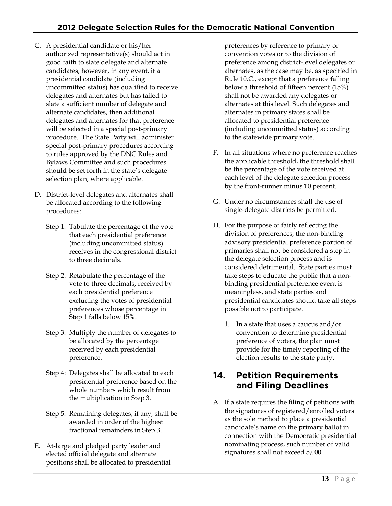- C. A presidential candidate or his/her authorized representative(s) should act in good faith to slate delegate and alternate candidates, however, in any event, if a presidential candidate (including uncommitted status) has qualified to receive delegates and alternates but has failed to slate a sufficient number of delegate and alternate candidates, then additional delegates and alternates for that preference will be selected in a special post-primary procedure. The State Party will administer special post-primary procedures according to rules approved by the DNC Rules and Bylaws Committee and such procedures should be set forth in the state's delegate selection plan, where applicable.
- D. District-level delegates and alternates shall be allocated according to the following procedures:
	- Step 1: Tabulate the percentage of the vote that each presidential preference (including uncommitted status) receives in the congressional district to three decimals.
	- Step 2: Retabulate the percentage of the vote to three decimals, received by each presidential preference excluding the votes of presidential preferences whose percentage in Step 1 falls below 15%.
	- Step 3: Multiply the number of delegates to be allocated by the percentage received by each presidential preference.
	- Step 4: Delegates shall be allocated to each presidential preference based on the whole numbers which result from the multiplication in Step 3.
	- Step 5: Remaining delegates, if any, shall be awarded in order of the highest fractional remainders in Step 3.
- E. At-large and pledged party leader and elected official delegate and alternate positions shall be allocated to presidential

preferences by reference to primary or convention votes or to the division of preference among district-level delegates or alternates, as the case may be, as specified in Rule 10.C., except that a preference falling below a threshold of fifteen percent (15%) shall not be awarded any delegates or alternates at this level. Such delegates and alternates in primary states shall be allocated to presidential preference (including uncommitted status) according to the statewide primary vote.

- F. In all situations where no preference reaches the applicable threshold, the threshold shall be the percentage of the vote received at each level of the delegate selection process by the front-runner minus 10 percent.
- G. Under no circumstances shall the use of single-delegate districts be permitted.
- H. For the purpose of fairly reflecting the division of preferences, the non-binding advisory presidential preference portion of primaries shall not be considered a step in the delegate selection process and is considered detrimental. State parties must take steps to educate the public that a nonbinding presidential preference event is meaningless, and state parties and presidential candidates should take all steps possible not to participate.
	- 1. In a state that uses a caucus and/or convention to determine presidential preference of voters, the plan must provide for the timely reporting of the election results to the state party.

#### **14. Petition Requirements and Filing Deadlines**

A. If a state requires the filing of petitions with the signatures of registered/enrolled voters as the sole method to place a presidential candidate's name on the primary ballot in connection with the Democratic presidential nominating process, such number of valid signatures shall not exceed 5,000.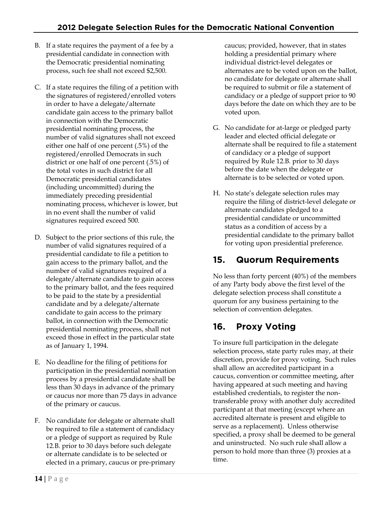- B. If a state requires the payment of a fee by a presidential candidate in connection with the Democratic presidential nominating process, such fee shall not exceed \$2,500.
- C. If a state requires the filing of a petition with the signatures of registered/enrolled voters in order to have a delegate/alternate candidate gain access to the primary ballot in connection with the Democratic presidential nominating process, the number of valid signatures shall not exceed either one half of one percent (.5%) of the registered/enrolled Democrats in such district or one half of one percent (.5%) of the total votes in such district for all Democratic presidential candidates (including uncommitted) during the immediately preceding presidential nominating process, whichever is lower, but in no event shall the number of valid signatures required exceed 500.
- D. Subject to the prior sections of this rule, the number of valid signatures required of a presidential candidate to file a petition to gain access to the primary ballot, and the number of valid signatures required of a delegate/alternate candidate to gain access to the primary ballot, and the fees required to be paid to the state by a presidential candidate and by a delegate/alternate candidate to gain access to the primary ballot, in connection with the Democratic presidential nominating process, shall not exceed those in effect in the particular state as of January 1, 1994.
- E. No deadline for the filing of petitions for participation in the presidential nomination process by a presidential candidate shall be less than 30 days in advance of the primary or caucus nor more than 75 days in advance of the primary or caucus.
- F. No candidate for delegate or alternate shall be required to file a statement of candidacy or a pledge of support as required by Rule 12.B. prior to 30 days before such delegate or alternate candidate is to be selected or elected in a primary, caucus or pre-primary

caucus; provided, however, that in states holding a presidential primary where individual district-level delegates or alternates are to be voted upon on the ballot, no candidate for delegate or alternate shall be required to submit or file a statement of candidacy or a pledge of support prior to 90 days before the date on which they are to be voted upon.

- G. No candidate for at-large or pledged party leader and elected official delegate or alternate shall be required to file a statement of candidacy or a pledge of support required by Rule 12.B. prior to 30 days before the date when the delegate or alternate is to be selected or voted upon.
- H. No state's delegate selection rules may require the filing of district-level delegate or alternate candidates pledged to a presidential candidate or uncommitted status as a condition of access by a presidential candidate to the primary ballot for voting upon presidential preference.

# **15. Quorum Requirements**

No less than forty percent (40%) of the members of any Party body above the first level of the delegate selection process shall constitute a quorum for any business pertaining to the selection of convention delegates.

# **16. Proxy Voting**

To insure full participation in the delegate selection process, state party rules may, at their discretion, provide for proxy voting. Such rules shall allow an accredited participant in a caucus, convention or committee meeting, after having appeared at such meeting and having established credentials, to register the nontransferable proxy with another duly accredited participant at that meeting (except where an accredited alternate is present and eligible to serve as a replacement). Unless otherwise specified, a proxy shall be deemed to be general and uninstructed. No such rule shall allow a person to hold more than three (3) proxies at a time.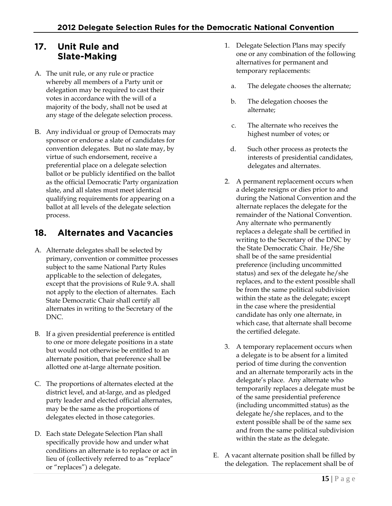#### **17. Unit Rule and Slate-Making**

- A. The unit rule, or any rule or practice whereby all members of a Party unit or delegation may be required to cast their votes in accordance with the will of a majority of the body, shall not be used at any stage of the delegate selection process.
- B. Any individual or group of Democrats may sponsor or endorse a slate of candidates for convention delegates. But no slate may, by virtue of such endorsement, receive a preferential place on a delegate selection ballot or be publicly identified on the ballot as the official Democratic Party organization slate, and all slates must meet identical qualifying requirements for appearing on a ballot at all levels of the delegate selection process.

## **18. Alternates and Vacancies**

- A. Alternate delegates shall be selected by primary, convention or committee processes subject to the same National Party Rules applicable to the selection of delegates, except that the provisions of Rule 9.A. shall not apply to the election of alternates. Each State Democratic Chair shall certify all alternates in writing to the Secretary of the DNC.
- B. If a given presidential preference is entitled to one or more delegate positions in a state but would not otherwise be entitled to an alternate position, that preference shall be allotted one at-large alternate position.
- C. The proportions of alternates elected at the district level, and at-large, and as pledged party leader and elected official alternates, may be the same as the proportions of delegates elected in those categories.
- D. Each state Delegate Selection Plan shall specifically provide how and under what conditions an alternate is to replace or act in lieu of (collectively referred to as "replace" or "replaces") a delegate.
- 1. Delegate Selection Plans may specify one or any combination of the following alternatives for permanent and temporary replacements:
	- a. The delegate chooses the alternate;
	- b. The delegation chooses the alternate;
	- c. The alternate who receives the highest number of votes; or
	- d. Such other process as protects the interests of presidential candidates, delegates and alternates.
- 2. A permanent replacement occurs when a delegate resigns or dies prior to and during the National Convention and the alternate replaces the delegate for the remainder of the National Convention. Any alternate who permanently replaces a delegate shall be certified in writing to the Secretary of the DNC by the State Democratic Chair. He/She shall be of the same presidential preference (including uncommitted status) and sex of the delegate he/she replaces, and to the extent possible shall be from the same political subdivision within the state as the delegate; except in the case where the presidential candidate has only one alternate, in which case, that alternate shall become the certified delegate.
- 3. A temporary replacement occurs when a delegate is to be absent for a limited period of time during the convention and an alternate temporarily acts in the delegate's place. Any alternate who temporarily replaces a delegate must be of the same presidential preference (including uncommitted status) as the delegate he/she replaces, and to the extent possible shall be of the same sex and from the same political subdivision within the state as the delegate.
- E. A vacant alternate position shall be filled by the delegation. The replacement shall be of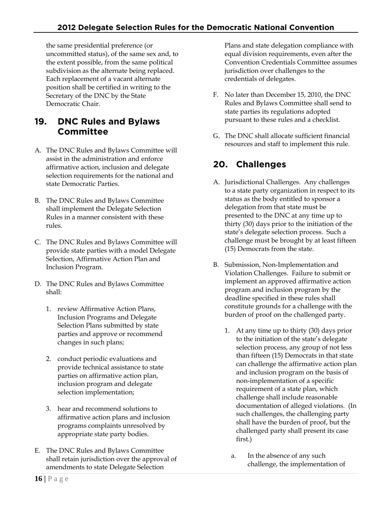the same presidential preference (or uncommitted status), of the same sex and, to the extent possible, from the same political subdivision as the alternate being replaced. Each replacement of a vacant alternate position shall be certified in writing to the Secretary of the DNC by the State Democratic Chair.

#### **19. DNC Rules and Bylaws Committee**

- A. The DNC Rules and Bylaws Committee will assist in the administration and enforce affirmative action, inclusion and delegate selection requirements for the national and state Democratic Parties.
- B. The DNC Rules and Bylaws Committee shall implement the Delegate Selection Rules in a manner consistent with these rules.
- C. The DNC Rules and Bylaws Committee will provide state parties with a model Delegate Selection, Affirmative Action Plan and Inclusion Program.
- D. The DNC Rules and Bylaws Committee shall:
	- 1. review Affirmative Action Plans, Inclusion Programs and Delegate Selection Plans submitted by state parties and approve or recommend changes in such plans;
	- 2. conduct periodic evaluations and provide technical assistance to state parties on affirmative action plan, inclusion program and delegate selection implementation;
	- 3. hear and recommend solutions to affirmative action plans and inclusion programs complaints unresolved by appropriate state party bodies.
- E. The DNC Rules and Bylaws Committee shall retain jurisdiction over the approval of amendments to state Delegate Selection

Plans and state delegation compliance with equal division requirements, even after the Convention Credentials Committee assumes jurisdiction over challenges to the credentials of delegates.

- F. No later than December 15, 2010, the DNC Rules and Bylaws Committee shall send to state parties its regulations adopted pursuant to these rules and a checklist.
- G. The DNC shall allocate sufficient financial resources and staff to implement this rule.

# **20. Challenges**

- A. Jurisdictional Challenges. Any challenges to a state party organization in respect to its status as the body entitled to sponsor a delegation from that state must be presented to the DNC at any time up to thirty (30) days prior to the initiation of the state's delegate selection process. Such a challenge must be brought by at least fifteen (15) Democrats from the state.
- B. Submission, Non-Implementation and Violation Challenges. Failure to submit or implement an approved affirmative action program and inclusion program by the deadline specified in these rules shall constitute grounds for a challenge with the burden of proof on the challenged party.
	- 1. At any time up to thirty (30) days prior to the initiation of the state's delegate selection process, any group of not less than fifteen (15) Democrats in that state can challenge the affirmative action plan and inclusion program on the basis of non-implementation of a specific requirement of a state plan, which challenge shall include reasonable documentation of alleged violations. (In such challenges, the challenging party shall have the burden of proof, but the challenged party shall present its case first.)
		- a. In the absence of any such challenge, the implementation of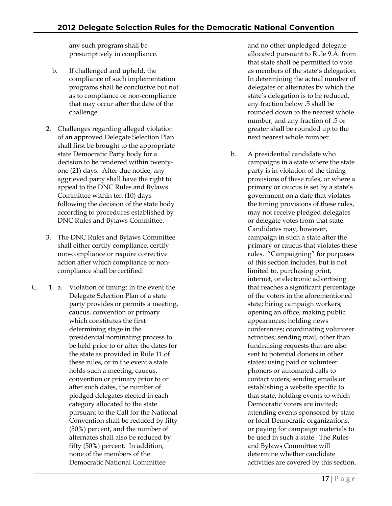any such program shall be presumptively in compliance.

- b. If challenged and upheld, the compliance of such implementation programs shall be conclusive but not as to compliance or non-compliance that may occur after the date of the challenge.
- 2. Challenges regarding alleged violation of an approved Delegate Selection Plan shall first be brought to the appropriate state Democratic Party body for a decision to be rendered within twentyone (21) days. After due notice, any aggrieved party shall have the right to appeal to the DNC Rules and Bylaws Committee within ten (10) days following the decision of the state body according to procedures established by DNC Rules and Bylaws Committee.
- 3. The DNC Rules and Bylaws Committee shall either certify compliance, certify non-compliance or require corrective action after which compliance or noncompliance shall be certified.
- C. 1. a. Violation of timing: In the event the Delegate Selection Plan of a state party provides or permits a meeting, caucus, convention or primary which constitutes the first determining stage in the presidential nominating process to be held prior to or after the dates for the state as provided in Rule 11 of these rules, or in the event a state holds such a meeting, caucus, convention or primary prior to or after such dates, the number of pledged delegates elected in each category allocated to the state pursuant to the Call for the National Convention shall be reduced by fifty (50%) percent, and the number of alternates shall also be reduced by fifty (50%) percent. In addition, none of the members of the Democratic National Committee

and no other unpledged delegate allocated pursuant to Rule 9.A. from that state shall be permitted to vote as members of the state's delegation. In determining the actual number of delegates or alternates by which the state's delegation is to be reduced, any fraction below .5 shall be rounded down to the nearest whole number, and any fraction of .5 or greater shall be rounded up to the next nearest whole number.

b. A presidential candidate who campaigns in a state where the state party is in violation of the timing provisions of these rules, or where a primary or caucus is set by a state's government on a date that violates the timing provisions of these rules, may not receive pledged delegates or delegate votes from that state. Candidates may, however, campaign in such a state after the primary or caucus that violates these rules. "Campaigning" for purposes of this section includes, but is not limited to, purchasing print, internet, or electronic advertising that reaches a significant percentage of the voters in the aforementioned state; hiring campaign workers; opening an office; making public appearances; holding news conferences; coordinating volunteer activities; sending mail, other than fundraising requests that are also sent to potential donors in other states; using paid or volunteer phoners or automated calls to contact voters; sending emails or establishing a website specific to that state; holding events to which Democratic voters are invited; attending events sponsored by state or local Democratic organizations; or paying for campaign materials to be used in such a state. The Rules and Bylaws Committee will determine whether candidate activities are covered by this section.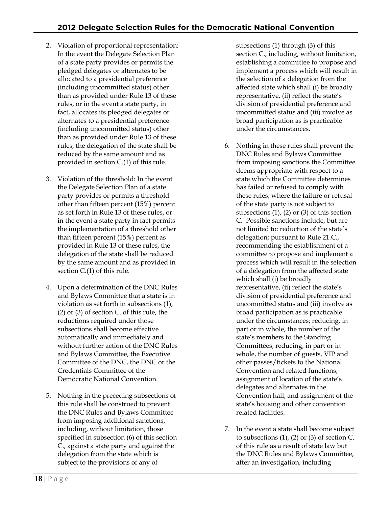- 2. Violation of proportional representation: In the event the Delegate Selection Plan of a state party provides or permits the pledged delegates or alternates to be allocated to a presidential preference (including uncommitted status) other than as provided under Rule 13 of these rules, or in the event a state party, in fact, allocates its pledged delegates or alternates to a presidential preference (including uncommitted status) other than as provided under Rule 13 of these rules, the delegation of the state shall be reduced by the same amount and as provided in section C.(1) of this rule.
- 3. Violation of the threshold: In the event the Delegate Selection Plan of a state party provides or permits a threshold other than fifteen percent (15%) percent as set forth in Rule 13 of these rules, or in the event a state party in fact permits the implementation of a threshold other than fifteen percent (15%) percent as provided in Rule 13 of these rules, the delegation of the state shall be reduced by the same amount and as provided in section C.(1) of this rule.
- 4. Upon a determination of the DNC Rules and Bylaws Committee that a state is in violation as set forth in subsections (1), (2) or (3) of section C. of this rule, the reductions required under those subsections shall become effective automatically and immediately and without further action of the DNC Rules and Bylaws Committee, the Executive Committee of the DNC, the DNC or the Credentials Committee of the Democratic National Convention.
- 5. Nothing in the preceding subsections of this rule shall be construed to prevent the DNC Rules and Bylaws Committee from imposing additional sanctions, including, without limitation, those specified in subsection (6) of this section C., against a state party and against the delegation from the state which is subject to the provisions of any of

subsections (1) through (3) of this section C., including, without limitation, establishing a committee to propose and implement a process which will result in the selection of a delegation from the affected state which shall (i) be broadly representative, (ii) reflect the state's division of presidential preference and uncommitted status and (iii) involve as broad participation as is practicable under the circumstances.

- 6. Nothing in these rules shall prevent the DNC Rules and Bylaws Committee from imposing sanctions the Committee deems appropriate with respect to a state which the Committee determines has failed or refused to comply with these rules, where the failure or refusal of the state party is not subject to subsections (1), (2) or (3) of this section C. Possible sanctions include, but are not limited to: reduction of the state's delegation; pursuant to Rule 21.C., recommending the establishment of a committee to propose and implement a process which will result in the selection of a delegation from the affected state which shall (i) be broadly representative, (ii) reflect the state's division of presidential preference and uncommitted status and (iii) involve as broad participation as is practicable under the circumstances; reducing, in part or in whole, the number of the state's members to the Standing Committees; reducing, in part or in whole, the number of guests, VIP and other passes/tickets to the National Convention and related functions; assignment of location of the state's delegates and alternates in the Convention hall; and assignment of the state's housing and other convention related facilities.
- 7. In the event a state shall become subject to subsections  $(1)$ ,  $(2)$  or  $(3)$  of section C. of this rule as a result of state law but the DNC Rules and Bylaws Committee, after an investigation, including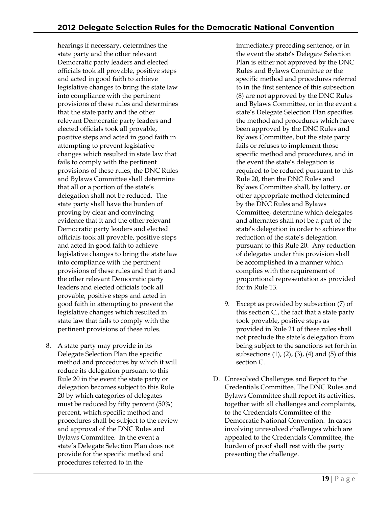hearings if necessary, determines the state party and the other relevant Democratic party leaders and elected officials took all provable, positive steps and acted in good faith to achieve legislative changes to bring the state law into compliance with the pertinent provisions of these rules and determines that the state party and the other relevant Democratic party leaders and elected officials took all provable, positive steps and acted in good faith in attempting to prevent legislative changes which resulted in state law that fails to comply with the pertinent provisions of these rules, the DNC Rules and Bylaws Committee shall determine that all or a portion of the state's delegation shall not be reduced. The state party shall have the burden of proving by clear and convincing evidence that it and the other relevant Democratic party leaders and elected officials took all provable, positive steps and acted in good faith to achieve legislative changes to bring the state law into compliance with the pertinent provisions of these rules and that it and the other relevant Democratic party leaders and elected officials took all provable, positive steps and acted in good faith in attempting to prevent the legislative changes which resulted in state law that fails to comply with the pertinent provisions of these rules.

8. A state party may provide in its Delegate Selection Plan the specific method and procedures by which it will reduce its delegation pursuant to this Rule 20 in the event the state party or delegation becomes subject to this Rule 20 by which categories of delegates must be reduced by fifty percent (50%) percent, which specific method and procedures shall be subject to the review and approval of the DNC Rules and Bylaws Committee. In the event a state's Delegate Selection Plan does not provide for the specific method and procedures referred to in the

immediately preceding sentence, or in the event the state's Delegate Selection Plan is either not approved by the DNC Rules and Bylaws Committee or the specific method and procedures referred to in the first sentence of this subsection (8) are not approved by the DNC Rules and Bylaws Committee, or in the event a state's Delegate Selection Plan specifies the method and procedures which have been approved by the DNC Rules and Bylaws Committee, but the state party fails or refuses to implement those specific method and procedures, and in the event the state's delegation is required to be reduced pursuant to this Rule 20, then the DNC Rules and Bylaws Committee shall, by lottery, or other appropriate method determined by the DNC Rules and Bylaws Committee, determine which delegates and alternates shall not be a part of the state's delegation in order to achieve the reduction of the state's delegation pursuant to this Rule 20. Any reduction of delegates under this provision shall be accomplished in a manner which complies with the requirement of proportional representation as provided for in Rule 13.

- 9. Except as provided by subsection (7) of this section C., the fact that a state party took provable, positive steps as provided in Rule 21 of these rules shall not preclude the state's delegation from being subject to the sanctions set forth in subsections (1), (2), (3), (4) and (5) of this section C.
- D. Unresolved Challenges and Report to the Credentials Committee. The DNC Rules and Bylaws Committee shall report its activities, together with all challenges and complaints, to the Credentials Committee of the Democratic National Convention. In cases involving unresolved challenges which are appealed to the Credentials Committee, the burden of proof shall rest with the party presenting the challenge.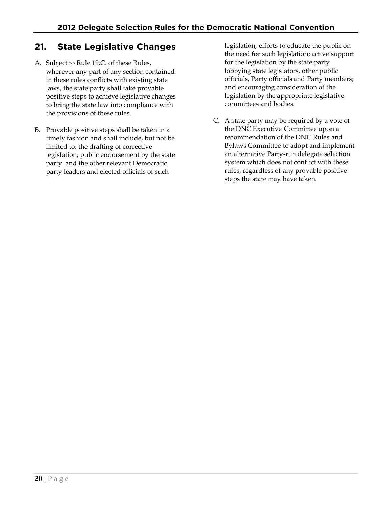## **21. State Legislative Changes**

- A. Subject to Rule 19.C. of these Rules, wherever any part of any section contained in these rules conflicts with existing state laws, the state party shall take provable positive steps to achieve legislative changes to bring the state law into compliance with the provisions of these rules.
- B. Provable positive steps shall be taken in a timely fashion and shall include, but not be limited to: the drafting of corrective legislation; public endorsement by the state party and the other relevant Democratic party leaders and elected officials of such

legislation; efforts to educate the public on the need for such legislation; active support for the legislation by the state party lobbying state legislators, other public officials, Party officials and Party members; and encouraging consideration of the legislation by the appropriate legislative committees and bodies.

C. A state party may be required by a vote of the DNC Executive Committee upon a recommendation of the DNC Rules and Bylaws Committee to adopt and implement an alternative Party-run delegate selection system which does not conflict with these rules, regardless of any provable positive steps the state may have taken.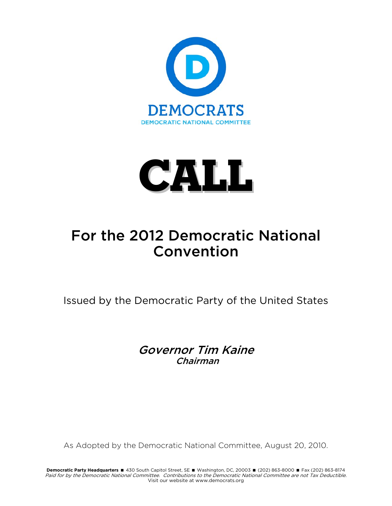



# For the 2012 Democratic National Convention

Issued by the Democratic Party of the United States

Governor Tim Kaine Chairman

As Adopted by the Democratic National Committee, August 20, 2010.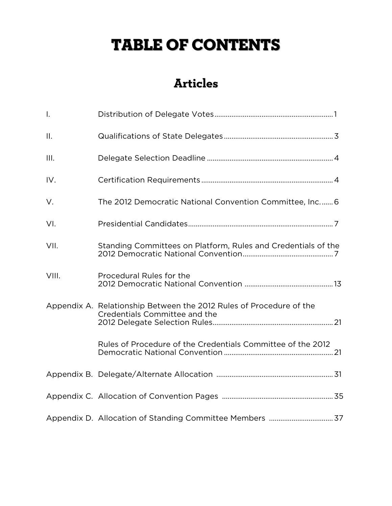# TABLE OF CONTENTS

# **Articles**

| Τ.              |                                                                                                      |
|-----------------|------------------------------------------------------------------------------------------------------|
| $\mathbf{II}$ . |                                                                                                      |
| III.            |                                                                                                      |
| IV.             |                                                                                                      |
| V.              | The 2012 Democratic National Convention Committee, Inc 6                                             |
| VI.             |                                                                                                      |
| VII.            | Standing Committees on Platform, Rules and Credentials of the                                        |
| VIII.           | Procedural Rules for the                                                                             |
|                 | Appendix A. Relationship Between the 2012 Rules of Procedure of the<br>Credentials Committee and the |
|                 | Rules of Procedure of the Credentials Committee of the 2012                                          |
|                 |                                                                                                      |
|                 |                                                                                                      |
|                 |                                                                                                      |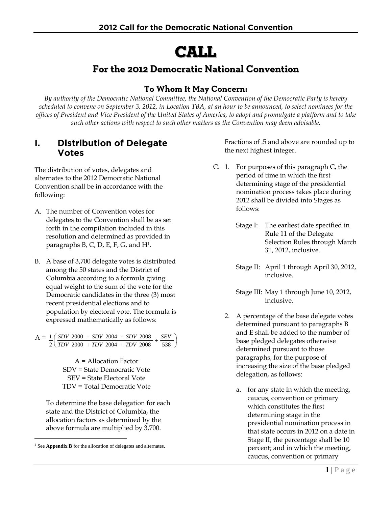# CALL

# **For the 2012 Democratic National Convention**

### **To Whom It May Concern:**

*By authority of the Democratic National Committee, the National Convention of the Democratic Party is hereby scheduled to convene on September 3, 2012, in Location TBA, at an hour to be announced, to select nominees for the offices of President and Vice President of the United States of America, to adopt and promulgate a platform and to take such other actions with respect to such other matters as the Convention may deem advisable.* 

#### **I. Distribution of Delegate Votes**

The distribution of votes, delegates and alternates to the 2012 Democratic National Convention shall be in accordance with the following:

- A. The number of Convention votes for delegates to the Convention shall be as set forth in the compilation included in this resolution and determined as provided in paragraphs B, C, D, E, F, G, and H1.
- B. A base of 3,700 delegate votes is distributed among the 50 states and the District of Columbia according to a formula giving equal weight to the sum of the vote for the Democratic candidates in the three (3) most recent presidential elections and to population by electoral vote. The formula is expressed mathematically as follows:

 $A = \frac{1}{2} \left( \frac{SDV \ 2000 + SDV \ 2004 + SDV \ 2008}{TDV \ 2000 + TDV \ 2004 + TDV \ 2008} + \frac{SEV}{538} \right)$  $\left(\frac{SDV\ 2000\ +\ SDV\ 2004\ +\ SDV\ 2008}{TDV\ 2000\ +\ TDV\ 2004\ +\ TDV\ 2008} + \right.$  $+$  SDV 2004  $+$  $2000 + TDV$  2004 +  $TDV$  2008 538  $2000 + SDV$  2004 +  $SDV$  2008 2  $1 / SDV$  2000 +  $SDV$  2004 +  $SDV$  2008 SEV *TDV TDV TDV*  $SDV$  2000 + *SDV* 2004 + *SDV* 2008 + *SEV* 

> A = Allocation Factor SDV = State Democratic Vote SEV = State Electoral Vote TDV = Total Democratic Vote

To determine the base delegation for each state and the District of Columbia, the allocation factors as determined by the above formula are multiplied by 3,700.

 $\overline{a}$ 

Fractions of .5 and above are rounded up to the next highest integer.

- C. 1. For purposes of this paragraph C, the period of time in which the first determining stage of the presidential nomination process takes place during 2012 shall be divided into Stages as follows:
	- Stage I: The earliest date specified in Rule 11 of the Delegate Selection Rules through March 31, 2012, inclusive.
	- Stage II: April 1 through April 30, 2012, inclusive.
	- Stage III: May 1 through June 10, 2012, inclusive.
	- 2. A percentage of the base delegate votes determined pursuant to paragraphs B and E shall be added to the number of base pledged delegates otherwise determined pursuant to those paragraphs, for the purpose of increasing the size of the base pledged delegation, as follows:
		- a. for any state in which the meeting, caucus, convention or primary which constitutes the first determining stage in the presidential nomination process in that state occurs in 2012 on a date in Stage II, the percentage shall be 10 percent; and in which the meeting, caucus, convention or primary

<sup>&</sup>lt;sup>1</sup> See **Appendix B** for the allocation of delegates and alternates.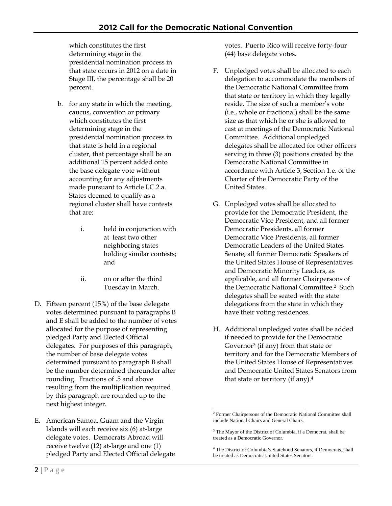which constitutes the first determining stage in the presidential nomination process in that state occurs in 2012 on a date in Stage III, the percentage shall be 20 percent.

- b. for any state in which the meeting, caucus, convention or primary which constitutes the first determining stage in the presidential nomination process in that state is held in a regional cluster, that percentage shall be an additional 15 percent added onto the base delegate vote without accounting for any adjustments made pursuant to Article I.C.2.a. States deemed to qualify as a regional cluster shall have contests that are:
	- i. held in conjunction with at least two other neighboring states holding similar contests; and
	- ii. on or after the third Tuesday in March.
- D. Fifteen percent (15%) of the base delegate votes determined pursuant to paragraphs B and E shall be added to the number of votes allocated for the purpose of representing pledged Party and Elected Official delegates. For purposes of this paragraph, the number of base delegate votes determined pursuant to paragraph B shall be the number determined thereunder after rounding. Fractions of .5 and above resulting from the multiplication required by this paragraph are rounded up to the next highest integer.
- E. American Samoa, Guam and the Virgin Islands will each receive six (6) at-large delegate votes. Democrats Abroad will receive twelve (12) at-large and one (1) pledged Party and Elected Official delegate

votes. Puerto Rico will receive forty-four (44) base delegate votes.

- F. Unpledged votes shall be allocated to each delegation to accommodate the members of the Democratic National Committee from that state or territory in which they legally reside. The size of such a member's vote (i.e., whole or fractional) shall be the same size as that which he or she is allowed to cast at meetings of the Democratic National Committee. Additional unpledged delegates shall be allocated for other officers serving in three (3) positions created by the Democratic National Committee in accordance with Article 3, Section 1.e. of the Charter of the Democratic Party of the United States.
- G. Unpledged votes shall be allocated to provide for the Democratic President, the Democratic Vice President, and all former Democratic Presidents, all former Democratic Vice Presidents, all former Democratic Leaders of the United States Senate, all former Democratic Speakers of the United States House of Representatives and Democratic Minority Leaders, as applicable, and all former Chairpersons of the Democratic National Committee.2 Such delegates shall be seated with the state delegations from the state in which they have their voting residences.
- H. Additional unpledged votes shall be added if needed to provide for the Democratic Governor3 (if any) from that state or territory and for the Democratic Members of the United States House of Representatives and Democratic United States Senators from that state or territory (if any).4

 $\overline{a}$ <sup>2</sup> Former Chairpersons of the Democratic National Committee shall include National Chairs and General Chairs.

<sup>&</sup>lt;sup>3</sup> The Mayor of the District of Columbia, if a Democrat, shall be treated as a Democratic Governor.

<sup>4</sup> The District of Columbia's Statehood Senators, if Democrats, shall be treated as Democratic United States Senators.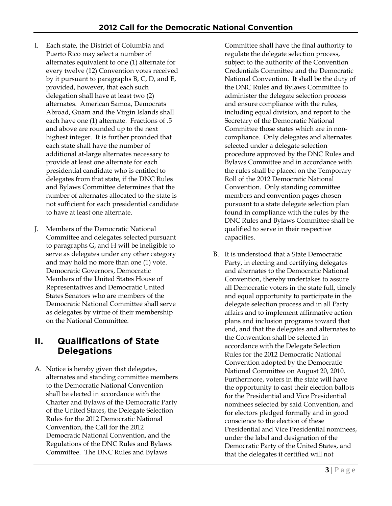- I. Each state, the District of Columbia and Puerto Rico may select a number of alternates equivalent to one (1) alternate for every twelve (12) Convention votes received by it pursuant to paragraphs B, C, D, and E, provided, however, that each such delegation shall have at least two (2) alternates. American Samoa, Democrats Abroad, Guam and the Virgin Islands shall each have one (1) alternate. Fractions of .5 and above are rounded up to the next highest integer. It is further provided that each state shall have the number of additional at-large alternates necessary to provide at least one alternate for each presidential candidate who is entitled to delegates from that state, if the DNC Rules and Bylaws Committee determines that the number of alternates allocated to the state is not sufficient for each presidential candidate to have at least one alternate.
- J. Members of the Democratic National Committee and delegates selected pursuant to paragraphs G, and H will be ineligible to serve as delegates under any other category and may hold no more than one (1) vote. Democratic Governors, Democratic Members of the United States House of Representatives and Democratic United States Senators who are members of the Democratic National Committee shall serve as delegates by virtue of their membership on the National Committee.

## **II. Qualifications of State Delegations**

A. Notice is hereby given that delegates, alternates and standing committee members to the Democratic National Convention shall be elected in accordance with the Charter and Bylaws of the Democratic Party of the United States, the Delegate Selection Rules for the 2012 Democratic National Convention, the Call for the 2012 Democratic National Convention, and the Regulations of the DNC Rules and Bylaws Committee. The DNC Rules and Bylaws

Committee shall have the final authority to regulate the delegate selection process, subject to the authority of the Convention Credentials Committee and the Democratic National Convention. It shall be the duty of the DNC Rules and Bylaws Committee to administer the delegate selection process and ensure compliance with the rules, including equal division, and report to the Secretary of the Democratic National Committee those states which are in noncompliance. Only delegates and alternates selected under a delegate selection procedure approved by the DNC Rules and Bylaws Committee and in accordance with the rules shall be placed on the Temporary Roll of the 2012 Democratic National Convention. Only standing committee members and convention pages chosen pursuant to a state delegate selection plan found in compliance with the rules by the DNC Rules and Bylaws Committee shall be qualified to serve in their respective capacities.

B. It is understood that a State Democratic Party, in electing and certifying delegates and alternates to the Democratic National Convention, thereby undertakes to assure all Democratic voters in the state full, timely and equal opportunity to participate in the delegate selection process and in all Party affairs and to implement affirmative action plans and inclusion programs toward that end, and that the delegates and alternates to the Convention shall be selected in accordance with the Delegate Selection Rules for the 2012 Democratic National Convention adopted by the Democratic National Committee on August 20, 2010. Furthermore, voters in the state will have the opportunity to cast their election ballots for the Presidential and Vice Presidential nominees selected by said Convention, and for electors pledged formally and in good conscience to the election of these Presidential and Vice Presidential nominees, under the label and designation of the Democratic Party of the United States, and that the delegates it certified will not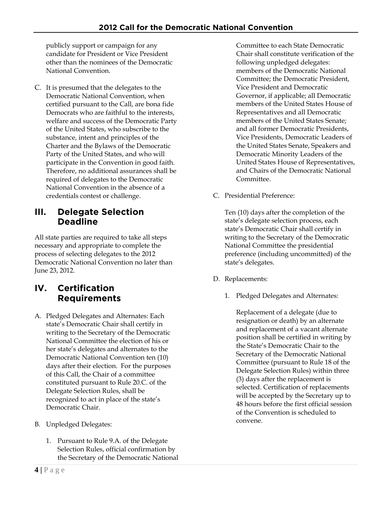publicly support or campaign for any candidate for President or Vice President other than the nominees of the Democratic National Convention.

C. It is presumed that the delegates to the Democratic National Convention, when certified pursuant to the Call, are bona fide Democrats who are faithful to the interests, welfare and success of the Democratic Party of the United States, who subscribe to the substance, intent and principles of the Charter and the Bylaws of the Democratic Party of the United States, and who will participate in the Convention in good faith. Therefore, no additional assurances shall be required of delegates to the Democratic National Convention in the absence of a credentials contest or challenge.

#### **III. Delegate Selection Deadline**

All state parties are required to take all steps necessary and appropriate to complete the process of selecting delegates to the 2012 Democratic National Convention no later than June 23, 2012.

## **IV. Certification Requirements**

- A. Pledged Delegates and Alternates: Each state's Democratic Chair shall certify in writing to the Secretary of the Democratic National Committee the election of his or her state's delegates and alternates to the Democratic National Convention ten (10) days after their election. For the purposes of this Call, the Chair of a committee constituted pursuant to Rule 20.C. of the Delegate Selection Rules, shall be recognized to act in place of the state's Democratic Chair.
- B. Unpledged Delegates:
	- 1. Pursuant to Rule 9.A. of the Delegate Selection Rules, official confirmation by the Secretary of the Democratic National

Committee to each State Democratic Chair shall constitute verification of the following unpledged delegates: members of the Democratic National Committee; the Democratic President, Vice President and Democratic Governor, if applicable; all Democratic members of the United States House of Representatives and all Democratic members of the United States Senate; and all former Democratic Presidents, Vice Presidents, Democratic Leaders of the United States Senate, Speakers and Democratic Minority Leaders of the United States House of Representatives, and Chairs of the Democratic National Committee.

C. Presidential Preference:

Ten (10) days after the completion of the state's delegate selection process, each state's Democratic Chair shall certify in writing to the Secretary of the Democratic National Committee the presidential preference (including uncommitted) of the state's delegates.

- D. Replacements:
	- 1. Pledged Delegates and Alternates:

Replacement of a delegate (due to resignation or death) by an alternate and replacement of a vacant alternate position shall be certified in writing by the State's Democratic Chair to the Secretary of the Democratic National Committee (pursuant to Rule 18 of the Delegate Selection Rules) within three (3) days after the replacement is selected. Certification of replacements will be accepted by the Secretary up to 48 hours before the first official session of the Convention is scheduled to convene.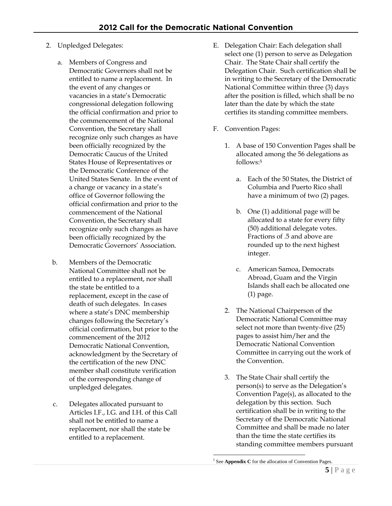- 2. Unpledged Delegates:
	- a. Members of Congress and Democratic Governors shall not be entitled to name a replacement. In the event of any changes or vacancies in a state's Democratic congressional delegation following the official confirmation and prior to the commencement of the National Convention, the Secretary shall recognize only such changes as have been officially recognized by the Democratic Caucus of the United States House of Representatives or the Democratic Conference of the United States Senate. In the event of a change or vacancy in a state's office of Governor following the official confirmation and prior to the commencement of the National Convention, the Secretary shall recognize only such changes as have been officially recognized by the Democratic Governors' Association.
	- b. Members of the Democratic National Committee shall not be entitled to a replacement, nor shall the state be entitled to a replacement, except in the case of death of such delegates. In cases where a state's DNC membership changes following the Secretary's official confirmation, but prior to the commencement of the 2012 Democratic National Convention, acknowledgment by the Secretary of the certification of the new DNC member shall constitute verification of the corresponding change of unpledged delegates.
	- c. Delegates allocated pursuant to Articles I.F., I.G. and I.H. of this Call shall not be entitled to name a replacement, nor shall the state be entitled to a replacement.
- E. Delegation Chair: Each delegation shall select one (1) person to serve as Delegation Chair. The State Chair shall certify the Delegation Chair. Such certification shall be in writing to the Secretary of the Democratic National Committee within three (3) days after the position is filled, which shall be no later than the date by which the state certifies its standing committee members.
- F. Convention Pages:
	- 1. A base of 150 Convention Pages shall be allocated among the 56 delegations as follows:5
		- a. Each of the 50 States, the District of Columbia and Puerto Rico shall have a minimum of two (2) pages.
		- b. One (1) additional page will be allocated to a state for every fifty (50) additional delegate votes. Fractions of .5 and above are rounded up to the next highest integer.
		- c. American Samoa, Democrats Abroad, Guam and the Virgin Islands shall each be allocated one (1) page.
	- 2. The National Chairperson of the Democratic National Committee may select not more than twenty-five (25) pages to assist him/her and the Democratic National Convention Committee in carrying out the work of the Convention.
	- 3. The State Chair shall certify the person(s) to serve as the Delegation's Convention Page(s), as allocated to the delegation by this section. Such certification shall be in writing to the Secretary of the Democratic National Committee and shall be made no later than the time the state certifies its standing committee members pursuant

 $\overline{a}$ 

<sup>&</sup>lt;sup>5</sup> See **Appendix C** for the allocation of Convention Pages.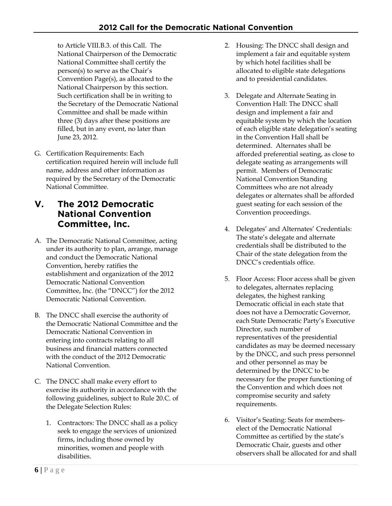to Article VIII.B.3. of this Call. The National Chairperson of the Democratic National Committee shall certify the person(s) to serve as the Chair's Convention Page(s), as allocated to the National Chairperson by this section. Such certification shall be in writing to the Secretary of the Democratic National Committee and shall be made within three (3) days after these positions are filled, but in any event, no later than June 23, 2012.

G. Certification Requirements: Each certification required herein will include full name, address and other information as required by the Secretary of the Democratic National Committee.

#### **V. The 2012 Democratic National Convention Committee, Inc.**

- A. The Democratic National Committee, acting under its authority to plan, arrange, manage and conduct the Democratic National Convention, hereby ratifies the establishment and organization of the 2012 Democratic National Convention Committee, Inc. (the "DNCC") for the 2012 Democratic National Convention.
- B. The DNCC shall exercise the authority of the Democratic National Committee and the Democratic National Convention in entering into contracts relating to all business and financial matters connected with the conduct of the 2012 Democratic National Convention.
- C. The DNCC shall make every effort to exercise its authority in accordance with the following guidelines, subject to Rule 20.C. of the Delegate Selection Rules:
	- 1. Contractors: The DNCC shall as a policy seek to engage the services of unionized firms, including those owned by minorities, women and people with disabilities.
- 2. Housing: The DNCC shall design and implement a fair and equitable system by which hotel facilities shall be allocated to eligible state delegations and to presidential candidates.
- 3. Delegate and Alternate Seating in Convention Hall: The DNCC shall design and implement a fair and equitable system by which the location of each eligible state delegation's seating in the Convention Hall shall be determined. Alternates shall be afforded preferential seating, as close to delegate seating as arrangements will permit. Members of Democratic National Convention Standing Committees who are not already delegates or alternates shall be afforded guest seating for each session of the Convention proceedings.
- 4. Delegates' and Alternates' Credentials: The state's delegate and alternate credentials shall be distributed to the Chair of the state delegation from the DNCC's credentials office.
- 5. Floor Access: Floor access shall be given to delegates, alternates replacing delegates, the highest ranking Democratic official in each state that does not have a Democratic Governor, each State Democratic Party's Executive Director, such number of representatives of the presidential candidates as may be deemed necessary by the DNCC, and such press personnel and other personnel as may be determined by the DNCC to be necessary for the proper functioning of the Convention and which does not compromise security and safety requirements.
- 6. Visitor's Seating: Seats for memberselect of the Democratic National Committee as certified by the state's Democratic Chair, guests and other observers shall be allocated for and shall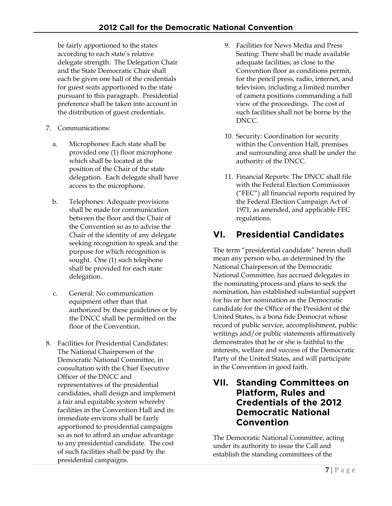be fairly apportioned to the states according to each state's relative delegate strength. The Delegation Chair and the State Democratic Chair shall each be given one half of the credentials for guest seats apportioned to the state pursuant to this paragraph. Presidential preference shall be taken into account in the distribution of guest credentials.

- 7. Communications:
	- a. Microphones: Each state shall be provided one (1) floor microphone which shall be located at the position of the Chair of the state delegation. Each delegate shall have access to the microphone.
	- b. Telephones: Adequate provisions shall be made for communication between the floor and the Chair of the Convention so as to advise the Chair of the identity of any delegate seeking recognition to speak and the purpose for which recognition is sought. One (1) such telephone shall be provided for each state delegation.
	- c. General: No communication equipment other than that authorized by these guidelines or by the DNCC shall be permitted on the floor of the Convention.
- 8. Facilities for Presidential Candidates: The National Chairperson of the Democratic National Committee, in consultation with the Chief Executive Officer of the DNCC and representatives of the presidential candidates, shall design and implement a fair and equitable system whereby facilities in the Convention Hall and its immediate environs shall be fairly apportioned to presidential campaigns so as not to afford an undue advantage to any presidential candidate. The cost of such facilities shall be paid by the presidential campaigns.
- 9. Facilities for News Media and Press Seating: There shall be made available adequate facilities, as close to the Convention floor as conditions permit, for the pencil press, radio, internet, and television, including a limited number of camera positions commanding a full view of the proceedings. The cost of such facilities shall not be borne by the DNCC.
- 10. Security: Coordination for security within the Convention Hall, premises and surrounding area shall be under the authority of the DNCC.
- 11. Financial Reports: The DNCC shall file with the Federal Election Commission ("FEC") all financial reports required by the Federal Election Campaign Act of 1971, as amended, and applicable FEC regulations.

# **VI. Presidential Candidates**

The term "presidential candidate" herein shall mean any person who, as determined by the National Chairperson of the Democratic National Committee, has accrued delegates in the nominating process and plans to seek the nomination, has established substantial support for his or her nomination as the Democratic candidate for the Office of the President of the United States, is a bona fide Democrat whose record of public service, accomplishment, public writings and/or public statements affirmatively demonstrates that he or she is faithful to the interests, welfare and success of the Democratic Party of the United States, and will participate in the Convention in good faith.

#### **VII. Standing Committees on Platform, Rules and Credentials of the 2012 Democratic National Convention**

The Democratic National Committee, acting under its authority to issue the Call and establish the standing committees of the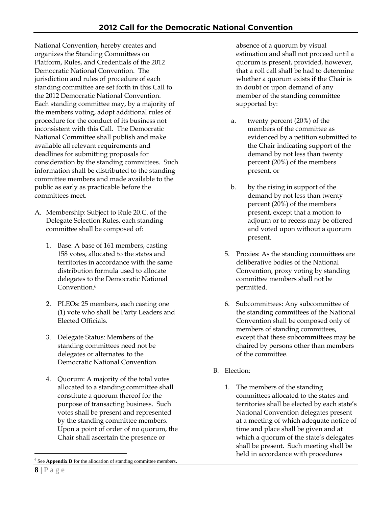National Convention, hereby creates and organizes the Standing Committees on Platform, Rules, and Credentials of the 2012 Democratic National Convention. The jurisdiction and rules of procedure of each standing committee are set forth in this Call to the 2012 Democratic National Convention. Each standing committee may, by a majority of the members voting, adopt additional rules of procedure for the conduct of its business not inconsistent with this Call. The Democratic National Committee shall publish and make available all relevant requirements and deadlines for submitting proposals for consideration by the standing committees. Such information shall be distributed to the standing committee members and made available to the public as early as practicable before the committees meet.

- A. Membership: Subject to Rule 20.C. of the Delegate Selection Rules, each standing committee shall be composed of:
	- 1. Base: A base of 161 members, casting 158 votes, allocated to the states and territories in accordance with the same distribution formula used to allocate delegates to the Democratic National Convention.<sup>6</sup>
	- 2. PLEOs: 25 members, each casting one (1) vote who shall be Party Leaders and Elected Officials.
	- 3. Delegate Status: Members of the standing committees need not be delegates or alternates to the Democratic National Convention.
	- 4. Quorum: A majority of the total votes allocated to a standing committee shall constitute a quorum thereof for the purpose of transacting business. Such votes shall be present and represented by the standing committee members. Upon a point of order of no quorum, the Chair shall ascertain the presence or

absence of a quorum by visual estimation and shall not proceed until a quorum is present, provided, however, that a roll call shall be had to determine whether a quorum exists if the Chair is in doubt or upon demand of any member of the standing committee supported by:

- a. twenty percent (20%) of the members of the committee as evidenced by a petition submitted to the Chair indicating support of the demand by not less than twenty percent (20%) of the members present, or
- b. by the rising in support of the demand by not less than twenty percent (20%) of the members present, except that a motion to adjourn or to recess may be offered and voted upon without a quorum present.
- 5. Proxies: As the standing committees are deliberative bodies of the National Convention, proxy voting by standing committee members shall not be permitted.
- 6. Subcommittees: Any subcommittee of the standing committees of the National Convention shall be composed only of members of standing committees, except that these subcommittees may be chaired by persons other than members of the committee.
- B. Election:
	- 1. The members of the standing committees allocated to the states and territories shall be elected by each state's National Convention delegates present at a meeting of which adequate notice of time and place shall be given and at which a quorum of the state's delegates shall be present. Such meeting shall be held in accordance with procedures

 $\overline{a}$ 

<sup>&</sup>lt;sup>6</sup> See **Appendix D** for the allocation of standing committee members.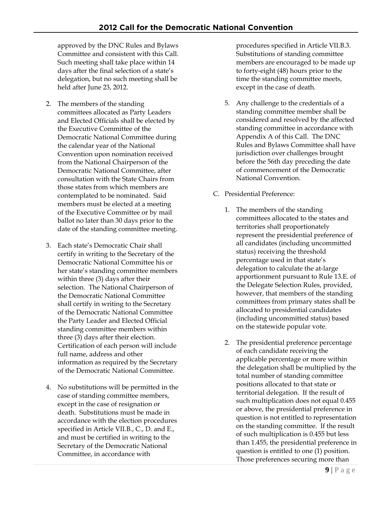approved by the DNC Rules and Bylaws Committee and consistent with this Call. Such meeting shall take place within 14 days after the final selection of a state's delegation, but no such meeting shall be held after June 23, 2012.

- 2. The members of the standing committees allocated as Party Leaders and Elected Officials shall be elected by the Executive Committee of the Democratic National Committee during the calendar year of the National Convention upon nomination received from the National Chairperson of the Democratic National Committee, after consultation with the State Chairs from those states from which members are contemplated to be nominated. Said members must be elected at a meeting of the Executive Committee or by mail ballot no later than 30 days prior to the date of the standing committee meeting.
- 3. Each state's Democratic Chair shall certify in writing to the Secretary of the Democratic National Committee his or her state's standing committee members within three (3) days after their selection. The National Chairperson of the Democratic National Committee shall certify in writing to the Secretary of the Democratic National Committee the Party Leader and Elected Official standing committee members within three (3) days after their election. Certification of each person will include full name, address and other information as required by the Secretary of the Democratic National Committee.
- 4. No substitutions will be permitted in the case of standing committee members, except in the case of resignation or death. Substitutions must be made in accordance with the election procedures specified in Article VII.B., C., D. and E., and must be certified in writing to the Secretary of the Democratic National Committee, in accordance with

procedures specified in Article VII.B.3. Substitutions of standing committee members are encouraged to be made up to forty-eight (48) hours prior to the time the standing committee meets, except in the case of death.

- 5. Any challenge to the credentials of a standing committee member shall be considered and resolved by the affected standing committee in accordance with Appendix A of this Call. The DNC Rules and Bylaws Committee shall have jurisdiction over challenges brought before the 56th day preceding the date of commencement of the Democratic National Convention.
- C. Presidential Preference:
	- 1. The members of the standing committees allocated to the states and territories shall proportionately represent the presidential preference of all candidates (including uncommitted status) receiving the threshold percentage used in that state's delegation to calculate the at-large apportionment pursuant to Rule 13.E. of the Delegate Selection Rules, provided, however, that members of the standing committees from primary states shall be allocated to presidential candidates (including uncommitted status) based on the statewide popular vote.
	- 2. The presidential preference percentage of each candidate receiving the applicable percentage or more within the delegation shall be multiplied by the total number of standing committee positions allocated to that state or territorial delegation. If the result of such multiplication does not equal 0.455 or above, the presidential preference in question is not entitled to representation on the standing committee. If the result of such multiplication is 0.455 but less than 1.455, the presidential preference in question is entitled to one (1) position. Those preferences securing more than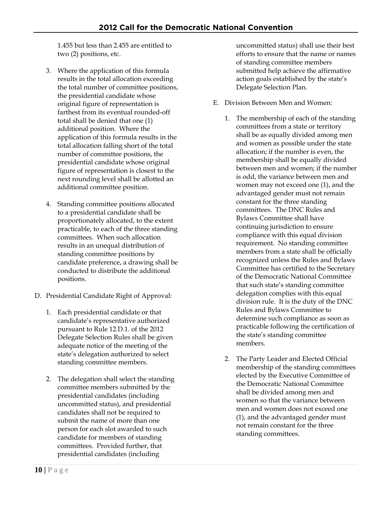1.455 but less than 2.455 are entitled to two (2) positions, etc.

- 3. Where the application of this formula results in the total allocation exceeding the total number of committee positions, the presidential candidate whose original figure of representation is farthest from its eventual rounded-off total shall be denied that one (1) additional position. Where the application of this formula results in the total allocation falling short of the total number of committee positions, the presidential candidate whose original figure of representation is closest to the next rounding level shall be allotted an additional committee position.
- 4. Standing committee positions allocated to a presidential candidate shall be proportionately allocated, to the extent practicable, to each of the three standing committees. When such allocation results in an unequal distribution of standing committee positions by candidate preference, a drawing shall be conducted to distribute the additional positions.
- D. Presidential Candidate Right of Approval:
	- 1. Each presidential candidate or that candidate's representative authorized pursuant to Rule 12.D.1. of the 2012 Delegate Selection Rules shall be given adequate notice of the meeting of the state's delegation authorized to select standing committee members.
	- 2. The delegation shall select the standing committee members submitted by the presidential candidates (including uncommitted status), and presidential candidates shall not be required to submit the name of more than one person for each slot awarded to such candidate for members of standing committees. Provided further, that presidential candidates (including

uncommitted status) shall use their best efforts to ensure that the name or names of standing committee members submitted help achieve the affirmative action goals established by the state's Delegate Selection Plan.

- E. Division Between Men and Women:
	- 1. The membership of each of the standing committees from a state or territory shall be as equally divided among men and women as possible under the state allocation; if the number is even, the membership shall be equally divided between men and women; if the number is odd, the variance between men and women may not exceed one (1), and the advantaged gender must not remain constant for the three standing committees. The DNC Rules and Bylaws Committee shall have continuing jurisdiction to ensure compliance with this equal division requirement. No standing committee members from a state shall be officially recognized unless the Rules and Bylaws Committee has certified to the Secretary of the Democratic National Committee that such state's standing committee delegation complies with this equal division rule. It is the duty of the DNC Rules and Bylaws Committee to determine such compliance as soon as practicable following the certification of the state's standing committee members.
	- 2. The Party Leader and Elected Official membership of the standing committees elected by the Executive Committee of the Democratic National Committee shall be divided among men and women so that the variance between men and women does not exceed one (1), and the advantaged gender must not remain constant for the three standing committees.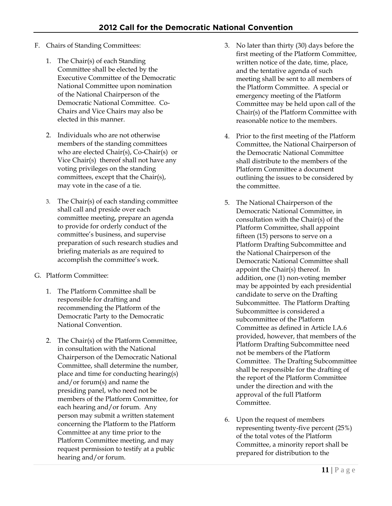- F. Chairs of Standing Committees:
	- 1. The Chair(s) of each Standing Committee shall be elected by the Executive Committee of the Democratic National Committee upon nomination of the National Chairperson of the Democratic National Committee. Co-Chairs and Vice Chairs may also be elected in this manner.
	- 2. Individuals who are not otherwise members of the standing committees who are elected Chair(s), Co-Chair(s) or Vice Chair(s) thereof shall not have any voting privileges on the standing committees, except that the Chair(s), may vote in the case of a tie.
	- 3. The Chair(s) of each standing committee shall call and preside over each committee meeting, prepare an agenda to provide for orderly conduct of the committee's business, and supervise preparation of such research studies and briefing materials as are required to accomplish the committee's work.
- G. Platform Committee:
	- 1. The Platform Committee shall be responsible for drafting and recommending the Platform of the Democratic Party to the Democratic National Convention.
	- 2. The Chair(s) of the Platform Committee, in consultation with the National Chairperson of the Democratic National Committee, shall determine the number, place and time for conducting hearing(s) and/or forum(s) and name the presiding panel, who need not be members of the Platform Committee, for each hearing and/or forum. Any person may submit a written statement concerning the Platform to the Platform Committee at any time prior to the Platform Committee meeting, and may request permission to testify at a public hearing and/or forum.
- 3. No later than thirty (30) days before the first meeting of the Platform Committee, written notice of the date, time, place, and the tentative agenda of such meeting shall be sent to all members of the Platform Committee. A special or emergency meeting of the Platform Committee may be held upon call of the Chair(s) of the Platform Committee with reasonable notice to the members.
- 4. Prior to the first meeting of the Platform Committee, the National Chairperson of the Democratic National Committee shall distribute to the members of the Platform Committee a document outlining the issues to be considered by the committee.
- 5. The National Chairperson of the Democratic National Committee, in consultation with the Chair(s) of the Platform Committee, shall appoint fifteen (15) persons to serve on a Platform Drafting Subcommittee and the National Chairperson of the Democratic National Committee shall appoint the Chair(s) thereof. In addition, one (1) non-voting member may be appointed by each presidential candidate to serve on the Drafting Subcommittee. The Platform Drafting Subcommittee is considered a subcommittee of the Platform Committee as defined in Article I.A.6 provided, however, that members of the Platform Drafting Subcommittee need not be members of the Platform Committee. The Drafting Subcommittee shall be responsible for the drafting of the report of the Platform Committee under the direction and with the approval of the full Platform Committee.
- 6. Upon the request of members representing twenty-five percent (25%) of the total votes of the Platform Committee, a minority report shall be prepared for distribution to the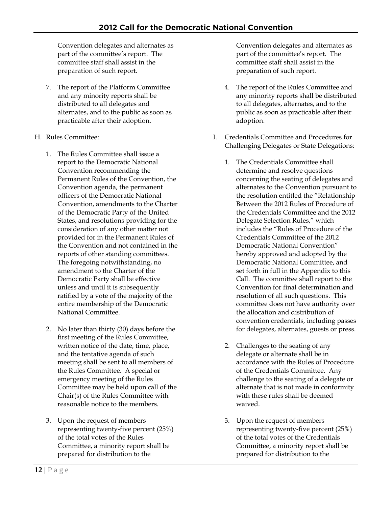Convention delegates and alternates as part of the committee's report. The committee staff shall assist in the preparation of such report.

- 7. The report of the Platform Committee and any minority reports shall be distributed to all delegates and alternates, and to the public as soon as practicable after their adoption.
- H. Rules Committee:
	- 1. The Rules Committee shall issue a report to the Democratic National Convention recommending the Permanent Rules of the Convention, the Convention agenda, the permanent officers of the Democratic National Convention, amendments to the Charter of the Democratic Party of the United States, and resolutions providing for the consideration of any other matter not provided for in the Permanent Rules of the Convention and not contained in the reports of other standing committees. The foregoing notwithstanding, no amendment to the Charter of the Democratic Party shall be effective unless and until it is subsequently ratified by a vote of the majority of the entire membership of the Democratic National Committee.
	- 2. No later than thirty (30) days before the first meeting of the Rules Committee, written notice of the date, time, place, and the tentative agenda of such meeting shall be sent to all members of the Rules Committee. A special or emergency meeting of the Rules Committee may be held upon call of the Chair(s) of the Rules Committee with reasonable notice to the members.
	- 3. Upon the request of members representing twenty-five percent (25%) of the total votes of the Rules Committee, a minority report shall be prepared for distribution to the

Convention delegates and alternates as part of the committee's report. The committee staff shall assist in the preparation of such report.

- 4. The report of the Rules Committee and any minority reports shall be distributed to all delegates, alternates, and to the public as soon as practicable after their adoption.
- I. Credentials Committee and Procedures for Challenging Delegates or State Delegations:
	- 1. The Credentials Committee shall determine and resolve questions concerning the seating of delegates and alternates to the Convention pursuant to the resolution entitled the "Relationship Between the 2012 Rules of Procedure of the Credentials Committee and the 2012 Delegate Selection Rules," which includes the "Rules of Procedure of the Credentials Committee of the 2012 Democratic National Convention" hereby approved and adopted by the Democratic National Committee, and set forth in full in the Appendix to this Call. The committee shall report to the Convention for final determination and resolution of all such questions. This committee does not have authority over the allocation and distribution of convention credentials, including passes for delegates, alternates, guests or press.
	- 2. Challenges to the seating of any delegate or alternate shall be in accordance with the Rules of Procedure of the Credentials Committee. Any challenge to the seating of a delegate or alternate that is not made in conformity with these rules shall be deemed waived.
	- 3. Upon the request of members representing twenty-five percent (25%) of the total votes of the Credentials Committee, a minority report shall be prepared for distribution to the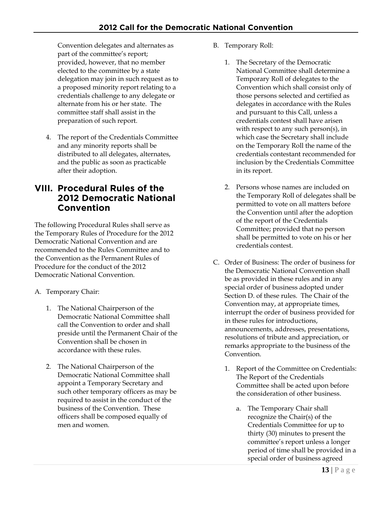Convention delegates and alternates as part of the committee's report; provided, however, that no member elected to the committee by a state delegation may join in such request as to a proposed minority report relating to a credentials challenge to any delegate or alternate from his or her state. The committee staff shall assist in the preparation of such report.

4. The report of the Credentials Committee and any minority reports shall be distributed to all delegates, alternates, and the public as soon as practicable after their adoption.

### **VIII. Procedural Rules of the 2012 Democratic National Convention**

The following Procedural Rules shall serve as the Temporary Rules of Procedure for the 2012 Democratic National Convention and are recommended to the Rules Committee and to the Convention as the Permanent Rules of Procedure for the conduct of the 2012 Democratic National Convention.

- A. Temporary Chair:
	- 1. The National Chairperson of the Democratic National Committee shall call the Convention to order and shall preside until the Permanent Chair of the Convention shall be chosen in accordance with these rules.
	- 2. The National Chairperson of the Democratic National Committee shall appoint a Temporary Secretary and such other temporary officers as may be required to assist in the conduct of the business of the Convention. These officers shall be composed equally of men and women.
- B. Temporary Roll:
	- 1. The Secretary of the Democratic National Committee shall determine a Temporary Roll of delegates to the Convention which shall consist only of those persons selected and certified as delegates in accordance with the Rules and pursuant to this Call, unless a credentials contest shall have arisen with respect to any such person(s), in which case the Secretary shall include on the Temporary Roll the name of the credentials contestant recommended for inclusion by the Credentials Committee in its report.
	- 2. Persons whose names are included on the Temporary Roll of delegates shall be permitted to vote on all matters before the Convention until after the adoption of the report of the Credentials Committee; provided that no person shall be permitted to vote on his or her credentials contest.
- C. Order of Business: The order of business for the Democratic National Convention shall be as provided in these rules and in any special order of business adopted under Section D. of these rules. The Chair of the Convention may, at appropriate times, interrupt the order of business provided for in these rules for introductions, announcements, addresses, presentations, resolutions of tribute and appreciation, or remarks appropriate to the business of the Convention.
	- 1. Report of the Committee on Credentials: The Report of the Credentials Committee shall be acted upon before the consideration of other business.
		- a. The Temporary Chair shall recognize the Chair(s) of the Credentials Committee for up to thirty (30) minutes to present the committee's report unless a longer period of time shall be provided in a special order of business agreed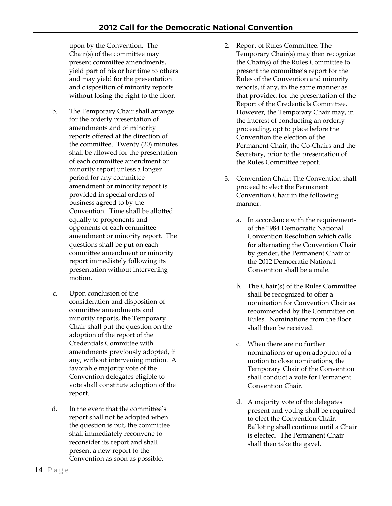upon by the Convention. The Chair(s) of the committee may present committee amendments, yield part of his or her time to others and may yield for the presentation and disposition of minority reports without losing the right to the floor.

- b. The Temporary Chair shall arrange for the orderly presentation of amendments and of minority reports offered at the direction of the committee. Twenty (20) minutes shall be allowed for the presentation of each committee amendment or minority report unless a longer period for any committee amendment or minority report is provided in special orders of business agreed to by the Convention. Time shall be allotted equally to proponents and opponents of each committee amendment or minority report. The questions shall be put on each committee amendment or minority report immediately following its presentation without intervening motion.
- c. Upon conclusion of the consideration and disposition of committee amendments and minority reports, the Temporary Chair shall put the question on the adoption of the report of the Credentials Committee with amendments previously adopted, if any, without intervening motion. A favorable majority vote of the Convention delegates eligible to vote shall constitute adoption of the report.
- d. In the event that the committee's report shall not be adopted when the question is put, the committee shall immediately reconvene to reconsider its report and shall present a new report to the Convention as soon as possible.
- 2. Report of Rules Committee: The Temporary Chair(s) may then recognize the Chair(s) of the Rules Committee to present the committee's report for the Rules of the Convention and minority reports, if any, in the same manner as that provided for the presentation of the Report of the Credentials Committee. However, the Temporary Chair may, in the interest of conducting an orderly proceeding, opt to place before the Convention the election of the Permanent Chair, the Co-Chairs and the Secretary, prior to the presentation of the Rules Committee report.
- 3. Convention Chair: The Convention shall proceed to elect the Permanent Convention Chair in the following manner:
	- a. In accordance with the requirements of the 1984 Democratic National Convention Resolution which calls for alternating the Convention Chair by gender, the Permanent Chair of the 2012 Democratic National Convention shall be a male.
	- b. The Chair(s) of the Rules Committee shall be recognized to offer a nomination for Convention Chair as recommended by the Committee on Rules. Nominations from the floor shall then be received.
	- c. When there are no further nominations or upon adoption of a motion to close nominations, the Temporary Chair of the Convention shall conduct a vote for Permanent Convention Chair.
	- d. A majority vote of the delegates present and voting shall be required to elect the Convention Chair. Balloting shall continue until a Chair is elected. The Permanent Chair shall then take the gavel.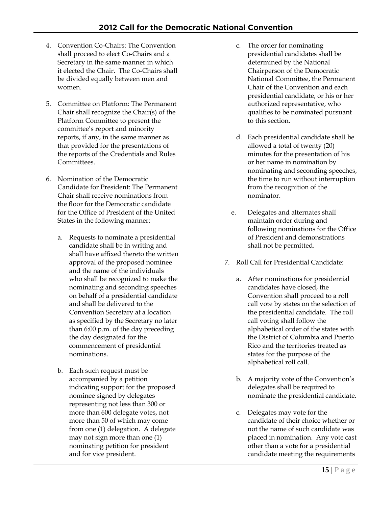- 4. Convention Co-Chairs: The Convention shall proceed to elect Co-Chairs and a Secretary in the same manner in which it elected the Chair. The Co-Chairs shall be divided equally between men and women.
- 5. Committee on Platform: The Permanent Chair shall recognize the Chair(s) of the Platform Committee to present the committee's report and minority reports, if any, in the same manner as that provided for the presentations of the reports of the Credentials and Rules Committees.
- 6. Nomination of the Democratic Candidate for President: The Permanent Chair shall receive nominations from the floor for the Democratic candidate for the Office of President of the United States in the following manner:
	- a. Requests to nominate a presidential candidate shall be in writing and shall have affixed thereto the written approval of the proposed nominee and the name of the individuals who shall be recognized to make the nominating and seconding speeches on behalf of a presidential candidate and shall be delivered to the Convention Secretary at a location as specified by the Secretary no later than 6:00 p.m. of the day preceding the day designated for the commencement of presidential nominations.
	- b. Each such request must be accompanied by a petition indicating support for the proposed nominee signed by delegates representing not less than 300 or more than 600 delegate votes, not more than 50 of which may come from one (1) delegation. A delegate may not sign more than one (1) nominating petition for president and for vice president.
- c. The order for nominating presidential candidates shall be determined by the National Chairperson of the Democratic National Committee, the Permanent Chair of the Convention and each presidential candidate, or his or her authorized representative, who qualifies to be nominated pursuant to this section.
- d. Each presidential candidate shall be allowed a total of twenty (20) minutes for the presentation of his or her name in nomination by nominating and seconding speeches, the time to run without interruption from the recognition of the nominator.
- e. Delegates and alternates shall maintain order during and following nominations for the Office of President and demonstrations shall not be permitted.
- 7. Roll Call for Presidential Candidate:
	- a. After nominations for presidential candidates have closed, the Convention shall proceed to a roll call vote by states on the selection of the presidential candidate. The roll call voting shall follow the alphabetical order of the states with the District of Columbia and Puerto Rico and the territories treated as states for the purpose of the alphabetical roll call.
	- b. A majority vote of the Convention's delegates shall be required to nominate the presidential candidate.
	- c. Delegates may vote for the candidate of their choice whether or not the name of such candidate was placed in nomination. Any vote cast other than a vote for a presidential candidate meeting the requirements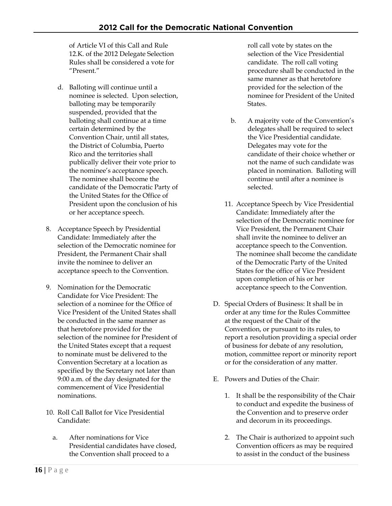of Article VI of this Call and Rule 12.K. of the 2012 Delegate Selection Rules shall be considered a vote for "Present."

- d. Balloting will continue until a nominee is selected. Upon selection, balloting may be temporarily suspended, provided that the balloting shall continue at a time certain determined by the Convention Chair, until all states, the District of Columbia, Puerto Rico and the territories shall publically deliver their vote prior to the nominee's acceptance speech. The nominee shall become the candidate of the Democratic Party of the United States for the Office of President upon the conclusion of his or her acceptance speech.
- 8. Acceptance Speech by Presidential Candidate: Immediately after the selection of the Democratic nominee for President, the Permanent Chair shall invite the nominee to deliver an acceptance speech to the Convention.
- 9. Nomination for the Democratic Candidate for Vice President: The selection of a nominee for the Office of Vice President of the United States shall be conducted in the same manner as that heretofore provided for the selection of the nominee for President of the United States except that a request to nominate must be delivered to the Convention Secretary at a location as specified by the Secretary not later than 9:00 a.m. of the day designated for the commencement of Vice Presidential nominations.
- 10. Roll Call Ballot for Vice Presidential Candidate:
	- a. After nominations for Vice Presidential candidates have closed, the Convention shall proceed to a

roll call vote by states on the selection of the Vice Presidential candidate. The roll call voting procedure shall be conducted in the same manner as that heretofore provided for the selection of the nominee for President of the United States.

- b. A majority vote of the Convention's delegates shall be required to select the Vice Presidential candidate. Delegates may vote for the candidate of their choice whether or not the name of such candidate was placed in nomination. Balloting will continue until after a nominee is selected.
- 11. Acceptance Speech by Vice Presidential Candidate: Immediately after the selection of the Democratic nominee for Vice President, the Permanent Chair shall invite the nominee to deliver an acceptance speech to the Convention. The nominee shall become the candidate of the Democratic Party of the United States for the office of Vice President upon completion of his or her acceptance speech to the Convention.
- D. Special Orders of Business: It shall be in order at any time for the Rules Committee at the request of the Chair of the Convention, or pursuant to its rules, to report a resolution providing a special order of business for debate of any resolution, motion, committee report or minority report or for the consideration of any matter.
- E. Powers and Duties of the Chair:
	- 1. It shall be the responsibility of the Chair to conduct and expedite the business of the Convention and to preserve order and decorum in its proceedings.
	- 2. The Chair is authorized to appoint such Convention officers as may be required to assist in the conduct of the business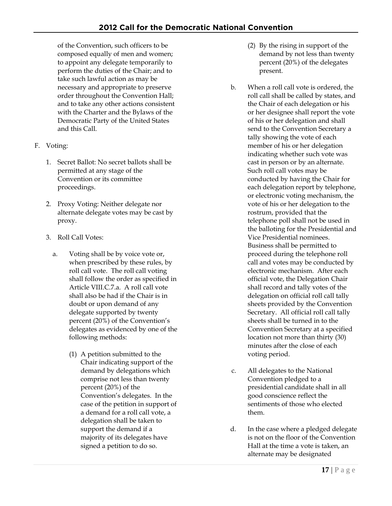of the Convention, such officers to be composed equally of men and women; to appoint any delegate temporarily to perform the duties of the Chair; and to take such lawful action as may be necessary and appropriate to preserve order throughout the Convention Hall; and to take any other actions consistent with the Charter and the Bylaws of the Democratic Party of the United States and this Call.

- F. Voting:
	- 1. Secret Ballot: No secret ballots shall be permitted at any stage of the Convention or its committee proceedings.
	- 2. Proxy Voting: Neither delegate nor alternate delegate votes may be cast by proxy.
	- 3. Roll Call Votes:
		- a. Voting shall be by voice vote or, when prescribed by these rules, by roll call vote. The roll call voting shall follow the order as specified in Article VIII.C.7.a. A roll call vote shall also be had if the Chair is in doubt or upon demand of any delegate supported by twenty percent (20%) of the Convention's delegates as evidenced by one of the following methods:
			- (1) A petition submitted to the Chair indicating support of the demand by delegations which comprise not less than twenty percent (20%) of the Convention's delegates. In the case of the petition in support of a demand for a roll call vote, a delegation shall be taken to support the demand if a majority of its delegates have signed a petition to do so.
- (2) By the rising in support of the demand by not less than twenty percent (20%) of the delegates present.
- b. When a roll call vote is ordered, the roll call shall be called by states, and the Chair of each delegation or his or her designee shall report the vote of his or her delegation and shall send to the Convention Secretary a tally showing the vote of each member of his or her delegation indicating whether such vote was cast in person or by an alternate. Such roll call votes may be conducted by having the Chair for each delegation report by telephone, or electronic voting mechanism, the vote of his or her delegation to the rostrum, provided that the telephone poll shall not be used in the balloting for the Presidential and Vice Presidential nominees. Business shall be permitted to proceed during the telephone roll call and votes may be conducted by electronic mechanism. After each official vote, the Delegation Chair shall record and tally votes of the delegation on official roll call tally sheets provided by the Convention Secretary. All official roll call tally sheets shall be turned in to the Convention Secretary at a specified location not more than thirty (30) minutes after the close of each voting period.
- c. All delegates to the National Convention pledged to a presidential candidate shall in all good conscience reflect the sentiments of those who elected them.
- d. In the case where a pledged delegate is not on the floor of the Convention Hall at the time a vote is taken, an alternate may be designated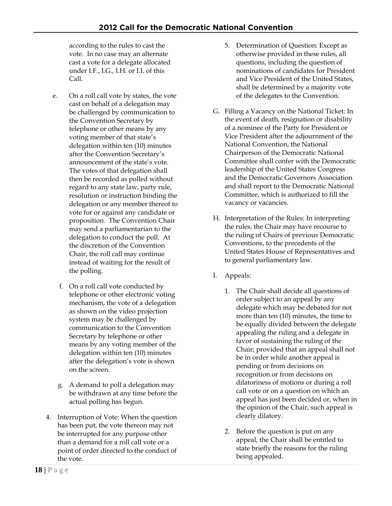according to the rules to cast the vote. In no case may an alternate cast a vote for a delegate allocated under I.F., I.G., I.H. or I.I. of this Call.

- e. On a roll call vote by states, the vote cast on behalf of a delegation may be challenged by communication to the Convention Secretary by telephone or other means by any voting member of that state's delegation within ten (10) minutes after the Convention Secretary's announcement of the state's vote. The votes of that delegation shall then be recorded as polled without regard to any state law, party rule, resolution or instruction binding the delegation or any member thereof to vote for or against any candidate or proposition. The Convention Chair may send a parliamentarian to the delegation to conduct the poll. At the discretion of the Convention Chair, the roll call may continue instead of waiting for the result of the polling.
	- f. On a roll call vote conducted by telephone or other electronic voting mechanism, the vote of a delegation as shown on the video projection system may be challenged by communication to the Convention Secretary by telephone or other means by any voting member of the delegation within ten (10) minutes after the delegation's vote is shown on the screen.
	- g. A demand to poll a delegation may be withdrawn at any time before the actual polling has begun.
- 4. Interruption of Vote: When the question has been put, the vote thereon may not be interrupted for any purpose other than a demand for a roll call vote or a point of order directed to the conduct of the vote.
- 5. Determination of Question: Except as otherwise provided in these rules, all questions, including the question of nominations of candidates for President and Vice President of the United States, shall be determined by a majority vote of the delegates to the Convention.
- G. Filling a Vacancy on the National Ticket: In the event of death, resignation or disability of a nominee of the Party for President or Vice President after the adjournment of the National Convention, the National Chairperson of the Democratic National Committee shall confer with the Democratic leadership of the United States Congress and the Democratic Governors Association and shall report to the Democratic National Committee, which is authorized to fill the vacancy or vacancies.
- H. Interpretation of the Rules: In interpreting the rules, the Chair may have recourse to the ruling of Chairs of previous Democratic Conventions, to the precedents of the United States House of Representatives and to general parliamentary law.
- I. Appeals:
	- 1. The Chair shall decide all questions of order subject to an appeal by any delegate which may be debated for not more than ten (10) minutes, the time to be equally divided between the delegate appealing the ruling and a delegate in favor of sustaining the ruling of the Chair; provided that an appeal shall not be in order while another appeal is pending or from decisions on recognition or from decisions on dilatoriness of motions or during a roll call vote or on a question on which an appeal has just been decided or, when in the opinion of the Chair, such appeal is clearly dilatory.
	- 2. Before the question is put on any appeal, the Chair shall be entitled to state briefly the reasons for the ruling being appealed.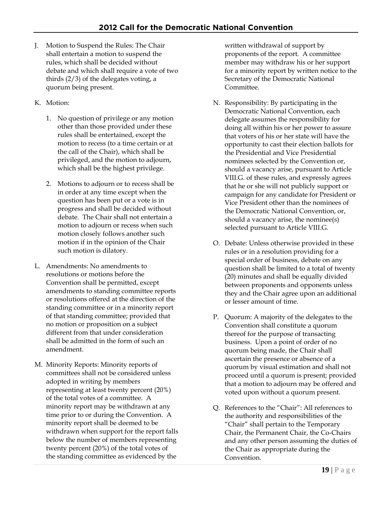- J. Motion to Suspend the Rules: The Chair shall entertain a motion to suspend the rules, which shall be decided without debate and which shall require a vote of two thirds (2/3) of the delegates voting, a quorum being present.
- K. Motion:
	- 1. No question of privilege or any motion other than those provided under these rules shall be entertained, except the motion to recess (to a time certain or at the call of the Chair), which shall be privileged, and the motion to adjourn, which shall be the highest privilege.
	- 2. Motions to adjourn or to recess shall be in order at any time except when the question has been put or a vote is in progress and shall be decided without debate. The Chair shall not entertain a motion to adjourn or recess when such motion closely follows another such motion if in the opinion of the Chair such motion is dilatory.
- L. Amendments: No amendments to resolutions or motions before the Convention shall be permitted, except amendments to standing committee reports or resolutions offered at the direction of the standing committee or in a minority report of that standing committee; provided that no motion or proposition on a subject different from that under consideration shall be admitted in the form of such an amendment.
- M. Minority Reports: Minority reports of committees shall not be considered unless adopted in writing by members representing at least twenty percent (20%) of the total votes of a committee. A minority report may be withdrawn at any time prior to or during the Convention. A minority report shall be deemed to be withdrawn when support for the report falls below the number of members representing twenty percent (20%) of the total votes of the standing committee as evidenced by the

written withdrawal of support by proponents of the report. A committee member may withdraw his or her support for a minority report by written notice to the Secretary of the Democratic National Committee.

- N. Responsibility: By participating in the Democratic National Convention, each delegate assumes the responsibility for doing all within his or her power to assure that voters of his or her state will have the opportunity to cast their election ballots for the Presidential and Vice Presidential nominees selected by the Convention or, should a vacancy arise, pursuant to Article VIII.G. of these rules, and expressly agrees that he or she will not publicly support or campaign for any candidate for President or Vice President other than the nominees of the Democratic National Convention, or, should a vacancy arise, the nominee(s) selected pursuant to Article VIII.G.
- O. Debate: Unless otherwise provided in these rules or in a resolution providing for a special order of business, debate on any question shall be limited to a total of twenty (20) minutes and shall be equally divided between proponents and opponents unless they and the Chair agree upon an additional or lesser amount of time.
- P. Quorum: A majority of the delegates to the Convention shall constitute a quorum thereof for the purpose of transacting business. Upon a point of order of no quorum being made, the Chair shall ascertain the presence or absence of a quorum by visual estimation and shall not proceed until a quorum is present; provided that a motion to adjourn may be offered and voted upon without a quorum present.
- Q. References to the "Chair": All references to the authority and responsibilities of the "Chair" shall pertain to the Temporary Chair, the Permanent Chair, the Co-Chairs and any other person assuming the duties of the Chair as appropriate during the Convention.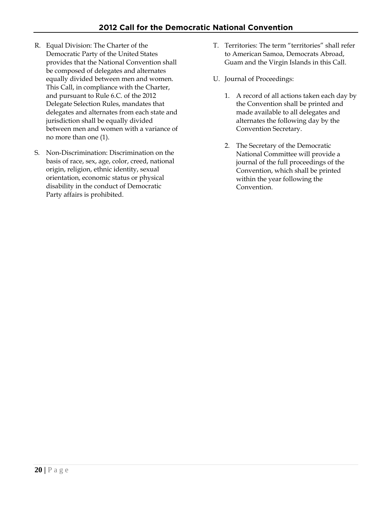- R. Equal Division: The Charter of the Democratic Party of the United States provides that the National Convention shall be composed of delegates and alternates equally divided between men and women. This Call, in compliance with the Charter, and pursuant to Rule 6.C. of the 2012 Delegate Selection Rules, mandates that delegates and alternates from each state and jurisdiction shall be equally divided between men and women with a variance of no more than one (1).
- S. Non-Discrimination: Discrimination on the basis of race, sex, age, color, creed, national origin, religion, ethnic identity, sexual orientation, economic status or physical disability in the conduct of Democratic Party affairs is prohibited.
- T. Territories: The term "territories" shall refer to American Samoa, Democrats Abroad, Guam and the Virgin Islands in this Call.
- U. Journal of Proceedings:
	- 1. A record of all actions taken each day by the Convention shall be printed and made available to all delegates and alternates the following day by the Convention Secretary.
	- 2. The Secretary of the Democratic National Committee will provide a journal of the full proceedings of the Convention, which shall be printed within the year following the Convention.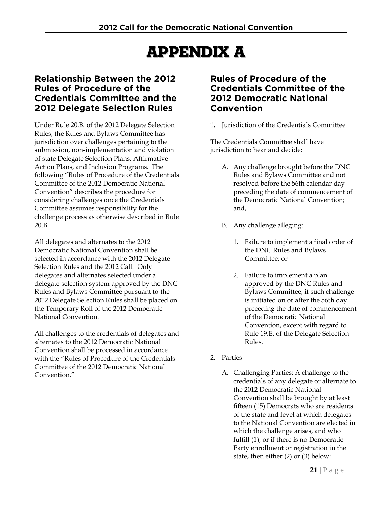# Appendix A

### **Relationship Between the 2012 Rules of Procedure of the Credentials Committee and the 2012 Delegate Selection Rules**

Under Rule 20.B. of the 2012 Delegate Selection Rules, the Rules and Bylaws Committee has jurisdiction over challenges pertaining to the submission, non-implementation and violation of state Delegate Selection Plans, Affirmative Action Plans, and Inclusion Programs. The following "Rules of Procedure of the Credentials Committee of the 2012 Democratic National Convention" describes the procedure for considering challenges once the Credentials Committee assumes responsibility for the challenge process as otherwise described in Rule 20.B.

All delegates and alternates to the 2012 Democratic National Convention shall be selected in accordance with the 2012 Delegate Selection Rules and the 2012 Call. Only delegates and alternates selected under a delegate selection system approved by the DNC Rules and Bylaws Committee pursuant to the 2012 Delegate Selection Rules shall be placed on the Temporary Roll of the 2012 Democratic National Convention.

All challenges to the credentials of delegates and alternates to the 2012 Democratic National Convention shall be processed in accordance with the "Rules of Procedure of the Credentials Committee of the 2012 Democratic National Convention."

### **Rules of Procedure of the Credentials Committee of the 2012 Democratic National Convention**

1. Jurisdiction of the Credentials Committee

The Credentials Committee shall have jurisdiction to hear and decide:

- A. Any challenge brought before the DNC Rules and Bylaws Committee and not resolved before the 56th calendar day preceding the date of commencement of the Democratic National Convention; and,
- B. Any challenge alleging:
	- 1. Failure to implement a final order of the DNC Rules and Bylaws Committee; or
	- 2. Failure to implement a plan approved by the DNC Rules and Bylaws Committee, if such challenge is initiated on or after the 56th day preceding the date of commencement of the Democratic National Convention, except with regard to Rule 19.E. of the Delegate Selection Rules.
- 2. Parties
	- A. Challenging Parties: A challenge to the credentials of any delegate or alternate to the 2012 Democratic National Convention shall be brought by at least fifteen (15) Democrats who are residents of the state and level at which delegates to the National Convention are elected in which the challenge arises, and who fulfill (1), or if there is no Democratic Party enrollment or registration in the state, then either (2) or (3) below: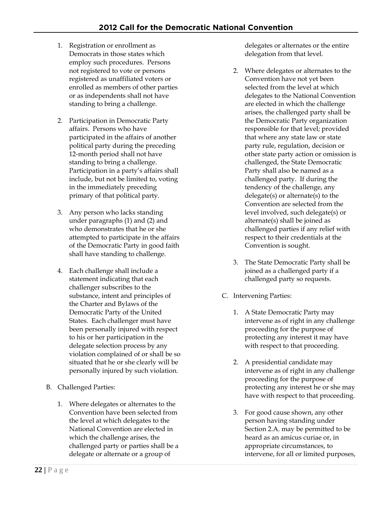- 1. Registration or enrollment as Democrats in those states which employ such procedures. Persons not registered to vote or persons registered as unaffiliated voters or enrolled as members of other parties or as independents shall not have standing to bring a challenge.
- 2. Participation in Democratic Party affairs. Persons who have participated in the affairs of another political party during the preceding 12-month period shall not have standing to bring a challenge. Participation in a party's affairs shall include, but not be limited to, voting in the immediately preceding primary of that political party.
- 3. Any person who lacks standing under paragraphs (1) and (2) and who demonstrates that he or she attempted to participate in the affairs of the Democratic Party in good faith shall have standing to challenge.
- 4. Each challenge shall include a statement indicating that each challenger subscribes to the substance, intent and principles of the Charter and Bylaws of the Democratic Party of the United States. Each challenger must have been personally injured with respect to his or her participation in the delegate selection process by any violation complained of or shall be so situated that he or she clearly will be personally injured by such violation.
- B. Challenged Parties:
	- 1. Where delegates or alternates to the Convention have been selected from the level at which delegates to the National Convention are elected in which the challenge arises, the challenged party or parties shall be a delegate or alternate or a group of

delegates or alternates or the entire delegation from that level.

- 2. Where delegates or alternates to the Convention have not yet been selected from the level at which delegates to the National Convention are elected in which the challenge arises, the challenged party shall be the Democratic Party organization responsible for that level; provided that where any state law or state party rule, regulation, decision or other state party action or omission is challenged, the State Democratic Party shall also be named as a challenged party. If during the tendency of the challenge, any delegate(s) or alternate(s) to the Convention are selected from the level involved, such delegate(s) or alternate(s) shall be joined as challenged parties if any relief with respect to their credentials at the Convention is sought.
- 3. The State Democratic Party shall be joined as a challenged party if a challenged party so requests.
- C. Intervening Parties:
	- 1. A State Democratic Party may intervene as of right in any challenge proceeding for the purpose of protecting any interest it may have with respect to that proceeding.
	- 2. A presidential candidate may intervene as of right in any challenge proceeding for the purpose of protecting any interest he or she may have with respect to that proceeding.
	- 3. For good cause shown, any other person having standing under Section 2.A. may be permitted to be heard as an amicus curiae or, in appropriate circumstances, to intervene, for all or limited purposes,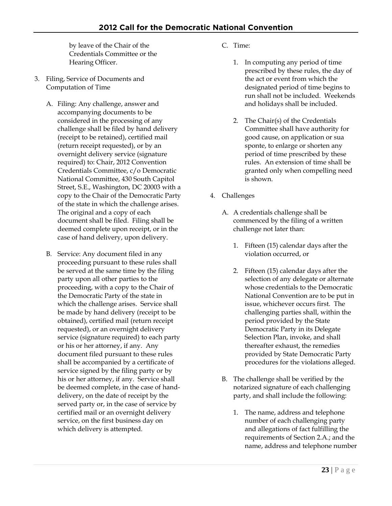by leave of the Chair of the Credentials Committee or the Hearing Officer.

- 3. Filing, Service of Documents and Computation of Time
	- A. Filing: Any challenge, answer and accompanying documents to be considered in the processing of any challenge shall be filed by hand delivery (receipt to be retained), certified mail (return receipt requested), or by an overnight delivery service (signature required) to: Chair, 2012 Convention Credentials Committee, c/o Democratic National Committee, 430 South Capitol Street, S.E., Washington, DC 20003 with a copy to the Chair of the Democratic Party of the state in which the challenge arises. The original and a copy of each document shall be filed. Filing shall be deemed complete upon receipt, or in the case of hand delivery, upon delivery.
	- B. Service: Any document filed in any proceeding pursuant to these rules shall be served at the same time by the filing party upon all other parties to the proceeding, with a copy to the Chair of the Democratic Party of the state in which the challenge arises. Service shall be made by hand delivery (receipt to be obtained), certified mail (return receipt requested), or an overnight delivery service (signature required) to each party or his or her attorney, if any. Any document filed pursuant to these rules shall be accompanied by a certificate of service signed by the filing party or by his or her attorney, if any. Service shall be deemed complete, in the case of handdelivery, on the date of receipt by the served party or, in the case of service by certified mail or an overnight delivery service, on the first business day on which delivery is attempted.
- C. Time:
	- 1. In computing any period of time prescribed by these rules, the day of the act or event from which the designated period of time begins to run shall not be included. Weekends and holidays shall be included.
	- 2. The Chair(s) of the Credentials Committee shall have authority for good cause, on application or sua sponte, to enlarge or shorten any period of time prescribed by these rules. An extension of time shall be granted only when compelling need is shown.
- 4. Challenges
	- A. A credentials challenge shall be commenced by the filing of a written challenge not later than:
		- 1. Fifteen (15) calendar days after the violation occurred, or
		- 2. Fifteen (15) calendar days after the selection of any delegate or alternate whose credentials to the Democratic National Convention are to be put in issue, whichever occurs first. The challenging parties shall, within the period provided by the State Democratic Party in its Delegate Selection Plan, invoke, and shall thereafter exhaust, the remedies provided by State Democratic Party procedures for the violations alleged.
	- B. The challenge shall be verified by the notarized signature of each challenging party, and shall include the following:
		- 1. The name, address and telephone number of each challenging party and allegations of fact fulfilling the requirements of Section 2.A.; and the name, address and telephone number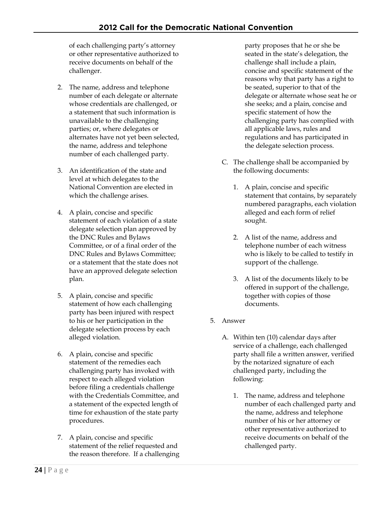of each challenging party's attorney or other representative authorized to receive documents on behalf of the challenger.

- 2. The name, address and telephone number of each delegate or alternate whose credentials are challenged, or a statement that such information is unavailable to the challenging parties; or, where delegates or alternates have not yet been selected, the name, address and telephone number of each challenged party.
- 3. An identification of the state and level at which delegates to the National Convention are elected in which the challenge arises.
- 4. A plain, concise and specific statement of each violation of a state delegate selection plan approved by the DNC Rules and Bylaws Committee, or of a final order of the DNC Rules and Bylaws Committee; or a statement that the state does not have an approved delegate selection plan.
- 5. A plain, concise and specific statement of how each challenging party has been injured with respect to his or her participation in the delegate selection process by each alleged violation.
- 6. A plain, concise and specific statement of the remedies each challenging party has invoked with respect to each alleged violation before filing a credentials challenge with the Credentials Committee, and a statement of the expected length of time for exhaustion of the state party procedures.
- 7. A plain, concise and specific statement of the relief requested and the reason therefore. If a challenging

party proposes that he or she be seated in the state's delegation, the challenge shall include a plain, concise and specific statement of the reasons why that party has a right to be seated, superior to that of the delegate or alternate whose seat he or she seeks; and a plain, concise and specific statement of how the challenging party has complied with all applicable laws, rules and regulations and has participated in the delegate selection process.

- C. The challenge shall be accompanied by the following documents:
	- 1. A plain, concise and specific statement that contains, by separately numbered paragraphs, each violation alleged and each form of relief sought.
	- 2. A list of the name, address and telephone number of each witness who is likely to be called to testify in support of the challenge.
	- 3. A list of the documents likely to be offered in support of the challenge, together with copies of those documents.
- 5. Answer
	- A. Within ten (10) calendar days after service of a challenge, each challenged party shall file a written answer, verified by the notarized signature of each challenged party, including the following:
		- 1. The name, address and telephone number of each challenged party and the name, address and telephone number of his or her attorney or other representative authorized to receive documents on behalf of the challenged party.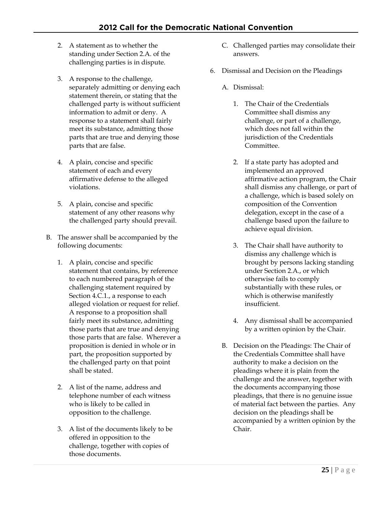- 2. A statement as to whether the standing under Section 2.A. of the challenging parties is in dispute.
- 3. A response to the challenge, separately admitting or denying each statement therein, or stating that the challenged party is without sufficient information to admit or deny. A response to a statement shall fairly meet its substance, admitting those parts that are true and denying those parts that are false.
- 4. A plain, concise and specific statement of each and every affirmative defense to the alleged violations.
- 5. A plain, concise and specific statement of any other reasons why the challenged party should prevail.
- B. The answer shall be accompanied by the following documents:
	- 1. A plain, concise and specific statement that contains, by reference to each numbered paragraph of the challenging statement required by Section 4.C.1., a response to each alleged violation or request for relief. A response to a proposition shall fairly meet its substance, admitting those parts that are true and denying those parts that are false. Wherever a proposition is denied in whole or in part, the proposition supported by the challenged party on that point shall be stated.
	- 2. A list of the name, address and telephone number of each witness who is likely to be called in opposition to the challenge.
	- 3. A list of the documents likely to be offered in opposition to the challenge, together with copies of those documents.
- C. Challenged parties may consolidate their answers.
- 6. Dismissal and Decision on the Pleadings
	- A. Dismissal:
		- 1. The Chair of the Credentials Committee shall dismiss any challenge, or part of a challenge, which does not fall within the jurisdiction of the Credentials Committee.
		- 2. If a state party has adopted and implemented an approved affirmative action program, the Chair shall dismiss any challenge, or part of a challenge, which is based solely on composition of the Convention delegation, except in the case of a challenge based upon the failure to achieve equal division.
		- 3. The Chair shall have authority to dismiss any challenge which is brought by persons lacking standing under Section 2.A., or which otherwise fails to comply substantially with these rules, or which is otherwise manifestly insufficient.
		- 4. Any dismissal shall be accompanied by a written opinion by the Chair.
	- B. Decision on the Pleadings: The Chair of the Credentials Committee shall have authority to make a decision on the pleadings where it is plain from the challenge and the answer, together with the documents accompanying those pleadings, that there is no genuine issue of material fact between the parties. Any decision on the pleadings shall be accompanied by a written opinion by the Chair.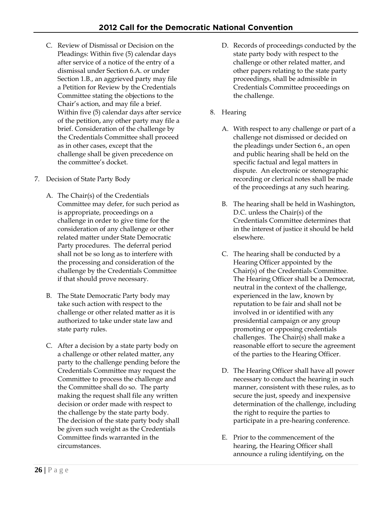- C. Review of Dismissal or Decision on the Pleadings: Within five (5) calendar days after service of a notice of the entry of a dismissal under Section 6.A. or under Section 1.B., an aggrieved party may file a Petition for Review by the Credentials Committee stating the objections to the Chair's action, and may file a brief. Within five (5) calendar days after service of the petition, any other party may file a brief. Consideration of the challenge by the Credentials Committee shall proceed as in other cases, except that the challenge shall be given precedence on the committee's docket.
- 7. Decision of State Party Body
	- A. The Chair(s) of the Credentials Committee may defer, for such period as is appropriate, proceedings on a challenge in order to give time for the consideration of any challenge or other related matter under State Democratic Party procedures. The deferral period shall not be so long as to interfere with the processing and consideration of the challenge by the Credentials Committee if that should prove necessary.
	- B. The State Democratic Party body may take such action with respect to the challenge or other related matter as it is authorized to take under state law and state party rules.
	- C. After a decision by a state party body on a challenge or other related matter, any party to the challenge pending before the Credentials Committee may request the Committee to process the challenge and the Committee shall do so. The party making the request shall file any written decision or order made with respect to the challenge by the state party body. The decision of the state party body shall be given such weight as the Credentials Committee finds warranted in the circumstances.
- D. Records of proceedings conducted by the state party body with respect to the challenge or other related matter, and other papers relating to the state party proceedings, shall be admissible in Credentials Committee proceedings on the challenge.
- 8. Hearing
	- A. With respect to any challenge or part of a challenge not dismissed or decided on the pleadings under Section 6., an open and public hearing shall be held on the specific factual and legal matters in dispute. An electronic or stenographic recording or clerical notes shall be made of the proceedings at any such hearing.
	- B. The hearing shall be held in Washington, D.C. unless the Chair(s) of the Credentials Committee determines that in the interest of justice it should be held elsewhere.
	- C. The hearing shall be conducted by a Hearing Officer appointed by the Chair(s) of the Credentials Committee. The Hearing Officer shall be a Democrat, neutral in the context of the challenge, experienced in the law, known by reputation to be fair and shall not be involved in or identified with any presidential campaign or any group promoting or opposing credentials challenges. The Chair(s) shall make a reasonable effort to secure the agreement of the parties to the Hearing Officer.
	- D. The Hearing Officer shall have all power necessary to conduct the hearing in such manner, consistent with these rules, as to secure the just, speedy and inexpensive determination of the challenge, including the right to require the parties to participate in a pre-hearing conference.
	- E. Prior to the commencement of the hearing, the Hearing Officer shall announce a ruling identifying, on the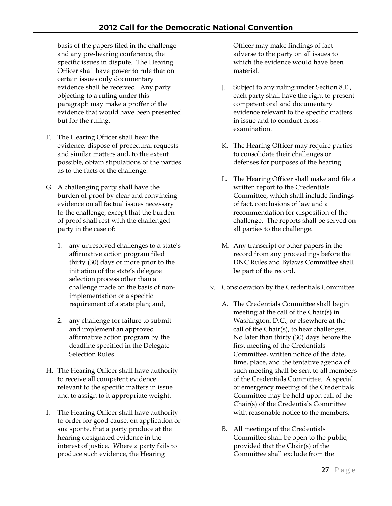basis of the papers filed in the challenge and any pre-hearing conference, the specific issues in dispute. The Hearing Officer shall have power to rule that on certain issues only documentary evidence shall be received. Any party objecting to a ruling under this paragraph may make a proffer of the evidence that would have been presented but for the ruling.

- F. The Hearing Officer shall hear the evidence, dispose of procedural requests and similar matters and, to the extent possible, obtain stipulations of the parties as to the facts of the challenge.
- G. A challenging party shall have the burden of proof by clear and convincing evidence on all factual issues necessary to the challenge, except that the burden of proof shall rest with the challenged party in the case of:
	- 1. any unresolved challenges to a state's affirmative action program filed thirty (30) days or more prior to the initiation of the state's delegate selection process other than a challenge made on the basis of nonimplementation of a specific requirement of a state plan; and,
	- 2. any challenge for failure to submit and implement an approved affirmative action program by the deadline specified in the Delegate Selection Rules.
- H. The Hearing Officer shall have authority to receive all competent evidence relevant to the specific matters in issue and to assign to it appropriate weight.
- I. The Hearing Officer shall have authority to order for good cause, on application or sua sponte, that a party produce at the hearing designated evidence in the interest of justice. Where a party fails to produce such evidence, the Hearing

Officer may make findings of fact adverse to the party on all issues to which the evidence would have been material.

- J. Subject to any ruling under Section 8.E., each party shall have the right to present competent oral and documentary evidence relevant to the specific matters in issue and to conduct crossexamination.
- K. The Hearing Officer may require parties to consolidate their challenges or defenses for purposes of the hearing.
- L. The Hearing Officer shall make and file a written report to the Credentials Committee, which shall include findings of fact, conclusions of law and a recommendation for disposition of the challenge. The reports shall be served on all parties to the challenge.
- M. Any transcript or other papers in the record from any proceedings before the DNC Rules and Bylaws Committee shall be part of the record.
- 9. Consideration by the Credentials Committee
	- A. The Credentials Committee shall begin meeting at the call of the Chair(s) in Washington, D.C., or elsewhere at the call of the Chair(s), to hear challenges. No later than thirty (30) days before the first meeting of the Credentials Committee, written notice of the date, time, place, and the tentative agenda of such meeting shall be sent to all members of the Credentials Committee. A special or emergency meeting of the Credentials Committee may be held upon call of the Chair(s) of the Credentials Committee with reasonable notice to the members.
	- B. All meetings of the Credentials Committee shall be open to the public; provided that the Chair(s) of the Committee shall exclude from the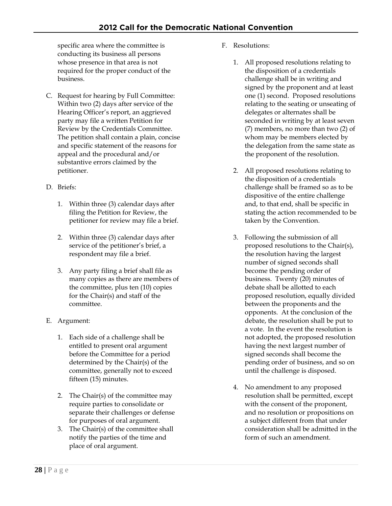specific area where the committee is conducting its business all persons whose presence in that area is not required for the proper conduct of the business.

- C. Request for hearing by Full Committee: Within two (2) days after service of the Hearing Officer's report, an aggrieved party may file a written Petition for Review by the Credentials Committee. The petition shall contain a plain, concise and specific statement of the reasons for appeal and the procedural and/or substantive errors claimed by the petitioner.
- D. Briefs:
	- 1. Within three (3) calendar days after filing the Petition for Review, the petitioner for review may file a brief.
	- 2. Within three (3) calendar days after service of the petitioner's brief, a respondent may file a brief.
	- 3. Any party filing a brief shall file as many copies as there are members of the committee, plus ten (10) copies for the Chair(s) and staff of the committee.
- E. Argument:
	- 1. Each side of a challenge shall be entitled to present oral argument before the Committee for a period determined by the Chair(s) of the committee, generally not to exceed fifteen (15) minutes.
	- 2. The Chair(s) of the committee may require parties to consolidate or separate their challenges or defense for purposes of oral argument.
	- 3. The Chair(s) of the committee shall notify the parties of the time and place of oral argument.
- F. Resolutions:
	- 1. All proposed resolutions relating to the disposition of a credentials challenge shall be in writing and signed by the proponent and at least one (1) second. Proposed resolutions relating to the seating or unseating of delegates or alternates shall be seconded in writing by at least seven (7) members, no more than two (2) of whom may be members elected by the delegation from the same state as the proponent of the resolution.
	- 2. All proposed resolutions relating to the disposition of a credentials challenge shall be framed so as to be dispositive of the entire challenge and, to that end, shall be specific in stating the action recommended to be taken by the Convention.
	- 3. Following the submission of all proposed resolutions to the Chair(s), the resolution having the largest number of signed seconds shall become the pending order of business. Twenty (20) minutes of debate shall be allotted to each proposed resolution, equally divided between the proponents and the opponents. At the conclusion of the debate, the resolution shall be put to a vote. In the event the resolution is not adopted, the proposed resolution having the next largest number of signed seconds shall become the pending order of business, and so on until the challenge is disposed.
	- 4. No amendment to any proposed resolution shall be permitted, except with the consent of the proponent, and no resolution or propositions on a subject different from that under consideration shall be admitted in the form of such an amendment.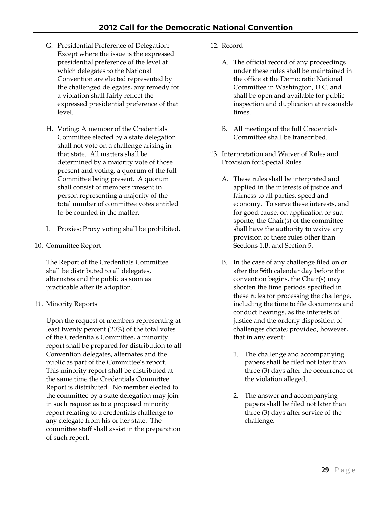- G. Presidential Preference of Delegation: Except where the issue is the expressed presidential preference of the level at which delegates to the National Convention are elected represented by the challenged delegates, any remedy for a violation shall fairly reflect the expressed presidential preference of that level.
- H. Voting: A member of the Credentials Committee elected by a state delegation shall not vote on a challenge arising in that state. All matters shall be determined by a majority vote of those present and voting, a quorum of the full Committee being present. A quorum shall consist of members present in person representing a majority of the total number of committee votes entitled to be counted in the matter.
- I. Proxies: Proxy voting shall be prohibited.
- 10. Committee Report

The Report of the Credentials Committee shall be distributed to all delegates, alternates and the public as soon as practicable after its adoption.

### 11. Minority Reports

Upon the request of members representing at least twenty percent (20%) of the total votes of the Credentials Committee, a minority report shall be prepared for distribution to all Convention delegates, alternates and the public as part of the Committee's report. This minority report shall be distributed at the same time the Credentials Committee Report is distributed. No member elected to the committee by a state delegation may join in such request as to a proposed minority report relating to a credentials challenge to any delegate from his or her state. The committee staff shall assist in the preparation of such report.

- 12. Record
	- A. The official record of any proceedings under these rules shall be maintained in the office at the Democratic National Committee in Washington, D.C. and shall be open and available for public inspection and duplication at reasonable times.
	- B. All meetings of the full Credentials Committee shall be transcribed.
- 13. Interpretation and Waiver of Rules and Provision for Special Rules
	- A. These rules shall be interpreted and applied in the interests of justice and fairness to all parties, speed and economy. To serve these interests, and for good cause, on application or sua sponte, the Chair(s) of the committee shall have the authority to waive any provision of these rules other than Sections 1.B. and Section 5.
	- B. In the case of any challenge filed on or after the 56th calendar day before the convention begins, the Chair(s) may shorten the time periods specified in these rules for processing the challenge, including the time to file documents and conduct hearings, as the interests of justice and the orderly disposition of challenges dictate; provided, however, that in any event:
		- 1. The challenge and accompanying papers shall be filed not later than three (3) days after the occurrence of the violation alleged.
		- 2. The answer and accompanying papers shall be filed not later than three (3) days after service of the challenge.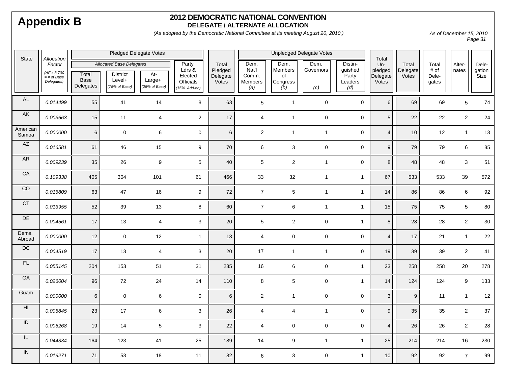#### **2012 DEMOCRATIC NATIONAL CONVENTION DELEGATE / ALTERNATE ALLOCATION**

*(As adopted by the Democratic National Committee at its meeting August 20, 2010.)*

*As of December 15, 2010 Page 31* 

| State             | Allocation                                           | <b>Pledged Delegate Votes</b> |                                                                               |                                |                                                              | <b>Unpledged Delegate Votes</b>       |                                          |                                          |                          | Total                                         |                                     |                            |                                 |                  |                         |
|-------------------|------------------------------------------------------|-------------------------------|-------------------------------------------------------------------------------|--------------------------------|--------------------------------------------------------------|---------------------------------------|------------------------------------------|------------------------------------------|--------------------------|-----------------------------------------------|-------------------------------------|----------------------------|---------------------------------|------------------|-------------------------|
|                   | Factor<br>(AF x 3,700<br>$=$ # of Base<br>Delegates) | Total<br>Base<br>Delegates    | <b>Allocated Base Delegates</b><br><b>District</b><br>Level+<br>(75% of Base) | At-<br>Large+<br>(25% of Base) | Party<br>Ldrs $\&$<br>Elected<br>Officials<br>$(15%$ Add-on) | Total<br>Pledged<br>Delegate<br>Votes | Dem.<br>Nat'l<br>Comm.<br>Members<br>(a) | Dem.<br>Members<br>of<br>Congress<br>(b) | Dem.<br>Governors<br>(c) | Distin-<br>guished<br>Party<br>Leaders<br>(d) | Un-<br>pledged<br>Delegate<br>Votes | Total<br>Delegate<br>Votes | Total<br># of<br>Dele-<br>gates | Alter-<br>nates  | Dele-<br>gation<br>Size |
| $\mathsf{AL}$     | 0.014499                                             | 55                            | 41                                                                            | 14                             | 8                                                            | 63                                    | 5                                        | $\overline{1}$                           | $\mathbf 0$              | $\mathbf 0$                                   | $6\phantom{a}$                      | 69                         | 69                              | 5                | 74                      |
| <b>AK</b>         | 0.003663                                             | 15                            | 11                                                                            | $\overline{\mathbf{4}}$        | $\overline{2}$                                               | $17$                                  | $\overline{4}$                           | $\overline{1}$                           | $\mathbf 0$              | $\mathbf 0$                                   | $5\phantom{.0}$                     | 22                         | 22                              | $\sqrt{2}$       | 24                      |
| American<br>Samoa | 0.000000                                             | $6\phantom{1}$                | $\mathsf 0$                                                                   | 6                              | $\mathbf 0$                                                  | $6\phantom{a}$                        | $\overline{2}$                           | $\mathbf{1}$                             | $\mathbf{1}$             | $\mathsf{O}\xspace$                           | $\overline{\mathbf{4}}$             | $10$                       | 12                              | $\mathbf{1}$     | 13                      |
| AZ                | 0.016581                                             | 61                            | 46                                                                            | 15                             | $\boldsymbol{9}$                                             | 70                                    | 6                                        | 3                                        | $\mathbf 0$              | $\mathsf{O}\xspace$                           | $9\,$                               | 79                         | 79                              | $\,6\,$          | 85                      |
| <b>AR</b>         | 0.009239                                             | 35                            | 26                                                                            | 9                              | $5\phantom{.0}$                                              | 40                                    | 5 <sup>5</sup>                           | $\overline{2}$                           | $\mathbf{1}$             | $\mathbf 0$                                   | $\,8\,$                             | 48                         | 48                              | 3                | 51                      |
| CA                | 0.109338                                             | 405                           | 304                                                                           | 101                            | 61                                                           | 466                                   | 33                                       | 32                                       | $\mathbf{1}$             | $\mathbf{1}$                                  | 67                                  | 533                        | 533                             | 39               | 572                     |
| CO                | 0.016809                                             | 63                            | 47                                                                            | 16                             | 9                                                            | 72                                    | $\overline{7}$                           | 5                                        | $\mathbf{1}$             | $\mathbf{1}$                                  | 14                                  | 86                         | 86                              | $\,6\,$          | 92                      |
| CT                | 0.013955                                             | 52                            | 39                                                                            | 13                             | 8                                                            | 60                                    | $\overline{7}$                           | 6                                        | $\mathbf{1}$             | $\mathbf{1}$                                  | 15                                  | 75                         | 75                              | 5                | 80                      |
| DE                | 0.004561                                             | 17                            | 13                                                                            | $\overline{4}$                 | $\mathbf{3}$                                                 | 20                                    | 5                                        | $\overline{c}$                           | $\mathsf{O}\xspace$      | $\mathbf{1}$                                  | $\,8\,$                             | 28                         | 28                              | $\sqrt{2}$       | $30\,$                  |
| Dems.<br>Abroad   | 0.000000                                             | 12                            | $\mathsf 0$                                                                   | 12                             | $\mathbf{1}$                                                 | 13                                    | $\overline{4}$                           | $\mathbf 0$                              | $\mathsf 0$              | $\mathbf 0$                                   | $\overline{\mathbf{4}}$             | 17                         | 21                              | $\mathbf{1}$     | 22                      |
| DC                | 0.004519                                             | 17                            | 13                                                                            | $\overline{\mathbf{4}}$        | $\mathbf{3}$                                                 | 20                                    | 17                                       | $\overline{1}$                           | $\mathbf{1}$             | $\mathbf 0$                                   | 19                                  | 39                         | 39                              | $\overline{2}$   | 41                      |
| FL                | 0.055145                                             | 204                           | 153                                                                           | $51$                           | 31                                                           | 235                                   | 16                                       | 6                                        | $\mathbf 0$              | $\mathbf{1}$                                  | 23                                  | 258                        | 258                             | 20               | 278                     |
| GA                | 0.026004                                             | 96                            | 72                                                                            | 24                             | 14                                                           | 110                                   | 8                                        | $\sqrt{5}$                               | $\mathsf{O}\xspace$      | $\mathbf{1}$                                  | 14                                  | 124                        | 124                             | $\boldsymbol{9}$ | 133                     |
| Guam              | 0.000000                                             | $6\phantom{1}$                | $\mathsf 0$                                                                   | 6                              | $\mathbf 0$                                                  | $6\phantom{a}$                        | $\overline{2}$                           | $\overline{1}$                           | $\mathbf 0$              | $\mathbf 0$                                   | $\mathbf{3}$                        | 9                          | 11                              | $\overline{1}$   | 12                      |
| $\overline{H}$    | 0.005845                                             | 23                            | 17                                                                            | 6                              | 3                                                            | 26                                    | $\overline{4}$                           | 4                                        | $\mathbf{1}$             | $\mathbf 0$                                   | 9                                   | 35                         | 35                              | $\overline{2}$   | 37                      |
| ID                | 0.005268                                             | 19                            | 14                                                                            | 5                              | $\mathbf{3}$                                                 | 22                                    | $\overline{4}$                           | 0                                        | $\mathsf 0$              | $\mathbf 0$                                   | $\overline{\mathbf{4}}$             | 26                         | 26                              | $\sqrt{2}$       | 28                      |
| IL.               | 0.044334                                             | 164                           | 123                                                                           | 41                             | 25                                                           | 189                                   | 14                                       | 9                                        | $\mathbf{1}$             | $\mathbf{1}$                                  | 25                                  | 214                        | 214                             | 16               | 230                     |
| ${\sf IN}$        | 0.019271                                             | 71                            | 53                                                                            | 18                             | 11                                                           | 82                                    | 6                                        | 3                                        | $\mathsf 0$              | $\mathbf{1}$                                  | 10                                  | 92                         | 92                              | $\overline{7}$   | 99                      |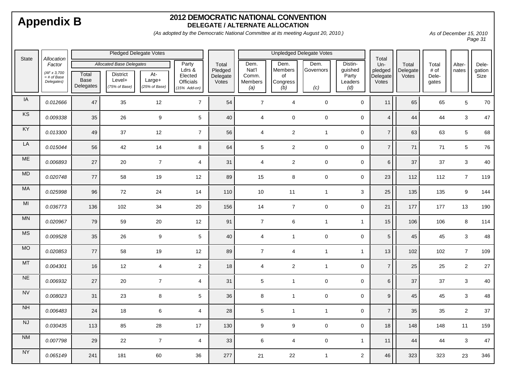#### **2012 DEMOCRATIC NATIONAL CONVENTION DELEGATE / ALTERNATE ALLOCATION**

*(As adopted by the Democratic National Committee at its meeting August 20, 2010.)*

*As of December 15, 2010 Page 31* 

| <b>State</b><br>Allocation |                                                      | <b>Pledged Delegate Votes</b> |                                                                               |                                  |                                                                  |                                       | <b>Unpledged Delegate Votes</b>          |                                          |                          |                                               | Total                               |                            |                                 |                           |                         |
|----------------------------|------------------------------------------------------|-------------------------------|-------------------------------------------------------------------------------|----------------------------------|------------------------------------------------------------------|---------------------------------------|------------------------------------------|------------------------------------------|--------------------------|-----------------------------------------------|-------------------------------------|----------------------------|---------------------------------|---------------------------|-------------------------|
|                            | Factor<br>(AF x 3,700<br>$=$ # of Base<br>Delegates) | Total<br>Base<br>Delegates    | <b>Allocated Base Delegates</b><br><b>District</b><br>Level+<br>(75% of Base) | $At-$<br>Large+<br>(25% of Base) | Party<br>Ldrs $\alpha$<br>Elected<br>Officials<br>$(15%$ Add-on) | Total<br>Pledged<br>Delegate<br>Votes | Dem.<br>Nat'l<br>Comm.<br>Members<br>(a) | Dem.<br>Members<br>of<br>Congress<br>(b) | Dem.<br>Governors<br>(c) | Distin-<br>guished<br>Party<br>Leaders<br>(d) | Un-<br>pledged<br>Delegate<br>Votes | Total<br>Delegate<br>Votes | Total<br># of<br>Dele-<br>gates | Alter-<br>nates           | Dele-<br>gation<br>Size |
| IA                         | 0.012666                                             | 47                            | 35                                                                            | 12                               | $\overline{7}$                                                   | 54                                    | $\overline{7}$                           | $\overline{4}$                           | $\mathbf 0$              | $\mathbf 0$                                   | 11                                  | 65                         | 65                              | $5\phantom{.0}$           | 70                      |
| KS                         | 0.009338                                             | 35                            | 26                                                                            | $\boldsymbol{9}$                 | $5\phantom{.0}$                                                  | 40                                    | $\overline{4}$                           | $\mathsf{O}\xspace$                      | $\mathbf 0$              | $\mathbf 0$                                   | $\overline{4}$                      | 44                         | 44                              | 3                         | $47\,$                  |
| KY                         | 0.013300                                             | 49                            | 37                                                                            | 12                               | $\overline{7}$                                                   | 56                                    | $\overline{4}$                           | $\overline{a}$                           | $\mathbf{1}$             | $\mathbf 0$                                   | $\overline{7}$                      | 63                         | 63                              | $5\phantom{.0}$           | 68                      |
| LA                         | 0.015044                                             | 56                            | 42                                                                            | 14                               | 8                                                                | 64                                    | $5\phantom{.0}$                          | $\overline{c}$                           | $\mathbf 0$              | $\mathbf 0$                                   | $\overline{7}$                      | 71                         | 71                              | $5\phantom{.0}$           | ${\bf 76}$              |
| $ME$                       | 0.006893                                             | 27                            | 20                                                                            | $\overline{7}$                   | $\overline{4}$                                                   | 31                                    | $\overline{4}$                           | $\overline{a}$                           | $\pmb{0}$                | $\mathbf 0$                                   | $\,6$                               | 37                         | 37                              | $\mathbf{3}$              | $40\,$                  |
| MD                         | 0.020748                                             | 77                            | 58                                                                            | 19                               | 12                                                               | 89                                    | 15                                       | 8                                        | $\pmb{0}$                | $\mathsf{O}\xspace$                           | 23                                  | 112                        | 112                             | $\overline{7}$            | 119                     |
| MA                         | 0.025998                                             | 96                            | 72                                                                            | 24                               | 14                                                               | 110                                   | 10                                       | 11                                       | $\mathbf{1}$             | $\sqrt{3}$                                    | $25\,$                              | 135                        | 135                             | $\boldsymbol{9}$          | 144                     |
| M <sub>l</sub>             | 0.036773                                             | 136                           | 102                                                                           | 34                               | 20                                                               | 156                                   | 14                                       | $\overline{7}$                           | $\mathbf 0$              | $\mathbf 0$                                   | $21$                                | 177                        | 177                             | 13                        | 190                     |
| MN                         | 0.020967                                             | 79                            | 59                                                                            | 20                               | 12                                                               | 91                                    | $\overline{7}$                           | $\,6\,$                                  | $\mathbf{1}$             | $\mathbf{1}$                                  | 15                                  | 106                        | 106                             | $\bf8$                    | 114                     |
| <b>MS</b>                  | 0.009528                                             | 35                            | 26                                                                            | 9                                | $5\phantom{.0}$                                                  | 40                                    | $\overline{4}$                           | $\mathbf{1}$                             | $\mathbf 0$              | $\pmb{0}$                                     | $\sqrt{5}$                          | 45                         | 45                              | $\mathbf{3}$              | 48                      |
| MO                         | 0.020853                                             | 77                            | 58                                                                            | 19                               | 12                                                               | 89                                    | $\overline{7}$                           | $\overline{4}$                           | $\mathbf{1}$             | $\mathbf{1}$                                  | 13                                  | 102                        | 102                             | $\overline{7}$            | 109                     |
| <b>MT</b>                  | 0.004301                                             | 16                            | 12                                                                            | 4                                | $\overline{2}$                                                   | 18                                    | $\overline{4}$                           | $\overline{c}$                           | $\mathbf{1}$             | $\mathbf 0$                                   | $\overline{7}$                      | 25                         | 25                              | $\overline{2}$            | 27                      |
| NE                         | 0.006932                                             | 27                            | 20                                                                            | $\overline{7}$                   | $\overline{4}$                                                   | 31                                    | $5\phantom{.0}$                          | $\mathbf{1}$                             | $\pmb{0}$                | $\mathsf{O}\xspace$                           | $\,6\,$                             | 37                         | 37                              | 3                         | $40\,$                  |
| <b>NV</b>                  | 0.008023                                             | 31                            | 23                                                                            | 8                                | $5\phantom{.0}$                                                  | 36                                    | 8                                        | $\mathbf{1}$                             | $\mathbf 0$              | $\mathbf 0$                                   | $\boldsymbol{9}$                    | 45                         | 45                              | 3                         | 48                      |
| NH                         | 0.006483                                             | 24                            | 18                                                                            | 6                                | $\overline{4}$                                                   | 28                                    | $5\phantom{.0}$                          | $\mathbf{1}$                             | $\mathbf{1}$             | $\mathbf 0$                                   | $\overline{7}$                      | 35                         | 35                              | $\overline{2}$            | $37\,$                  |
| NJ                         | 0.030435                                             | 113                           | 85                                                                            | 28                               | 17                                                               | 130                                   | 9                                        | 9                                        | $\mathbf 0$              | $\mathbf 0$                                   | 18                                  | 148                        | 148                             | 11                        | 159                     |
| <b>NM</b>                  | 0.007798                                             | 29                            | $22\,$                                                                        | $\overline{7}$                   | $\overline{4}$                                                   | 33                                    | $\,6\,$                                  | 4                                        | $\mathbf 0$              | $\mathbf{1}$                                  | 11                                  | 44                         | 44                              | $\ensuremath{\mathsf{3}}$ | 47                      |
| <b>NY</b>                  | 0.065149                                             | 241                           | 181                                                                           | 60                               | 36                                                               | 277                                   | 21                                       | 22                                       | $\mathbf{1}$             | $\overline{c}$                                | 46                                  | 323                        | 323                             | 23                        | 346                     |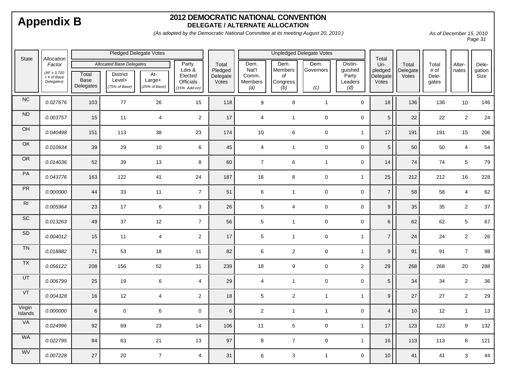#### **2012 DEMOCRATIC NATIONAL CONVENTION DELEGATE / ALTERNATE ALLOCATION**

*(As adopted by the Democratic National Committee at its meeting August 20, 2010.)*

*As of December 15, 2010 Page 31* 

| <b>State</b><br>Allocation |                                                      | <b>Pledged Delegate Votes</b> |                                                                               |                                |                                                                  |                                       | <b>Unpledged Delegate Votes</b>          |                                          |                          |                                               | Total                               |                            |                                 |                  |                         |
|----------------------------|------------------------------------------------------|-------------------------------|-------------------------------------------------------------------------------|--------------------------------|------------------------------------------------------------------|---------------------------------------|------------------------------------------|------------------------------------------|--------------------------|-----------------------------------------------|-------------------------------------|----------------------------|---------------------------------|------------------|-------------------------|
|                            | Factor<br>(AF x 3,700<br>$=$ # of Base<br>Delegates) | Total<br>Base<br>Delegates    | <b>Allocated Base Delegates</b><br><b>District</b><br>Level+<br>(75% of Base) | At-<br>Large+<br>(25% of Base) | Party<br>Ldrs $\alpha$<br>Elected<br>Officials<br>$(15%$ Add-on) | Total<br>Pledged<br>Delegate<br>Votes | Dem.<br>Nat'l<br>Comm.<br>Members<br>(a) | Dem.<br>Members<br>of<br>Congress<br>(b) | Dem.<br>Governors<br>(c) | Distin-<br>guished<br>Party<br>Leaders<br>(d) | Un-<br>pledged<br>Delegate<br>Votes | Total<br>Delegate<br>Votes | Total<br># of<br>Dele-<br>gates | Alter-<br>nates  | Dele-<br>gation<br>Size |
| NC                         | 0.027676                                             | 103                           | $77\,$                                                                        | 26                             | 15                                                               | 118                                   | 9                                        | 8                                        | $\mathbf{1}$             | $\mathbf 0$                                   | 18                                  | 136                        | 136                             | 10               | 146                     |
| ${\sf ND}$                 | 0.003757                                             | 15                            | 11                                                                            | $\overline{4}$                 | $\overline{2}$                                                   | 17                                    | $\overline{4}$                           | $\mathbf{1}$                             | $\mathbf 0$              | $\mathbf 0$                                   | $5\phantom{.0}$                     | 22                         | 22                              | $\overline{2}$   | 24                      |
| $\overline{CH}$            | 0.040498                                             | 151                           | 113                                                                           | 38                             | 23                                                               | 174                                   | 10                                       | 6                                        | $\mathsf{O}\xspace$      | $\mathbf{1}$                                  | 17                                  | 191                        | 191                             | 15               | 206                     |
| OK                         | 0.010634                                             | 39                            | 29                                                                            | 10                             | $6\phantom{1}$                                                   | 45                                    | $\overline{4}$                           | $\mathbf{1}$                             | $\mathsf{O}\xspace$      | $\mathsf 0$                                   | $5\phantom{.0}$                     | 50                         | 50                              | $\overline{4}$   | 54                      |
| OR                         | 0.014036                                             | 52                            | 39                                                                            | 13                             | $\bf8$                                                           | 60                                    | $\overline{7}$                           | 6                                        | $\mathbf{1}$             | $\mathsf 0$                                   | 14                                  | 74                         | 74                              | $5\phantom{.0}$  | 79                      |
| PA                         | 0.043776                                             | 163                           | 122                                                                           | 41                             | 24                                                               | 187                                   | 16                                       | 8                                        | $\mathsf{O}\xspace$      | $\mathbf{1}$                                  | 25                                  | 212                        | 212                             | 16               | 228                     |
| PR                         | 0.000000                                             | 44                            | 33                                                                            | 11                             | $\overline{7}$                                                   | 51                                    | $6\phantom{a}$                           | $\mathbf{1}$                             | $\mathsf{O}\xspace$      | $\mathsf 0$                                   | $\overline{7}$                      | 58                         | 58                              | $\overline{4}$   | 62                      |
| RI                         | 0.005964                                             | 23                            | 17                                                                            | 6                              | $\mathbf{3}$                                                     | 26                                    | $5\phantom{.0}$                          | 4                                        | $\mathbf 0$              | $\mathbf 0$                                   | 9                                   | 35                         | 35                              | $\overline{2}$   | 37                      |
| SC                         | 0.013263                                             | 49                            | 37                                                                            | 12                             | $\overline{7}$                                                   | 56                                    | $5\phantom{.0}$                          | $\mathbf{1}$                             | $\mathbf 0$              | $\mathbf 0$                                   | 6                                   | 62                         | 62                              | 5                | 67                      |
| SD                         | 0.004012                                             | 15                            | 11                                                                            | $\overline{4}$                 | $\overline{2}$                                                   | 17                                    | $5\phantom{.0}$                          | $\mathbf{1}$                             | $\mathbf 0$              | $\overline{1}$                                | $\overline{7}$                      | 24                         | 24                              | $\overline{2}$   | 26                      |
| TN                         | 0.018882                                             | $71$                          | 53                                                                            | 18                             | 11                                                               | 82                                    | $\,6\,$                                  | $\overline{c}$                           | $\mathsf{O}\xspace$      | $\mathbf{1}$                                  | $\boldsymbol{9}$                    | 91                         | 91                              | $\overline{7}$   | 98                      |
| TX                         | 0.056122                                             | 208                           | 156                                                                           | 52                             | 31                                                               | 239                                   | 18                                       | 9                                        | $\mathsf{O}\xspace$      | $\sqrt{2}$                                    | 29                                  | 268                        | 268                             | 20               | 288                     |
| UT                         | 0.006799                                             | 25                            | 19                                                                            | 6                              | $\overline{4}$                                                   | 29                                    | $\overline{4}$                           | $\mathbf{1}$                             | $\mathbf 0$              | $\mathsf 0$                                   | $5\phantom{.0}$                     | 34                         | 34                              | $\sqrt{2}$       | 36                      |
| VT                         | 0.004328                                             | 16                            | 12                                                                            | 4                              | $\overline{2}$                                                   | 18                                    | 5                                        | $\overline{c}$                           | $\mathbf{1}$             | $\mathbf{1}$                                  | $\boldsymbol{9}$                    | 27                         | 27                              | $\overline{2}$   | 29                      |
| Virgin<br>Islands          | 0.000000                                             | $6\phantom{.}$                | $\mathbf 0$                                                                   | 6                              | $\mathbf 0$                                                      | $\,6$                                 | $\overline{2}$                           | $\mathbf{1}$                             | $\mathbf{1}$             | $\pmb{0}$                                     | $\overline{4}$                      | 10                         | 12                              | $\mathbf{1}$     | 13                      |
| VA                         | 0.024996                                             | 92                            | 69                                                                            | 23                             | 14                                                               | 106                                   | 11                                       | 5                                        | $\pmb{0}$                | $\overline{1}$                                | 17                                  | 123                        | 123                             | $\boldsymbol{9}$ | 132                     |
| <b>WA</b>                  | 0.022795                                             | 84                            | 63                                                                            | 21                             | 13                                                               | 97                                    | 8                                        | $\overline{7}$                           | $\mathbf 0$              | $\mathbf{1}$                                  | 16                                  | 113                        | 113                             | 8                | 121                     |
| WV                         | 0.007228                                             | 27                            | 20                                                                            | $\overline{7}$                 | $\overline{4}$                                                   | 31                                    | 6                                        | 3                                        | $\mathbf{1}$             | $\mathbf 0$                                   | 10                                  | 41                         | 41                              | 3                | 44                      |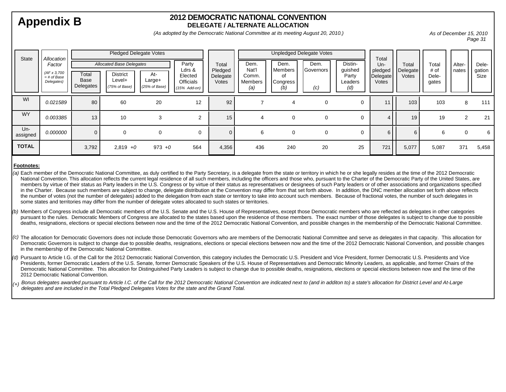#### **2012 DEMOCRATIC NATIONAL CONVENTIONDELEGATE / ALTERNATE ALLOCATION**

*(As adopted by the Democratic National Committee at its meeting August 20, 2010.)*

*As of December 15, 2010 Page 31* 

| <b>State</b>    | Allocation<br>Factor<br>(AFx 3,700<br>$=$ # of Base<br>Delegates) | Pledged Delegate Votes     |                                                                               |                                  |                                                                  |                                       | Unpledged Delegate Votes                 |                                                 |                          |                                               | Total                               |                              |                                 |                 |                                |
|-----------------|-------------------------------------------------------------------|----------------------------|-------------------------------------------------------------------------------|----------------------------------|------------------------------------------------------------------|---------------------------------------|------------------------------------------|-------------------------------------------------|--------------------------|-----------------------------------------------|-------------------------------------|------------------------------|---------------------------------|-----------------|--------------------------------|
|                 |                                                                   | Total<br>Base<br>Delegates | <b>Allocated Base Delegates</b><br><b>District</b><br>Level+<br>(75% of Base) | At-<br>$Large+$<br>(25% of Base) | Party<br>Ldrs &<br>Elected<br><b>Officials</b><br>$(15%$ Add-on) | Total<br>Pledged<br>Delegate<br>Votes | Dem.<br>Nat'l<br>Comm.<br>Members<br>(a) | Dem.<br><b>Members</b><br>οf<br>Congress<br>(b) | Dem.<br>Governors<br>(c) | Distin-<br>guished<br>Party<br>Leaders<br>(d) | Un-<br>pledged<br>Delegate<br>Votes | Total<br>Delegate  <br>Votes | Total<br># of<br>Dele-<br>gates | Alter-<br>nates | Dele-<br>gation<br><b>Size</b> |
| WI              | 0.021589                                                          | 80                         | 60                                                                            | 20                               | 12                                                               | 92                                    |                                          | 4                                               | $\Omega$                 | 0                                             |                                     | 103                          | 103                             | 8               | 111                            |
| <b>WY</b>       | 0.003385                                                          | 13                         | 10                                                                            | 3                                | ◠                                                                | 15                                    | 4                                        | $\mathbf 0$                                     | $\Omega$                 | $\mathbf 0$                                   |                                     | 19                           | 19                              | 2               | 21                             |
| Un-<br>assigned | 0.000000                                                          | $\overline{0}$             | $\Omega$                                                                      | 0                                |                                                                  | $\Omega$                              | 6                                        | $\mathbf 0$                                     | $\Omega$                 | 0                                             | 6                                   |                              | 6                               | $\Omega$        | 6                              |
| <b>TOTAL</b>    |                                                                   | 3,792                      | $2,819 +0$                                                                    | $973 + 0$                        | 564                                                              | 4,356                                 | 436                                      | 240                                             | 20                       | 25                                            | 721                                 | 5,077                        | 5,087                           | 371             | 5,458                          |

#### **Footnotes:**

- Each member of the Democratic National Committee, as duly certified to the Party Secretary, is a delegate from the state or territory in which he or she legally resides at the time of the 2012 Democratic *(a)* National Convention. This allocation reflects the current legal residence of all such members, including the officers and those who, pursuant to the Charter of the Democratic Party of the United States, are members by virtue of their status as Party leaders in the U.S. Congress or by virtue of their status as representatives or designees of such Party leaders or of other associations and organizations specified in the Charter. Because such members are subject to change, delegate distribution at the Convention may differ from that set forth above. In addition, the DNC member allocation set forth above reflects the number of votes (not the number of delegates) added to the delegation from each state or territory to take into account such members. Because of fractional votes, the number of such delegates in some states and territories may differ from the number of delegate votes allocated to such states or territories.
- (b) Members of Congress include all Democratic members of the U.S. Senate and the U.S. House of Representatives, except those Democratic members who are reflected as delegates in other categories pursuant to the rules. Democratic Members of Congress are allocated to the states based upon the residence of those members. The exact number of those delegates is subject to change due to possible deaths, resignations, elections or special elections between now and the time of the 2012 Democratic National Convention, and possible changes in the membership of the Democratic National Committee.
- (c) The allocation for Democratic Governors does not include those Democratic Governors who are members of the Democratic National Committee and serve as delegates in that capacity. This allocation for Democratic Governors is subject to change due to possible deaths, resignations, elections or special elections between now and the time of the 2012 Democratic National Convention, and possible changes in the membership of the Democratic National Committee.
- *(d)* Pursuant to Article I.G. of the Call for the 2012 Democratic National Convention, this category includes the Democratic U.S. President and Vice President, former Democratic U.S. Presidents and Vice Presidents, former Democratic Leaders of the U.S. Senate, former Democratic Speakers of the U.S. House of Representatives and Democratic Minority Leaders, as applicable, and former Chairs of the Democratic National Committee. This allocation for Distinguished Party Leaders is subject to change due to possible deaths, resignations, elections or special elections between now and the time of the 2012 Democratic National Convention.
- *Bonus delegates awarded pursuant to Article I.C. of the Call for the 2012 Democratic National Convention are indicated next to (and in additon to) a state's allocation for District Level and At-Large delegates and are included in the Total Pledged Delegates Votes for the state and the Grand Total. (+)*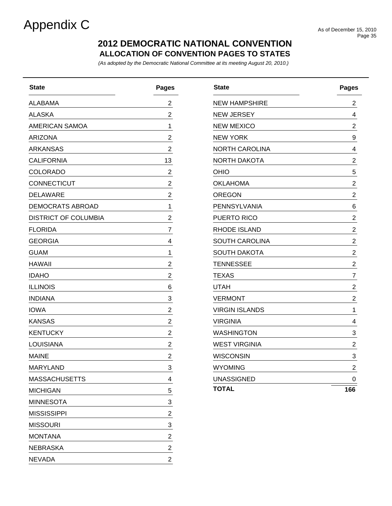# Appendix C<br>As of December 15, 2010

### **ALLOCATION OF CONVENTION PAGES TO STATES 2012 DEMOCRATIC NATIONAL CONVENTION**

*(As adopted by the Democratic National Committee at its meeting August 20, 2010.)*

| <b>State</b>                | <b>Pages</b>            |
|-----------------------------|-------------------------|
| ALABAMA                     | 2                       |
| <b>ALASKA</b>               | 2                       |
| <b>AMERICAN SAMOA</b>       | 1                       |
| <b>ARIZONA</b>              | $\overline{\mathbf{c}}$ |
| ARKANSAS                    | 2                       |
| <b>CALIFORNIA</b>           | 13                      |
| <b>COLORADO</b>             | $\overline{c}$          |
| CONNECTICUT                 | $\overline{c}$          |
| <b>DELAWARE</b>             | 2                       |
| <b>DEMOCRATS ABROAD</b>     | 1                       |
| <b>DISTRICT OF COLUMBIA</b> | $\overline{c}$          |
| <b>FLORIDA</b>              | 7                       |
| <b>GEORGIA</b>              | 4                       |
| <b>GUAM</b>                 | 1                       |
| <b>HAWAII</b>               | $\overline{c}$          |
| <b>IDAHO</b>                | $\overline{\mathbf{c}}$ |
| <b>ILLINOIS</b>             | 6                       |
| <b>INDIANA</b>              | 3                       |
| <b>IOWA</b>                 | 2                       |
| <b>KANSAS</b>               | 2                       |
| <b>KENTUCKY</b>             | 2                       |
| <b>LOUISIANA</b>            | $\overline{\mathbf{c}}$ |
| <b>MAINE</b>                | 2                       |
| MARYLAND                    | 3                       |
| <b>MASSACHUSETTS</b>        | 4                       |
| <b>MICHIGAN</b>             | 5                       |
| <b>MINNESOTA</b>            | 3                       |
| <b>MISSISSIPPI</b>          | 2                       |
| <b>MISSOURI</b>             | 3                       |
| <b>MONTANA</b>              | 2                       |
| <b>NEBRASKA</b>             | 2                       |
| <b>NEVADA</b>               | 2                       |

| <b>State</b>          | <b>Pages</b>            |
|-----------------------|-------------------------|
| <b>NEW HAMPSHIRE</b>  | 2                       |
| <b>NEW JERSEY</b>     | 4                       |
| <b>NEW MEXICO</b>     | 2                       |
| <b>NEW YORK</b>       | 9                       |
| <b>NORTH CAROLINA</b> | $\overline{\mathbf{4}}$ |
| <b>NORTH DAKOTA</b>   | 2                       |
| OHIO                  | 5                       |
| <b>OKLAHOMA</b>       | 2                       |
| <b>OREGON</b>         | 2                       |
| <b>PENNSYLVANIA</b>   | 6                       |
| <b>PUERTO RICO</b>    | 2                       |
| RHODE ISLAND          | 2                       |
| <b>SOUTH CAROLINA</b> | $\overline{c}$          |
| <b>SOUTH DAKOTA</b>   | 2                       |
| <b>TENNESSEE</b>      | $\overline{c}$          |
| <b>TEXAS</b>          | 7                       |
| <b>UTAH</b>           | 2                       |
| <b>VERMONT</b>        | 2                       |
| <b>VIRGIN ISLANDS</b> | 1                       |
| VIRGINIA              | 4                       |
| WASHINGTON            | 3                       |
| <b>WEST VIRGINIA</b>  | 2                       |
| <b>WISCONSIN</b>      | 3                       |
| <b>WYOMING</b>        | 2                       |
| <b>UNASSIGNED</b>     | 0                       |
| <b>TOTAL</b>          | 166                     |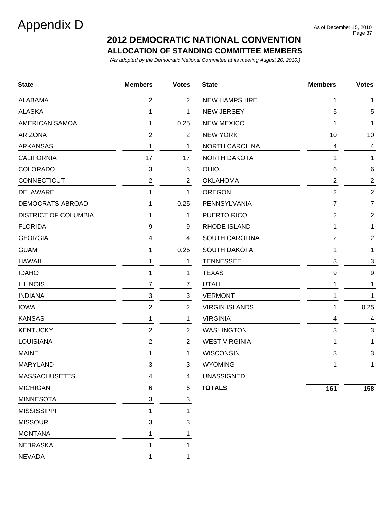# Appendix D<br>As of December 15, 2010

### **ALLOCATION OF STANDING COMMITTEE MEMBERS 2012 DEMOCRATIC NATIONAL CONVENTION**

*(As adopted by the Democratic National Committee at its meeting August 20, 2010.)*

| <b>State</b>                | <b>Members</b> | <b>Votes</b>   | <b>State</b>          | <b>Members</b>   | <b>Votes</b>   |
|-----------------------------|----------------|----------------|-----------------------|------------------|----------------|
| <b>ALABAMA</b>              | 2              | $\overline{2}$ | <b>NEW HAMPSHIRE</b>  | 1                | 1              |
| <b>ALASKA</b>               | 1              | 1              | <b>NEW JERSEY</b>     | 5                | 5              |
| <b>AMERICAN SAMOA</b>       | 1              | 0.25           | <b>NEW MEXICO</b>     | 1                | 1              |
| <b>ARIZONA</b>              | 2              | $\overline{2}$ | <b>NEW YORK</b>       | 10               | 10             |
| <b>ARKANSAS</b>             | 1              | 1              | <b>NORTH CAROLINA</b> | 4                | 4              |
| <b>CALIFORNIA</b>           | 17             | 17             | NORTH DAKOTA          | 1                | 1              |
| <b>COLORADO</b>             | 3              | 3              | OHIO                  | 6                | 6              |
| <b>CONNECTICUT</b>          | $\mathbf{2}$   | $\overline{2}$ | <b>OKLAHOMA</b>       | $\boldsymbol{2}$ | $\overline{c}$ |
| <b>DELAWARE</b>             | 1              | 1              | <b>OREGON</b>         | $\boldsymbol{2}$ | $\overline{2}$ |
| <b>DEMOCRATS ABROAD</b>     | 1              | 0.25           | PENNSYLVANIA          | $\overline{7}$   | 7              |
| <b>DISTRICT OF COLUMBIA</b> | 1              | 1              | PUERTO RICO           | $\overline{2}$   | $\overline{c}$ |
| <b>FLORIDA</b>              | 9              | 9              | RHODE ISLAND          | 1                | 1              |
| <b>GEORGIA</b>              | 4              | 4              | <b>SOUTH CAROLINA</b> | $\overline{2}$   | $\overline{c}$ |
| <b>GUAM</b>                 | 1              | 0.25           | <b>SOUTH DAKOTA</b>   | 1                | 1              |
| <b>HAWAII</b>               | 1              | 1              | <b>TENNESSEE</b>      | 3                | 3              |
| <b>IDAHO</b>                | 1              | 1              | <b>TEXAS</b>          | 9                | 9              |
| <b>ILLINOIS</b>             | 7              | 7              | <b>UTAH</b>           | 1                | 1              |
| <b>INDIANA</b>              | 3              | $\mathbf{3}$   | <b>VERMONT</b>        | 1                | 1              |
| <b>IOWA</b>                 | 2              | $\overline{2}$ | <b>VIRGIN ISLANDS</b> | 1                | 0.25           |
| <b>KANSAS</b>               | 1              | 1              | <b>VIRGINIA</b>       | 4                | 4              |
| <b>KENTUCKY</b>             | 2              | $\overline{2}$ | <b>WASHINGTON</b>     | 3                | 3              |
| <b>LOUISIANA</b>            | 2              | $\overline{2}$ | <b>WEST VIRGINIA</b>  | 1                | 1              |
| <b>MAINE</b>                | 1              | 1              | <b>WISCONSIN</b>      | 3                | 3              |
| MARYLAND                    | 3              | 3              | <b>WYOMING</b>        | 1                | 1              |
| <b>MASSACHUSETTS</b>        | 4              | 4              | <b>UNASSIGNED</b>     |                  |                |
| <b>MICHIGAN</b>             | 6              | 6              | <b>TOTALS</b>         | 161              | 158            |
| <b>MINNESOTA</b>            | 3              | 3              |                       |                  |                |
| <b>MISSISSIPPI</b>          | 1              | 1              |                       |                  |                |
| <b>MISSOURI</b>             | 3              | 3              |                       |                  |                |
| <b>MONTANA</b>              | 1              | 1              |                       |                  |                |
| <b>NEBRASKA</b>             | 1              | 1              |                       |                  |                |
| <b>NEVADA</b>               | 1              | 1              |                       |                  |                |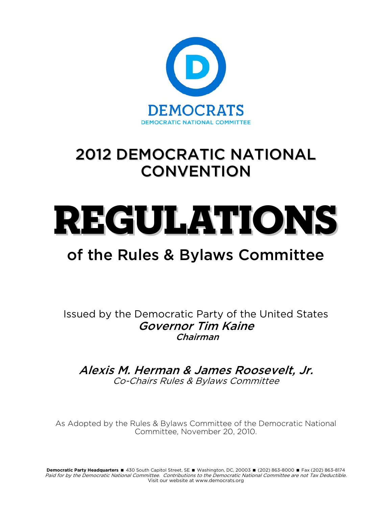

# 2012 DEMOCRATIC NATIONAL **CONVENTION**

# REGULATIONS

# of the Rules & Bylaws Committee

Issued by the Democratic Party of the United States Governor Tim Kaine Chairman

Alexis M. Herman & James Roosevelt, Jr. Co-Chairs Rules & Bylaws Committee

As Adopted by the Rules & Bylaws Committee of the Democratic National Committee, November 20, 2010.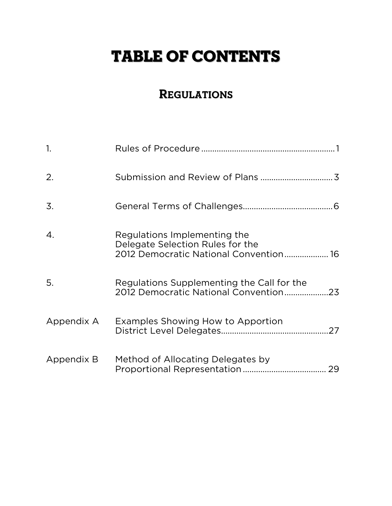# TABLE OF CONTENTS

# **REGULATIONS**

| $\mathbf{1}$ . |                                                                                                            |  |
|----------------|------------------------------------------------------------------------------------------------------------|--|
| 2.             |                                                                                                            |  |
| 3.             |                                                                                                            |  |
| 4.             | Regulations Implementing the<br>Delegate Selection Rules for the<br>2012 Democratic National Convention 16 |  |
| 5.             | Regulations Supplementing the Call for the<br>2012 Democratic National Convention23                        |  |
| Appendix A     | Examples Showing How to Apportion                                                                          |  |
| Appendix B     | Method of Allocating Delegates by                                                                          |  |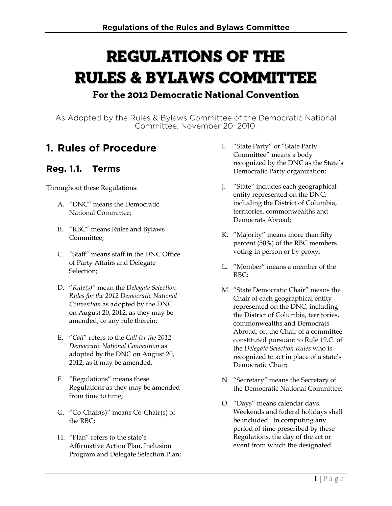# Regulations of the Rules & Bylaws Committee **For the 2012 Democratic National Convention**

As Adopted by the Rules & Bylaws Committee of the Democratic National Committee, November 20, 2010.

# **1. Rules of Procedure**

### **Reg. 1.1. Terms**

Throughout these Regulations:

- A. "DNC" means the Democratic National Committee;
- B. "RBC" means Rules and Bylaws Committee;
- C. "Staff" means staff in the DNC Office of Party Affairs and Delegate Selection;
- D. "*Rule(s)"* mean the *Delegate Selection Rules for the 2012 Democratic National Convention* as adopted by the DNC on August 20, 2012, as they may be amended, or any rule therein;
- E. "*Call*" refers to the *Call for the 2012 Democratic National Convention* as adopted by the DNC on August 20, 2012, as it may be amended;
- F. "Regulations" means these Regulations as they may be amended from time to time;
- G. "Co-Chair(s)" means Co-Chair(s) of the RBC;
- H. "Plan" refers to the state's Affirmative Action Plan, Inclusion Program and Delegate Selection Plan;
- I. "State Party" or "State Party Committee" means a body recognized by the DNC as the State's Democratic Party organization;
- J. "State" includes each geographical entity represented on the DNC, including the District of Columbia, territories, commonwealths and Democrats Abroad;
- K. "Majority" means more than fifty percent (50%) of the RBC members voting in person or by proxy;
- L. "Member" means a member of the RBC;
- M. "State Democratic Chair" means the Chair of each geographical entity represented on the DNC, including the District of Columbia, territories, commonwealths and Democrats Abroad, or, the Chair of a committee constituted pursuant to Rule 19.C. of the *Delegate Selection Rules* who is recognized to act in place of a state's Democratic Chair;
- N. "Secretary" means the Secretary of the Democratic National Committee;
- O. "Days" means calendar days. Weekends and federal holidays shall be included. In computing any period of time prescribed by these Regulations, the day of the act or event from which the designated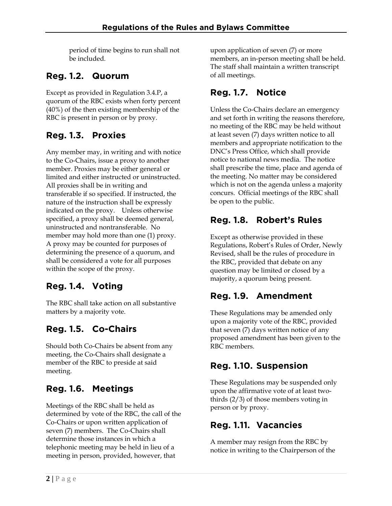period of time begins to run shall not be included.

### **Reg. 1.2. Quorum**

Except as provided in Regulation 3.4.P, a quorum of the RBC exists when forty percent (40%) of the then existing membership of the RBC is present in person or by proxy.

## **Reg. 1.3. Proxies**

Any member may, in writing and with notice to the Co-Chairs, issue a proxy to another member. Proxies may be either general or limited and either instructed or uninstructed. All proxies shall be in writing and transferable if so specified. If instructed, the nature of the instruction shall be expressly indicated on the proxy. Unless otherwise specified, a proxy shall be deemed general, uninstructed and nontransferable. No member may hold more than one (1) proxy. A proxy may be counted for purposes of determining the presence of a quorum, and shall be considered a vote for all purposes within the scope of the proxy.

## **Reg. 1.4. Voting**

The RBC shall take action on all substantive matters by a majority vote.

## **Reg. 1.5. Co-Chairs**

Should both Co-Chairs be absent from any meeting, the Co-Chairs shall designate a member of the RBC to preside at said meeting.

# **Reg. 1.6. Meetings**

Meetings of the RBC shall be held as determined by vote of the RBC, the call of the Co-Chairs or upon written application of seven (7) members. The Co-Chairs shall determine those instances in which a telephonic meeting may be held in lieu of a meeting in person, provided, however, that

upon application of seven (7) or more members, an in-person meeting shall be held. The staff shall maintain a written transcript of all meetings.

## **Reg. 1.7. Notice**

Unless the Co-Chairs declare an emergency and set forth in writing the reasons therefore, no meeting of the RBC may be held without at least seven (7) days written notice to all members and appropriate notification to the DNC's Press Office, which shall provide notice to national news media. The notice shall prescribe the time, place and agenda of the meeting. No matter may be considered which is not on the agenda unless a majority concurs. Official meetings of the RBC shall be open to the public.

## **Reg. 1.8. Robert's Rules**

Except as otherwise provided in these Regulations, Robert's Rules of Order, Newly Revised, shall be the rules of procedure in the RBC, provided that debate on any question may be limited or closed by a majority, a quorum being present.

## **Reg. 1.9. Amendment**

These Regulations may be amended only upon a majority vote of the RBC, provided that seven (7) days written notice of any proposed amendment has been given to the RBC members.

### **Reg. 1.10. Suspension**

These Regulations may be suspended only upon the affirmative vote of at least twothirds (2/3) of those members voting in person or by proxy.

### **Reg. 1.11. Vacancies**

A member may resign from the RBC by notice in writing to the Chairperson of the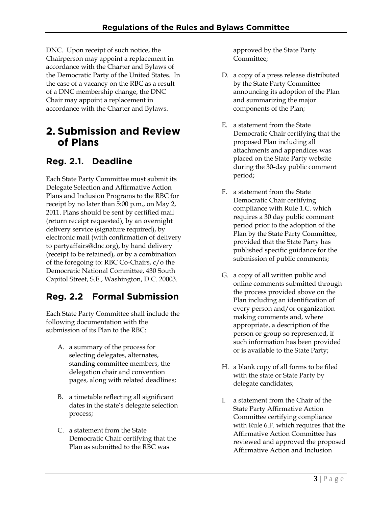DNC. Upon receipt of such notice, the Chairperson may appoint a replacement in accordance with the Charter and Bylaws of the Democratic Party of the United States. In the case of a vacancy on the RBC as a result of a DNC membership change, the DNC Chair may appoint a replacement in accordance with the Charter and Bylaws.

# **2. Submission and Review of Plans**

### **Reg. 2.1. Deadline**

Each State Party Committee must submit its Delegate Selection and Affirmative Action Plans and Inclusion Programs to the RBC for receipt by no later than 5:00 p.m., on May 2, 2011. Plans should be sent by certified mail (return receipt requested), by an overnight delivery service (signature required), by electronic mail (with confirmation of delivery to partyaffairs@dnc.org), by hand delivery (receipt to be retained), or by a combination of the foregoing to: RBC Co-Chairs, c/o the Democratic National Committee, 430 South Capitol Street, S.E., Washington, D.C. 20003.

### **Reg. 2.2 Formal Submission**

Each State Party Committee shall include the following documentation with the submission of its Plan to the RBC:

- A. a summary of the process for selecting delegates, alternates, standing committee members, the delegation chair and convention pages, along with related deadlines;
- B. a timetable reflecting all significant dates in the state's delegate selection process;
- C. a statement from the State Democratic Chair certifying that the Plan as submitted to the RBC was

approved by the State Party Committee;

- D. a copy of a press release distributed by the State Party Committee announcing its adoption of the Plan and summarizing the major components of the Plan;
- E. a statement from the State Democratic Chair certifying that the proposed Plan including all attachments and appendices was placed on the State Party website during the 30-day public comment period;
- F. a statement from the State Democratic Chair certifying compliance with Rule 1.C. which requires a 30 day public comment period prior to the adoption of the Plan by the State Party Committee, provided that the State Party has published specific guidance for the submission of public comments;
- G. a copy of all written public and online comments submitted through the process provided above on the Plan including an identification of every person and/or organization making comments and, where appropriate, a description of the person or group so represented, if such information has been provided or is available to the State Party;
- H. a blank copy of all forms to be filed with the state or State Party by delegate candidates;
- I. a statement from the Chair of the State Party Affirmative Action Committee certifying compliance with Rule 6.F. which requires that the Affirmative Action Committee has reviewed and approved the proposed Affirmative Action and Inclusion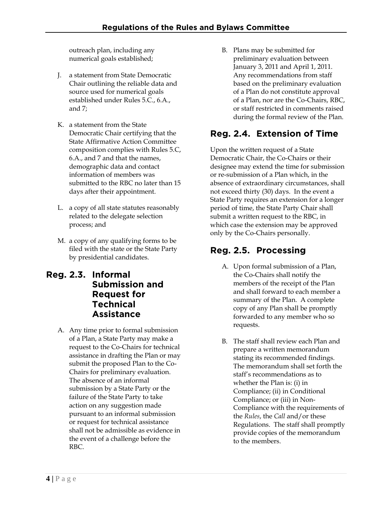outreach plan, including any numerical goals established;

- J. a statement from State Democratic Chair outlining the reliable data and source used for numerical goals established under Rules 5.C., 6.A., and 7;
- K. a statement from the State Democratic Chair certifying that the State Affirmative Action Committee composition complies with Rules 5.C, 6.A., and 7 and that the names, demographic data and contact information of members was submitted to the RBC no later than 15 days after their appointment.
- L. a copy of all state statutes reasonably related to the delegate selection process; and
- M. a copy of any qualifying forms to be filed with the state or the State Party by presidential candidates.

#### **Reg. 2.3. Informal Submission and Request for Technical Assistance**

A. Any time prior to formal submission of a Plan, a State Party may make a request to the Co-Chairs for technical assistance in drafting the Plan or may submit the proposed Plan to the Co-Chairs for preliminary evaluation. The absence of an informal submission by a State Party or the failure of the State Party to take action on any suggestion made pursuant to an informal submission or request for technical assistance shall not be admissible as evidence in the event of a challenge before the RBC.

B. Plans may be submitted for preliminary evaluation between January 3, 2011 and April 1, 2011. Any recommendations from staff based on the preliminary evaluation of a Plan do not constitute approval of a Plan, nor are the Co-Chairs, RBC, or staff restricted in comments raised during the formal review of the Plan.

# **Reg. 2.4. Extension of Time**

Upon the written request of a State Democratic Chair, the Co-Chairs or their designee may extend the time for submission or re-submission of a Plan which, in the absence of extraordinary circumstances, shall not exceed thirty (30) days. In the event a State Party requires an extension for a longer period of time, the State Party Chair shall submit a written request to the RBC, in which case the extension may be approved only by the Co-Chairs personally.

# **Reg. 2.5. Processing**

- A. Upon formal submission of a Plan, the Co-Chairs shall notify the members of the receipt of the Plan and shall forward to each member a summary of the Plan. A complete copy of any Plan shall be promptly forwarded to any member who so requests.
- B. The staff shall review each Plan and prepare a written memorandum stating its recommended findings. The memorandum shall set forth the staff's recommendations as to whether the Plan is: (i) in Compliance; (ii) in Conditional Compliance; or (iii) in Non-Compliance with the requirements of the *Rules*, the *Call* and/or these Regulations. The staff shall promptly provide copies of the memorandum to the members.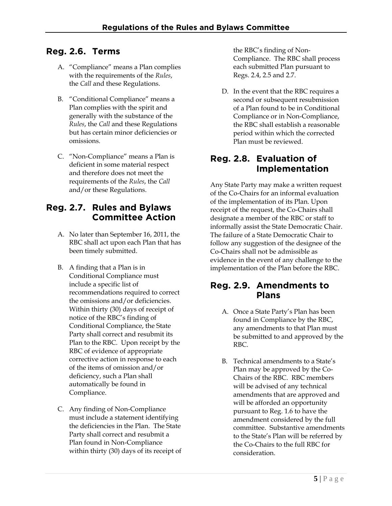#### **Reg. 2.6. Terms**

- A. "Compliance" means a Plan complies with the requirements of the *Rules*, the *Call* and these Regulations.
- B. "Conditional Compliance" means a Plan complies with the spirit and generally with the substance of the *Rules*, the *Call* and these Regulations but has certain minor deficiencies or omissions.
- C. "Non-Compliance" means a Plan is deficient in some material respect and therefore does not meet the requirements of the *Rules*, the *Call* and/or these Regulations.

#### **Reg. 2.7. Rules and Bylaws Committee Action**

- A. No later than September 16, 2011, the RBC shall act upon each Plan that has been timely submitted.
- B. A finding that a Plan is in Conditional Compliance must include a specific list of recommendations required to correct the omissions and/or deficiencies. Within thirty (30) days of receipt of notice of the RBC's finding of Conditional Compliance, the State Party shall correct and resubmit its Plan to the RBC. Upon receipt by the RBC of evidence of appropriate corrective action in response to each of the items of omission and/or deficiency, such a Plan shall automatically be found in Compliance.
- C. Any finding of Non-Compliance must include a statement identifying the deficiencies in the Plan. The State Party shall correct and resubmit a Plan found in Non-Compliance within thirty (30) days of its receipt of

the RBC's finding of Non-Compliance. The RBC shall process each submitted Plan pursuant to Regs. 2.4, 2.5 and 2.7.

D. In the event that the RBC requires a second or subsequent resubmission of a Plan found to be in Conditional Compliance or in Non-Compliance, the RBC shall establish a reasonable period within which the corrected Plan must be reviewed.

#### **Reg. 2.8. Evaluation of Implementation**

Any State Party may make a written request of the Co-Chairs for an informal evaluation of the implementation of its Plan. Upon receipt of the request, the Co-Chairs shall designate a member of the RBC or staff to informally assist the State Democratic Chair. The failure of a State Democratic Chair to follow any suggestion of the designee of the Co-Chairs shall not be admissible as evidence in the event of any challenge to the implementation of the Plan before the RBC.

#### **Reg. 2.9. Amendments to Plans**

- A. Once a State Party's Plan has been found in Compliance by the RBC, any amendments to that Plan must be submitted to and approved by the RBC.
- B. Technical amendments to a State's Plan may be approved by the Co-Chairs of the RBC. RBC members will be advised of any technical amendments that are approved and will be afforded an opportunity pursuant to Reg. 1.6 to have the amendment considered by the full committee. Substantive amendments to the State's Plan will be referred by the Co-Chairs to the full RBC for consideration.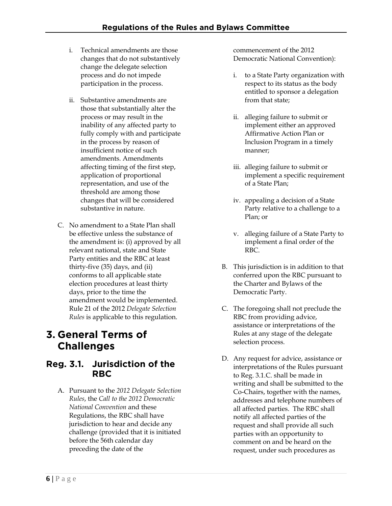- i. Technical amendments are those changes that do not substantively change the delegate selection process and do not impede participation in the process.
- ii. Substantive amendments are those that substantially alter the process or may result in the inability of any affected party to fully comply with and participate in the process by reason of insufficient notice of such amendments. Amendments affecting timing of the first step, application of proportional representation, and use of the threshold are among those changes that will be considered substantive in nature.
- C. No amendment to a State Plan shall be effective unless the substance of the amendment is: (i) approved by all relevant national, state and State Party entities and the RBC at least thirty-five (35) days, and (ii) conforms to all applicable state election procedures at least thirty days, prior to the time the amendment would be implemented. Rule 21 of the 2012 *Delegate Selection Rules* is applicable to this regulation.

# **3. General Terms of Challenges**

#### **Reg. 3.1. Jurisdiction of the RBC**

A. Pursuant to the *2012 Delegate Selection Rules*, the *Call to the 2012 Democratic National Convention* and these Regulations, the RBC shall have jurisdiction to hear and decide any challenge (provided that it is initiated before the 56th calendar day preceding the date of the

commencement of the 2012 Democratic National Convention):

- i. to a State Party organization with respect to its status as the body entitled to sponsor a delegation from that state;
- ii. alleging failure to submit or implement either an approved Affirmative Action Plan or Inclusion Program in a timely manner;
- iii. alleging failure to submit or implement a specific requirement of a State Plan;
- iv. appealing a decision of a State Party relative to a challenge to a Plan; or
- v. alleging failure of a State Party to implement a final order of the RBC.
- B. This jurisdiction is in addition to that conferred upon the RBC pursuant to the Charter and Bylaws of the Democratic Party.
- C. The foregoing shall not preclude the RBC from providing advice, assistance or interpretations of the Rules at any stage of the delegate selection process.
- D. Any request for advice, assistance or interpretations of the Rules pursuant to Reg. 3.1.C. shall be made in writing and shall be submitted to the Co-Chairs, together with the names, addresses and telephone numbers of all affected parties. The RBC shall notify all affected parties of the request and shall provide all such parties with an opportunity to comment on and be heard on the request, under such procedures as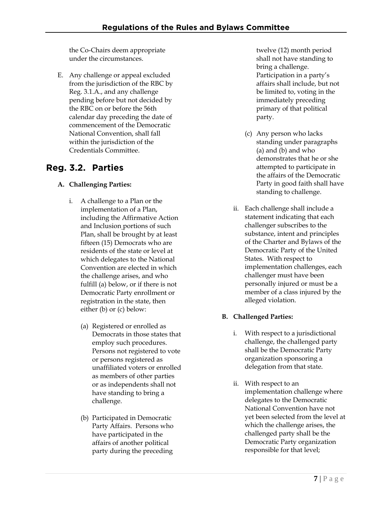the Co-Chairs deem appropriate under the circumstances.

E. Any challenge or appeal excluded from the jurisdiction of the RBC by Reg. 3.1.A., and any challenge pending before but not decided by the RBC on or before the 56th calendar day preceding the date of commencement of the Democratic National Convention, shall fall within the jurisdiction of the Credentials Committee.

## **Reg. 3.2. Parties**

#### **A. Challenging Parties:**

- i. A challenge to a Plan or the implementation of a Plan, including the Affirmative Action and Inclusion portions of such Plan, shall be brought by at least fifteen (15) Democrats who are residents of the state or level at which delegates to the National Convention are elected in which the challenge arises, and who fulfill (a) below, or if there is not Democratic Party enrollment or registration in the state, then either (b) or (c) below:
	- (a) Registered or enrolled as Democrats in those states that employ such procedures. Persons not registered to vote or persons registered as unaffiliated voters or enrolled as members of other parties or as independents shall not have standing to bring a challenge.
	- (b) Participated in Democratic Party Affairs. Persons who have participated in the affairs of another political party during the preceding

twelve (12) month period shall not have standing to bring a challenge. Participation in a party's affairs shall include, but not be limited to, voting in the immediately preceding primary of that political party.

- (c) Any person who lacks standing under paragraphs (a) and (b) and who demonstrates that he or she attempted to participate in the affairs of the Democratic Party in good faith shall have standing to challenge.
- ii. Each challenge shall include a statement indicating that each challenger subscribes to the substance, intent and principles of the Charter and Bylaws of the Democratic Party of the United States. With respect to implementation challenges, each challenger must have been personally injured or must be a member of a class injured by the alleged violation.

#### **B. Challenged Parties:**

- i. With respect to a jurisdictional challenge, the challenged party shall be the Democratic Party organization sponsoring a delegation from that state.
- ii. With respect to an implementation challenge where delegates to the Democratic National Convention have not yet been selected from the level at which the challenge arises, the challenged party shall be the Democratic Party organization responsible for that level;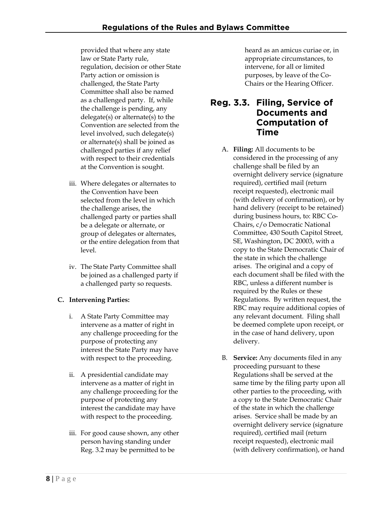provided that where any state law or State Party rule, regulation, decision or other State Party action or omission is challenged, the State Party Committee shall also be named as a challenged party. If, while the challenge is pending, any delegate(s) or alternate(s) to the Convention are selected from the level involved, such delegate(s) or alternate(s) shall be joined as challenged parties if any relief with respect to their credentials at the Convention is sought.

- iii. Where delegates or alternates to the Convention have been selected from the level in which the challenge arises, the challenged party or parties shall be a delegate or alternate, or group of delegates or alternates, or the entire delegation from that level.
- iv. The State Party Committee shall be joined as a challenged party if a challenged party so requests.

#### **C. Intervening Parties:**

- i. A State Party Committee may intervene as a matter of right in any challenge proceeding for the purpose of protecting any interest the State Party may have with respect to the proceeding.
- ii. A presidential candidate may intervene as a matter of right in any challenge proceeding for the purpose of protecting any interest the candidate may have with respect to the proceeding.
- iii. For good cause shown, any other person having standing under Reg. 3.2 may be permitted to be

heard as an amicus curiae or, in appropriate circumstances, to intervene, for all or limited purposes, by leave of the Co-Chairs or the Hearing Officer.

#### **Reg. 3.3. Filing, Service of Documents and Computation of Time**

- A. **Filing:** All documents to be considered in the processing of any challenge shall be filed by an overnight delivery service (signature required), certified mail (return receipt requested), electronic mail (with delivery of confirmation), or by hand delivery (receipt to be retained) during business hours, to: RBC Co-Chairs, c/o Democratic National Committee, 430 South Capitol Street, SE, Washington, DC 20003, with a copy to the State Democratic Chair of the state in which the challenge arises. The original and a copy of each document shall be filed with the RBC, unless a different number is required by the Rules or these Regulations. By written request, the RBC may require additional copies of any relevant document. Filing shall be deemed complete upon receipt, or in the case of hand delivery, upon delivery.
- B. **Service:** Any documents filed in any proceeding pursuant to these Regulations shall be served at the same time by the filing party upon all other parties to the proceeding, with a copy to the State Democratic Chair of the state in which the challenge arises. Service shall be made by an overnight delivery service (signature required), certified mail (return receipt requested), electronic mail (with delivery confirmation), or hand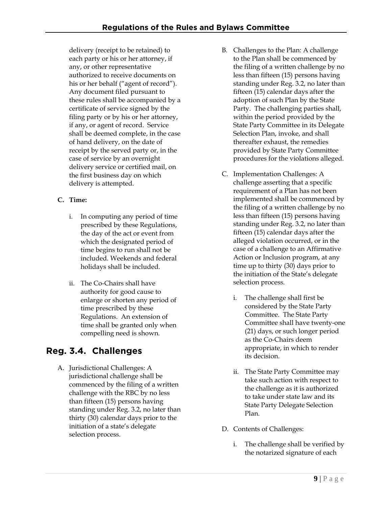delivery (receipt to be retained) to each party or his or her attorney, if any, or other representative authorized to receive documents on his or her behalf ("agent of record"). Any document filed pursuant to these rules shall be accompanied by a certificate of service signed by the filing party or by his or her attorney, if any, or agent of record. Service shall be deemed complete, in the case of hand delivery, on the date of receipt by the served party or, in the case of service by an overnight delivery service or certified mail, on the first business day on which delivery is attempted.

#### **C. Time:**

- i. In computing any period of time prescribed by these Regulations, the day of the act or event from which the designated period of time begins to run shall not be included. Weekends and federal holidays shall be included.
- ii. The Co-Chairs shall have authority for good cause to enlarge or shorten any period of time prescribed by these Regulations. An extension of time shall be granted only when compelling need is shown.

# **Reg. 3.4. Challenges**

A. Jurisdictional Challenges: A jurisdictional challenge shall be commenced by the filing of a written challenge with the RBC by no less than fifteen (15) persons having standing under Reg. 3.2, no later than thirty (30) calendar days prior to the initiation of a state's delegate selection process.

- B. Challenges to the Plan: A challenge to the Plan shall be commenced by the filing of a written challenge by no less than fifteen (15) persons having standing under Reg. 3.2, no later than fifteen (15) calendar days after the adoption of such Plan by the State Party. The challenging parties shall, within the period provided by the State Party Committee in its Delegate Selection Plan, invoke, and shall thereafter exhaust, the remedies provided by State Party Committee procedures for the violations alleged.
- C. Implementation Challenges: A challenge asserting that a specific requirement of a Plan has not been implemented shall be commenced by the filing of a written challenge by no less than fifteen (15) persons having standing under Reg. 3.2, no later than fifteen (15) calendar days after the alleged violation occurred, or in the case of a challenge to an Affirmative Action or Inclusion program, at any time up to thirty (30) days prior to the initiation of the State's delegate selection process.
	- i. The challenge shall first be considered by the State Party Committee. The State Party Committee shall have twenty-one (21) days, or such longer period as the Co-Chairs deem appropriate, in which to render its decision.
	- ii. The State Party Committee may take such action with respect to the challenge as it is authorized to take under state law and its State Party Delegate Selection Plan.
- D. Contents of Challenges:
	- i. The challenge shall be verified by the notarized signature of each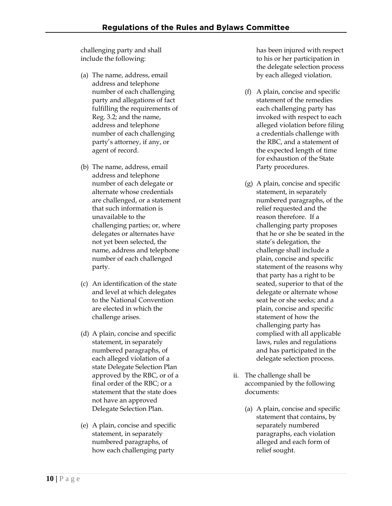challenging party and shall include the following:

- (a) The name, address, email address and telephone number of each challenging party and allegations of fact fulfilling the requirements of Reg. 3.2; and the name, address and telephone number of each challenging party's attorney, if any, or agent of record.
- (b) The name, address, email address and telephone number of each delegate or alternate whose credentials are challenged, or a statement that such information is unavailable to the challenging parties; or, where delegates or alternates have not yet been selected, the name, address and telephone number of each challenged party.
- (c) An identification of the state and level at which delegates to the National Convention are elected in which the challenge arises.
- (d) A plain, concise and specific statement, in separately numbered paragraphs, of each alleged violation of a state Delegate Selection Plan approved by the RBC, or of a final order of the RBC; or a statement that the state does not have an approved Delegate Selection Plan.
- (e) A plain, concise and specific statement, in separately numbered paragraphs, of how each challenging party

has been injured with respect to his or her participation in the delegate selection process by each alleged violation.

- (f) A plain, concise and specific statement of the remedies each challenging party has invoked with respect to each alleged violation before filing a credentials challenge with the RBC, and a statement of the expected length of time for exhaustion of the State Party procedures.
- (g) A plain, concise and specific statement, in separately numbered paragraphs, of the relief requested and the reason therefore. If a challenging party proposes that he or she be seated in the state's delegation, the challenge shall include a plain, concise and specific statement of the reasons why that party has a right to be seated, superior to that of the delegate or alternate whose seat he or she seeks; and a plain, concise and specific statement of how the challenging party has complied with all applicable laws, rules and regulations and has participated in the delegate selection process.
- ii. The challenge shall be accompanied by the following documents:
	- (a) A plain, concise and specific statement that contains, by separately numbered paragraphs, each violation alleged and each form of relief sought.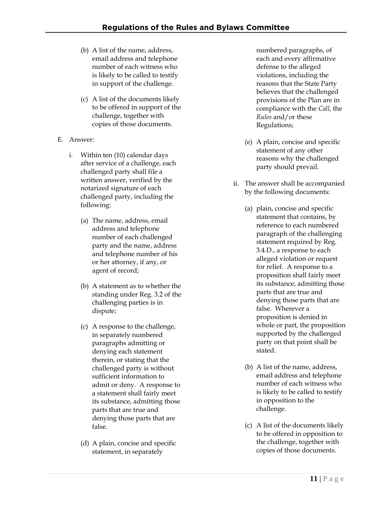- (b) A list of the name, address, email address and telephone number of each witness who is likely to be called to testify in support of the challenge.
- (c) A list of the documents likely to be offered in support of the challenge, together with copies of those documents.
- E. Answer:
	- i. Within ten (10) calendar days after service of a challenge, each challenged party shall file a written answer, verified by the notarized signature of each challenged party, including the following:
		- (a) The name, address, email address and telephone number of each challenged party and the name, address and telephone number of his or her attorney, if any, or agent of record;
		- (b) A statement as to whether the standing under Reg. 3.2 of the challenging parties is in dispute;
		- (c) A response to the challenge, in separately numbered paragraphs admitting or denying each statement therein, or stating that the challenged party is without sufficient information to admit or deny. A response to a statement shall fairly meet its substance, admitting those parts that are true and denying those parts that are false.
		- (d) A plain, concise and specific statement, in separately

numbered paragraphs, of each and every affirmative defense to the alleged violations, including the reasons that the State Party believes that the challenged provisions of the Plan are in compliance with the *Call*, the *Rules* and/or these Regulations;

- (e) A plain, concise and specific statement of any other reasons why the challenged party should prevail.
- ii. The answer shall be accompanied by the following documents:
	- (a) plain, concise and specific statement that contains, by reference to each numbered paragraph of the challenging statement required by Reg. 3.4.D., a response to each alleged violation or request for relief. A response to a proposition shall fairly meet its substance, admitting those parts that are true and denying those parts that are false. Wherever a proposition is denied in whole or part, the proposition supported by the challenged party on that point shall be stated.
	- (b) A list of the name, address, email address and telephone number of each witness who is likely to be called to testify in opposition to the challenge.
	- (c) A list of the documents likely to be offered in opposition to the challenge, together with copies of those documents.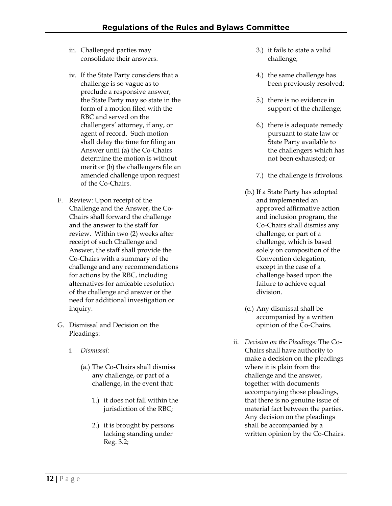- iii. Challenged parties may consolidate their answers.
- iv. If the State Party considers that a challenge is so vague as to preclude a responsive answer, the State Party may so state in the form of a motion filed with the RBC and served on the challengers' attorney, if any, or agent of record. Such motion shall delay the time for filing an Answer until (a) the Co-Chairs determine the motion is without merit or (b) the challengers file an amended challenge upon request of the Co-Chairs.
- F. Review: Upon receipt of the Challenge and the Answer, the Co-Chairs shall forward the challenge and the answer to the staff for review. Within two (2) weeks after receipt of such Challenge and Answer, the staff shall provide the Co-Chairs with a summary of the challenge and any recommendations for actions by the RBC, including alternatives for amicable resolution of the challenge and answer or the need for additional investigation or inquiry.
- G. Dismissal and Decision on the Pleadings:
	- i. *Dismissal:*
		- (a.) The Co-Chairs shall dismiss any challenge, or part of a challenge, in the event that:
			- 1.) it does not fall within the jurisdiction of the RBC;
			- 2.) it is brought by persons lacking standing under Reg. 3.2;
- 3.) it fails to state a valid challenge;
- 4.) the same challenge has been previously resolved;
- 5.) there is no evidence in support of the challenge;
- 6.) there is adequate remedy pursuant to state law or State Party available to the challengers which has not been exhausted; or
- 7.) the challenge is frivolous.
- (b.) If a State Party has adopted and implemented an approved affirmative action and inclusion program, the Co-Chairs shall dismiss any challenge, or part of a challenge, which is based solely on composition of the Convention delegation, except in the case of a challenge based upon the failure to achieve equal division.
- (c.) Any dismissal shall be accompanied by a written opinion of the Co-Chairs.
- ii. *Decision on the Pleadings:* The Co-Chairs shall have authority to make a decision on the pleadings where it is plain from the challenge and the answer, together with documents accompanying those pleadings, that there is no genuine issue of material fact between the parties. Any decision on the pleadings shall be accompanied by a written opinion by the Co-Chairs.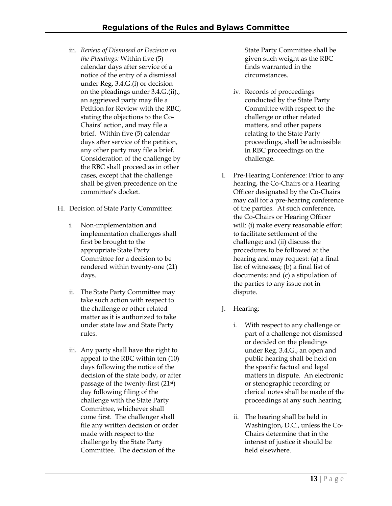- iii. *Review of Dismissal or Decision on the Pleadings:* Within five (5) calendar days after service of a notice of the entry of a dismissal under Reg. 3.4.G.(i) or decision on the pleadings under 3.4.G.(ii)., an aggrieved party may file a Petition for Review with the RBC, stating the objections to the Co-Chairs' action, and may file a brief. Within five (5) calendar days after service of the petition, any other party may file a brief. Consideration of the challenge by the RBC shall proceed as in other cases, except that the challenge shall be given precedence on the committee's docket.
- H. Decision of State Party Committee:
	- i. Non-implementation and implementation challenges shall first be brought to the appropriate State Party Committee for a decision to be rendered within twenty-one (21) days.
	- ii. The State Party Committee may take such action with respect to the challenge or other related matter as it is authorized to take under state law and State Party rules.
	- iii. Any party shall have the right to appeal to the RBC within ten (10) days following the notice of the decision of the state body, or after passage of the twenty-first (21st) day following filing of the challenge with the State Party Committee, whichever shall come first. The challenger shall file any written decision or order made with respect to the challenge by the State Party Committee. The decision of the

State Party Committee shall be given such weight as the RBC finds warranted in the circumstances.

- iv. Records of proceedings conducted by the State Party Committee with respect to the challenge or other related matters, and other papers relating to the State Party proceedings, shall be admissible in RBC proceedings on the challenge.
- I. Pre-Hearing Conference: Prior to any hearing, the Co-Chairs or a Hearing Officer designated by the Co-Chairs may call for a pre-hearing conference of the parties. At such conference, the Co-Chairs or Hearing Officer will: (i) make every reasonable effort to facilitate settlement of the challenge; and (ii) discuss the procedures to be followed at the hearing and may request: (a) a final list of witnesses; (b) a final list of documents; and (c) a stipulation of the parties to any issue not in dispute.
- J. Hearing:
	- i. With respect to any challenge or part of a challenge not dismissed or decided on the pleadings under Reg. 3.4.G., an open and public hearing shall be held on the specific factual and legal matters in dispute. An electronic or stenographic recording or clerical notes shall be made of the proceedings at any such hearing.
	- ii. The hearing shall be held in Washington, D.C., unless the Co-Chairs determine that in the interest of justice it should be held elsewhere.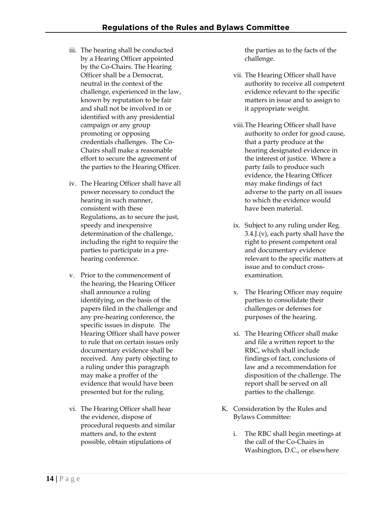- iii. The hearing shall be conducted by a Hearing Officer appointed by the Co-Chairs. The Hearing Officer shall be a Democrat, neutral in the context of the challenge, experienced in the law, known by reputation to be fair and shall not be involved in or identified with any presidential campaign or any group promoting or opposing credentials challenges. The Co-Chairs shall make a reasonable effort to secure the agreement of the parties to the Hearing Officer.
- iv. The Hearing Officer shall have all power necessary to conduct the hearing in such manner, consistent with these Regulations, as to secure the just, speedy and inexpensive determination of the challenge, including the right to require the parties to participate in a prehearing conference.
- v. Prior to the commencement of the hearing, the Hearing Officer shall announce a ruling identifying, on the basis of the papers filed in the challenge and any pre-hearing conference, the specific issues in dispute. The Hearing Officer shall have power to rule that on certain issues only documentary evidence shall be received. Any party objecting to a ruling under this paragraph may make a proffer of the evidence that would have been presented but for the ruling.
- vi. The Hearing Officer shall hear the evidence, dispose of procedural requests and similar matters and, to the extent possible, obtain stipulations of

the parties as to the facts of the challenge.

- vii. The Hearing Officer shall have authority to receive all competent evidence relevant to the specific matters in issue and to assign to it appropriate weight.
- viii.The Hearing Officer shall have authority to order for good cause, that a party produce at the hearing designated evidence in the interest of justice. Where a party fails to produce such evidence, the Hearing Officer may make findings of fact adverse to the party on all issues to which the evidence would have been material.
- ix. Subject to any ruling under Reg.  $3.4$ . J. (v), each party shall have the right to present competent oral and documentary evidence relevant to the specific matters at issue and to conduct crossexamination.
- x. The Hearing Officer may require parties to consolidate their challenges or defenses for purposes of the hearing.
- xi. The Hearing Officer shall make and file a written report to the RBC, which shall include findings of fact, conclusions of law and a recommendation for disposition of the challenge. The report shall be served on all parties to the challenge.
- K. Consideration by the Rules and Bylaws Committee:
	- i. The RBC shall begin meetings at the call of the Co-Chairs in Washington, D.C., or elsewhere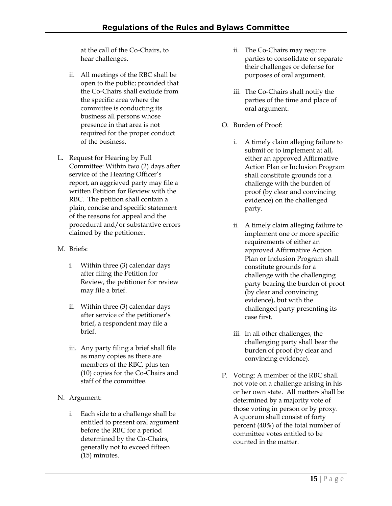at the call of the Co-Chairs, to hear challenges.

- ii. All meetings of the RBC shall be open to the public; provided that the Co-Chairs shall exclude from the specific area where the committee is conducting its business all persons whose presence in that area is not required for the proper conduct of the business.
- L. Request for Hearing by Full Committee: Within two (2) days after service of the Hearing Officer's report, an aggrieved party may file a written Petition for Review with the RBC. The petition shall contain a plain, concise and specific statement of the reasons for appeal and the procedural and/or substantive errors claimed by the petitioner.
- M. Briefs:
	- i. Within three (3) calendar days after filing the Petition for Review, the petitioner for review may file a brief.
	- ii. Within three (3) calendar days after service of the petitioner's brief, a respondent may file a brief.
	- iii. Any party filing a brief shall file as many copies as there are members of the RBC, plus ten (10) copies for the Co-Chairs and staff of the committee.
- N. Argument:
	- i. Each side to a challenge shall be entitled to present oral argument before the RBC for a period determined by the Co-Chairs, generally not to exceed fifteen (15) minutes.
- ii. The Co-Chairs may require parties to consolidate or separate their challenges or defense for purposes of oral argument.
- iii. The Co-Chairs shall notify the parties of the time and place of oral argument.
- O. Burden of Proof:
	- i. A timely claim alleging failure to submit or to implement at all, either an approved Affirmative Action Plan or Inclusion Program shall constitute grounds for a challenge with the burden of proof (by clear and convincing evidence) on the challenged party.
	- ii. A timely claim alleging failure to implement one or more specific requirements of either an approved Affirmative Action Plan or Inclusion Program shall constitute grounds for a challenge with the challenging party bearing the burden of proof (by clear and convincing evidence), but with the challenged party presenting its case first.
	- iii. In all other challenges, the challenging party shall bear the burden of proof (by clear and convincing evidence).
- P. Voting: A member of the RBC shall not vote on a challenge arising in his or her own state. All matters shall be determined by a majority vote of those voting in person or by proxy. A quorum shall consist of forty percent (40%) of the total number of committee votes entitled to be counted in the matter.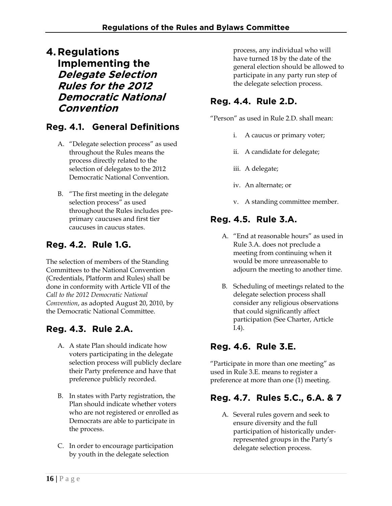**4. Regulations Implementing the Delegate Selection Rules for the 2012 Democratic National Convention**

## **Reg. 4.1. General Definitions**

- A. "Delegate selection process" as used throughout the Rules means the process directly related to the selection of delegates to the 2012 Democratic National Convention.
- B. "The first meeting in the delegate selection process" as used throughout the Rules includes preprimary caucuses and first tier caucuses in caucus states.

# **Reg. 4.2. Rule 1.G.**

The selection of members of the Standing Committees to the National Convention (Credentials, Platform and Rules) shall be done in conformity with Article VII of the *Call to the 2012 Democratic National Convention*, as adopted August 20, 2010, by the Democratic National Committee.

## **Reg. 4.3. Rule 2.A.**

- A. A state Plan should indicate how voters participating in the delegate selection process will publicly declare their Party preference and have that preference publicly recorded.
- B. In states with Party registration, the Plan should indicate whether voters who are not registered or enrolled as Democrats are able to participate in the process.
- C. In order to encourage participation by youth in the delegate selection

process, any individual who will have turned 18 by the date of the general election should be allowed to participate in any party run step of the delegate selection process.

### **Reg. 4.4. Rule 2.D.**

"Person" as used in Rule 2.D. shall mean:

- i. A caucus or primary voter;
- ii. A candidate for delegate;
- iii. A delegate;
- iv. An alternate; or
- v. A standing committee member.

#### **Reg. 4.5. Rule 3.A.**

- A. "End at reasonable hours" as used in Rule 3.A. does not preclude a meeting from continuing when it would be more unreasonable to adjourn the meeting to another time.
- B. Scheduling of meetings related to the delegate selection process shall consider any religious observations that could significantly affect participation (See Charter, Article I.4).

## **Reg. 4.6. Rule 3.E.**

"Participate in more than one meeting" as used in Rule 3.E. means to register a preference at more than one (1) meeting.

## **Reg. 4.7. Rules 5.C., 6.A. & 7**

A. Several rules govern and seek to ensure diversity and the full participation of historically underrepresented groups in the Party's delegate selection process.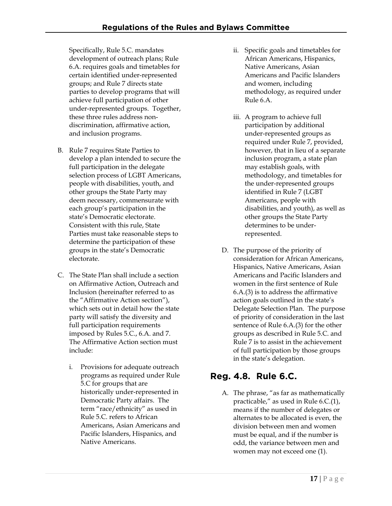Specifically, Rule 5.C. mandates development of outreach plans; Rule 6.A. requires goals and timetables for certain identified under-represented groups; and Rule 7 directs state parties to develop programs that will achieve full participation of other under-represented groups. Together, these three rules address nondiscrimination, affirmative action, and inclusion programs.

- B. Rule 7 requires State Parties to develop a plan intended to secure the full participation in the delegate selection process of LGBT Americans, people with disabilities, youth, and other groups the State Party may deem necessary, commensurate with each group's participation in the state's Democratic electorate. Consistent with this rule, State Parties must take reasonable steps to determine the participation of these groups in the state's Democratic electorate.
- C. The State Plan shall include a section on Affirmative Action, Outreach and Inclusion (hereinafter referred to as the "Affirmative Action section"), which sets out in detail how the state party will satisfy the diversity and full participation requirements imposed by Rules 5.C., 6.A. and 7. The Affirmative Action section must include:
	- i. Provisions for adequate outreach programs as required under Rule 5.C for groups that are historically under-represented in Democratic Party affairs. The term "race/ethnicity" as used in Rule 5.C. refers to African Americans, Asian Americans and Pacific Islanders, Hispanics, and Native Americans.
- ii. Specific goals and timetables for African Americans, Hispanics, Native Americans, Asian Americans and Pacific Islanders and women, including methodology, as required under Rule 6.A.
- iii. A program to achieve full participation by additional under-represented groups as required under Rule 7, provided, however, that in lieu of a separate inclusion program, a state plan may establish goals, with methodology, and timetables for the under-represented groups identified in Rule 7 (LGBT Americans, people with disabilities, and youth), as well as other groups the State Party determines to be underrepresented.
- D. The purpose of the priority of consideration for African Americans, Hispanics, Native Americans, Asian Americans and Pacific Islanders and women in the first sentence of Rule 6.A.(3) is to address the affirmative action goals outlined in the state's Delegate Selection Plan. The purpose of priority of consideration in the last sentence of Rule 6.A.(3) for the other groups as described in Rule 5.C. and Rule 7 is to assist in the achievement of full participation by those groups in the state's delegation.

#### **Reg. 4.8. Rule 6.C.**

A. The phrase, "as far as mathematically practicable," as used in Rule 6.C.(1), means if the number of delegates or alternates to be allocated is even, the division between men and women must be equal, and if the number is odd, the variance between men and women may not exceed one (1).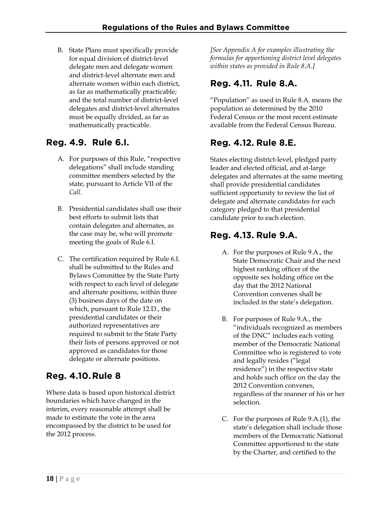B. State Plans must specifically provide for equal division of district-level delegate men and delegate women and district-level alternate men and alternate women within each district, as far as mathematically practicable; and the total number of district-level delegates and district-level alternates must be equally divided, as far as mathematically practicable.

## **Reg. 4.9. Rule 6.I.**

- A. For purposes of this Rule, "respective delegations" shall include standing committee members selected by the state, pursuant to Article VII of the *Call*.
- B. Presidential candidates shall use their best efforts to submit lists that contain delegates and alternates, as the case may be, who will promote meeting the goals of Rule 6.I.
- C. The certification required by Rule 6.I. shall be submitted to the Rules and Bylaws Committee by the State Party with respect to each level of delegate and alternate positions, within three (3) business days of the date on which, pursuant to Rule 12.D., the presidential candidates or their authorized representatives are required to submit to the State Party their lists of persons approved or not approved as candidates for those delegate or alternate positions.

## **Reg. 4.10. Rule 8**

Where data is based upon historical district boundaries which have changed in the interim, every reasonable attempt shall be made to estimate the vote in the area encompassed by the district to be used for the 2012 process.

*[See Appendix A for examples illustrating the formulas for apportioning district level delegates within states as provided in Rule 8.A.]* 

# **Reg. 4.11. Rule 8.A.**

"Population" as used in Rule 8.A. means the population as determined by the 2010 Federal Census or the most recent estimate available from the Federal Census Bureau.

# **Reg. 4.12. Rule 8.E.**

States electing district-level, pledged party leader and elected official, and at-large delegates and alternates at the same meeting shall provide presidential candidates sufficient opportunity to review the list of delegate and alternate candidates for each category pledged to that presidential candidate prior to each election.

### **Reg. 4.13. Rule 9.A.**

- A. For the purposes of Rule 9.A., the State Democratic Chair and the next highest ranking officer of the opposite sex holding office on the day that the 2012 National Convention convenes shall be included in the state's delegation.
- B. For purposes of Rule 9.A., the "individuals recognized as members of the DNC" includes each voting member of the Democratic National Committee who is registered to vote and legally resides ("legal residence") in the respective state and holds such office on the day the 2012 Convention convenes, regardless of the manner of his or her selection.
- C. For the purposes of Rule 9.A.(1), the state's delegation shall include those members of the Democratic National Committee apportioned to the state by the Charter, and certified to the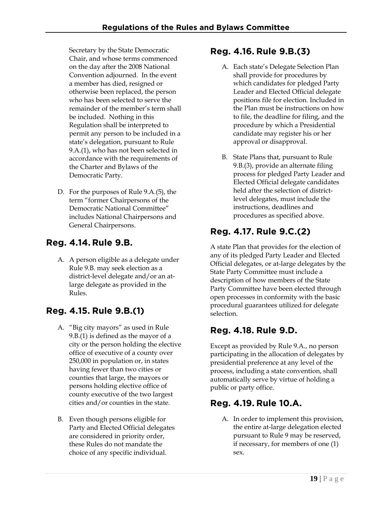Secretary by the State Democratic Chair, and whose terms commenced on the day after the 2008 National Convention adjourned. In the event a member has died, resigned or otherwise been replaced, the person who has been selected to serve the remainder of the member's term shall be included. Nothing in this Regulation shall be interpreted to permit any person to be included in a state's delegation, pursuant to Rule 9.A.(1), who has not been selected in accordance with the requirements of the Charter and Bylaws of the Democratic Party.

D. For the purposes of Rule 9.A.(5), the term "former Chairpersons of the Democratic National Committee" includes National Chairpersons and General Chairpersons.

### **Reg. 4.14. Rule 9.B.**

A. A person eligible as a delegate under Rule 9.B. may seek election as a district-level delegate and/or an atlarge delegate as provided in the Rules.

## **Reg. 4.15. Rule 9.B.(1)**

- A. "Big city mayors" as used in Rule 9.B.(1) is defined as the mayor of a city or the person holding the elective office of executive of a county over 250,000 in population or, in states having fewer than two cities or counties that large, the mayors or persons holding elective office of county executive of the two largest cities and/or counties in the state.
- B. Even though persons eligible for Party and Elected Official delegates are considered in priority order, these Rules do not mandate the choice of any specific individual.

#### **Reg. 4.16. Rule 9.B.(3)**

- A. Each state's Delegate Selection Plan shall provide for procedures by which candidates for pledged Party Leader and Elected Official delegate positions file for election. Included in the Plan must be instructions on how to file, the deadline for filing, and the procedure by which a Presidential candidate may register his or her approval or disapproval.
- B. State Plans that, pursuant to Rule 9.B.(3), provide an alternate filing process for pledged Party Leader and Elected Official delegate candidates held after the selection of districtlevel delegates, must include the instructions, deadlines and procedures as specified above.

## **Reg. 4.17. Rule 9.C.(2)**

A state Plan that provides for the election of any of its pledged Party Leader and Elected Official delegates, or at-large delegates by the State Party Committee must include a description of how members of the State Party Committee have been elected through open processes in conformity with the basic procedural guarantees utilized for delegate selection.

#### **Reg. 4.18. Rule 9.D.**

Except as provided by Rule 9.A., no person participating in the allocation of delegates by presidential preference at any level of the process, including a state convention, shall automatically serve by virtue of holding a public or party office.

#### **Reg. 4.19. Rule 10.A.**

A. In order to implement this provision, the entire at-large delegation elected pursuant to Rule 9 may be reserved, if necessary, for members of one (1) sex.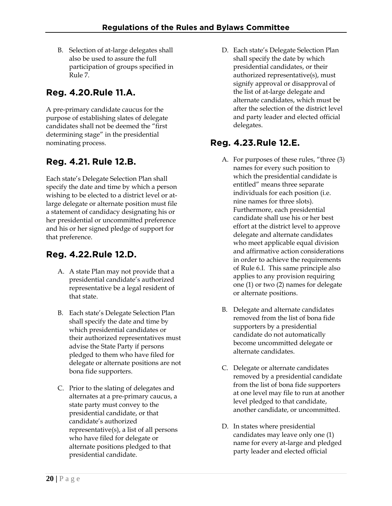B. Selection of at-large delegates shall also be used to assure the full participation of groups specified in Rule 7.

# **Reg. 4.20.Rule 11.A.**

A pre-primary candidate caucus for the purpose of establishing slates of delegate candidates shall not be deemed the "first determining stage" in the presidential nominating process.

# **Reg. 4.21. Rule 12.B.**

Each state's Delegate Selection Plan shall specify the date and time by which a person wishing to be elected to a district level or atlarge delegate or alternate position must file a statement of candidacy designating his or her presidential or uncommitted preference and his or her signed pledge of support for that preference.

# **Reg. 4.22. Rule 12.D.**

- A. A state Plan may not provide that a presidential candidate's authorized representative be a legal resident of that state.
- B. Each state's Delegate Selection Plan shall specify the date and time by which presidential candidates or their authorized representatives must advise the State Party if persons pledged to them who have filed for delegate or alternate positions are not bona fide supporters.
- C. Prior to the slating of delegates and alternates at a pre-primary caucus, a state party must convey to the presidential candidate, or that candidate's authorized representative(s), a list of all persons who have filed for delegate or alternate positions pledged to that presidential candidate.

D. Each state's Delegate Selection Plan shall specify the date by which presidential candidates, or their authorized representative(s), must signify approval or disapproval of the list of at-large delegate and alternate candidates, which must be after the selection of the district level and party leader and elected official delegates.

## **Reg. 4.23. Rule 12.E.**

- A. For purposes of these rules, "three (3) names for every such position to which the presidential candidate is entitled" means three separate individuals for each position (i.e. nine names for three slots). Furthermore, each presidential candidate shall use his or her best effort at the district level to approve delegate and alternate candidates who meet applicable equal division and affirmative action considerations in order to achieve the requirements of Rule 6.I. This same principle also applies to any provision requiring one (1) or two (2) names for delegate or alternate positions.
- B. Delegate and alternate candidates removed from the list of bona fide supporters by a presidential candidate do not automatically become uncommitted delegate or alternate candidates.
- C. Delegate or alternate candidates removed by a presidential candidate from the list of bona fide supporters at one level may file to run at another level pledged to that candidate, another candidate, or uncommitted.
- D. In states where presidential candidates may leave only one (1) name for every at-large and pledged party leader and elected official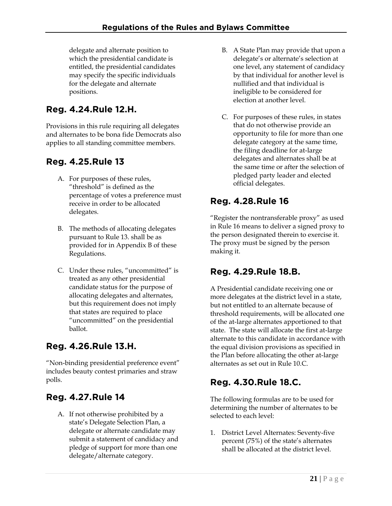delegate and alternate position to which the presidential candidate is entitled, the presidential candidates may specify the specific individuals for the delegate and alternate positions.

# **Reg. 4.24.Rule 12.H.**

Provisions in this rule requiring all delegates and alternates to be bona fide Democrats also applies to all standing committee members.

# **Reg. 4.25. Rule 13**

- A. For purposes of these rules, "threshold" is defined as the percentage of votes a preference must receive in order to be allocated delegates.
- B. The methods of allocating delegates pursuant to Rule 13. shall be as provided for in Appendix B of these Regulations.
- C. Under these rules, "uncommitted" is treated as any other presidential candidate status for the purpose of allocating delegates and alternates, but this requirement does not imply that states are required to place "uncommitted" on the presidential ballot.

## **Reg. 4.26.Rule 13.H.**

"Non-binding presidential preference event" includes beauty contest primaries and straw polls.

## **Reg. 4.27. Rule 14**

A. If not otherwise prohibited by a state's Delegate Selection Plan, a delegate or alternate candidate may submit a statement of candidacy and pledge of support for more than one delegate/alternate category.

- B. A State Plan may provide that upon a delegate's or alternate's selection at one level, any statement of candidacy by that individual for another level is nullified and that individual is ineligible to be considered for election at another level.
- C. For purposes of these rules, in states that do not otherwise provide an opportunity to file for more than one delegate category at the same time, the filing deadline for at-large delegates and alternates shall be at the same time or after the selection of pledged party leader and elected official delegates.

# **Reg. 4.28. Rule 16**

"Register the nontransferable proxy" as used in Rule 16 means to deliver a signed proxy to the person designated therein to exercise it. The proxy must be signed by the person making it.

## **Reg. 4.29.Rule 18.B.**

A Presidential candidate receiving one or more delegates at the district level in a state, but not entitled to an alternate because of threshold requirements, will be allocated one of the at-large alternates apportioned to that state. The state will allocate the first at-large alternate to this candidate in accordance with the equal division provisions as specified in the Plan before allocating the other at-large alternates as set out in Rule 10.C.

# **Reg. 4.30.Rule 18.C.**

The following formulas are to be used for determining the number of alternates to be selected to each level:

1. District Level Alternates: Seventy-five percent (75%) of the state's alternates shall be allocated at the district level.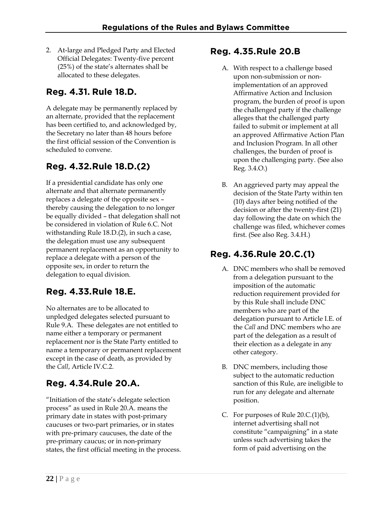2. At-large and Pledged Party and Elected Official Delegates: Twenty-five percent (25%) of the state's alternates shall be allocated to these delegates.

# **Reg. 4.31. Rule 18.D.**

A delegate may be permanently replaced by an alternate, provided that the replacement has been certified to, and acknowledged by, the Secretary no later than 48 hours before the first official session of the Convention is scheduled to convene.

### **Reg. 4.32. Rule 18.D.(2)**

If a presidential candidate has only one alternate and that alternate permanently replaces a delegate of the opposite sex – thereby causing the delegation to no longer be equally divided – that delegation shall not be considered in violation of Rule 6.C. Not withstanding Rule 18.D.(2), in such a case, the delegation must use any subsequent permanent replacement as an opportunity to replace a delegate with a person of the opposite sex, in order to return the delegation to equal division.

## **Reg. 4.33. Rule 18.E.**

No alternates are to be allocated to unpledged delegates selected pursuant to Rule 9.A. These delegates are not entitled to name either a temporary or permanent replacement nor is the State Party entitled to name a temporary or permanent replacement except in the case of death, as provided by the *Call*, Article IV.C.2.

# **Reg. 4.34.Rule 20.A.**

"Initiation of the state's delegate selection process" as used in Rule 20.A. means the primary date in states with post-primary caucuses or two-part primaries, or in states with pre-primary caucuses, the date of the pre-primary caucus; or in non-primary states, the first official meeting in the process.

#### **Reg. 4.35. Rule 20.B**

- A. With respect to a challenge based upon non-submission or nonimplementation of an approved Affirmative Action and Inclusion program, the burden of proof is upon the challenged party if the challenge alleges that the challenged party failed to submit or implement at all an approved Affirmative Action Plan and Inclusion Program. In all other challenges, the burden of proof is upon the challenging party. (See also Reg. 3.4.O.)
- B. An aggrieved party may appeal the decision of the State Party within ten (10) days after being notified of the decision or after the twenty-first (21) day following the date on which the challenge was filed, whichever comes first. (See also Reg. 3.4.H.)

# **Reg. 4.36. Rule 20.C.(1)**

- A. DNC members who shall be removed from a delegation pursuant to the imposition of the automatic reduction requirement provided for by this Rule shall include DNC members who are part of the delegation pursuant to Article I.E. of the *Call* and DNC members who are part of the delegation as a result of their election as a delegate in any other category.
- B. DNC members, including those subject to the automatic reduction sanction of this Rule, are ineligible to run for any delegate and alternate position.
- C. For purposes of Rule 20.C.(1)(b), internet advertising shall not constitute "campaigning" in a state unless such advertising takes the form of paid advertising on the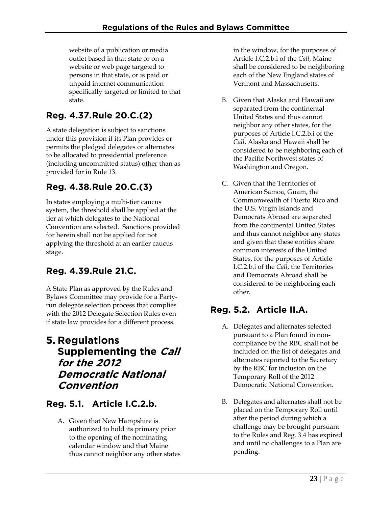website of a publication or media outlet based in that state or on a website or web page targeted to persons in that state, or is paid or unpaid internet communication specifically targeted or limited to that state.

# **Reg. 4.37. Rule 20.C.(2)**

A state delegation is subject to sanctions under this provision if its Plan provides or permits the pledged delegates or alternates to be allocated to presidential preference (including uncommitted status) other than as provided for in Rule 13.

# **Reg. 4.38. Rule 20.C.(3)**

In states employing a multi-tier caucus system, the threshold shall be applied at the tier at which delegates to the National Convention are selected. Sanctions provided for herein shall not be applied for not applying the threshold at an earlier caucus stage.

# **Reg. 4.39. Rule 21.C.**

A State Plan as approved by the Rules and Bylaws Committee may provide for a Partyrun delegate selection process that complies with the 2012 Delegate Selection Rules even if state law provides for a different process.

## **5. Regulations Supplementing the Call for the 2012 Democratic National Convention**

## **Reg. 5.1. Article I.C.2.b.**

A. Given that New Hampshire is authorized to hold its primary prior to the opening of the nominating calendar window and that Maine thus cannot neighbor any other states in the window, for the purposes of Article I.C.2.b.i of the *Call*, Maine shall be considered to be neighboring each of the New England states of Vermont and Massachusetts.

- B. Given that Alaska and Hawaii are separated from the continental United States and thus cannot neighbor any other states, for the purposes of Article I.C.2.b.i of the *Call*, Alaska and Hawaii shall be considered to be neighboring each of the Pacific Northwest states of Washington and Oregon.
- C. Given that the Territories of American Samoa, Guam, the Commonwealth of Puerto Rico and the U.S. Virgin Islands and Democrats Abroad are separated from the continental United States and thus cannot neighbor any states and given that these entities share common interests of the United States, for the purposes of Article I.C.2.b.i of the *Call*, the Territories and Democrats Abroad shall be considered to be neighboring each other.

# **Reg. 5.2. Article II.A.**

- A. Delegates and alternates selected pursuant to a Plan found in noncompliance by the RBC shall not be included on the list of delegates and alternates reported to the Secretary by the RBC for inclusion on the Temporary Roll of the 2012 Democratic National Convention.
- B. Delegates and alternates shall not be placed on the Temporary Roll until after the period during which a challenge may be brought pursuant to the Rules and Reg. 3.4 has expired and until no challenges to a Plan are pending.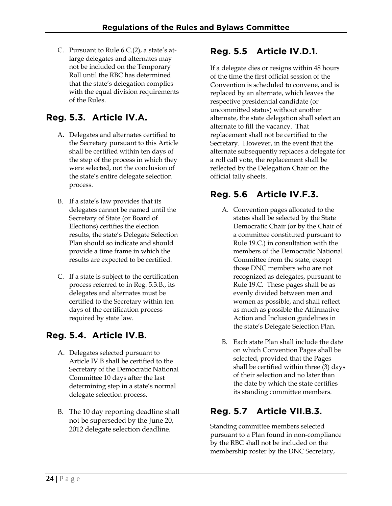C. Pursuant to Rule 6.C.(2), a state's atlarge delegates and alternates may not be included on the Temporary Roll until the RBC has determined that the state's delegation complies with the equal division requirements of the Rules.

# **Reg. 5.3. Article IV.A.**

- A. Delegates and alternates certified to the Secretary pursuant to this Article shall be certified within ten days of the step of the process in which they were selected, not the conclusion of the state's entire delegate selection process.
- B. If a state's law provides that its delegates cannot be named until the Secretary of State (or Board of Elections) certifies the election results, the state's Delegate Selection Plan should so indicate and should provide a time frame in which the results are expected to be certified.
- C. If a state is subject to the certification process referred to in Reg. 5.3.B., its delegates and alternates must be certified to the Secretary within ten days of the certification process required by state law.

## **Reg. 5.4. Article IV.B.**

- A. Delegates selected pursuant to Article IV.B shall be certified to the Secretary of the Democratic National Committee 10 days after the last determining step in a state's normal delegate selection process.
- B. The 10 day reporting deadline shall not be superseded by the June 20, 2012 delegate selection deadline.

#### **Reg. 5.5 Article IV.D.1.**

If a delegate dies or resigns within 48 hours of the time the first official session of the Convention is scheduled to convene, and is replaced by an alternate, which leaves the respective presidential candidate (or uncommitted status) without another alternate, the state delegation shall select an alternate to fill the vacancy. That replacement shall not be certified to the Secretary. However, in the event that the alternate subsequently replaces a delegate for a roll call vote, the replacement shall be reflected by the Delegation Chair on the official tally sheets.

### **Reg. 5.6 Article IV.F.3.**

- A. Convention pages allocated to the states shall be selected by the State Democratic Chair (or by the Chair of a committee constituted pursuant to Rule 19.C.) in consultation with the members of the Democratic National Committee from the state, except those DNC members who are not recognized as delegates, pursuant to Rule 19.C. These pages shall be as evenly divided between men and women as possible, and shall reflect as much as possible the Affirmative Action and Inclusion guidelines in the state's Delegate Selection Plan.
- B. Each state Plan shall include the date on which Convention Pages shall be selected, provided that the Pages shall be certified within three (3) days of their selection and no later than the date by which the state certifies its standing committee members.

## **Reg. 5.7 Article VII.B.3.**

Standing committee members selected pursuant to a Plan found in non-compliance by the RBC shall not be included on the membership roster by the DNC Secretary,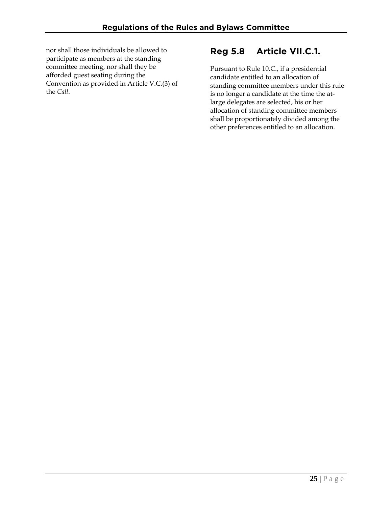nor shall those individuals be allowed to participate as members at the standing committee meeting, nor shall they be afforded guest seating during the Convention as provided in Article V.C.(3) of the *Call*.

#### **Reg 5.8 Article VII.C.1.**

Pursuant to Rule 10.C., if a presidential candidate entitled to an allocation of standing committee members under this rule is no longer a candidate at the time the atlarge delegates are selected, his or her allocation of standing committee members shall be proportionately divided among the other preferences entitled to an allocation.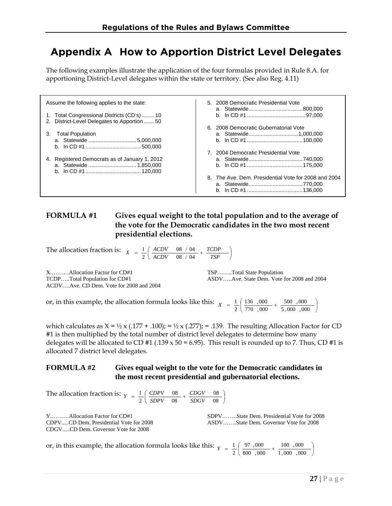# **Appendix A How to Apportion District Level Delegates**

The following examples illustrate the application of the four formulas provided in Rule 8.A. for apportioning District-Level delegates within the state or territory. (See also Reg. 4.11)

| Assume the following applies to the state:       | 5. 2008 Democratic Presidential Vote                 |  |
|--------------------------------------------------|------------------------------------------------------|--|
|                                                  |                                                      |  |
| 1. Total Congressional Districts (CD's)  10      |                                                      |  |
| 2. District-Level Delegates to Apportion  50     |                                                      |  |
|                                                  | 6. 2008 Democratic Gubernatorial Vote                |  |
| <b>Total Population</b><br>3.                    |                                                      |  |
|                                                  |                                                      |  |
|                                                  |                                                      |  |
|                                                  | 7. 2004 Democratic Presidential Vote                 |  |
| Registered Democrats as of January 1, 2012<br>4. |                                                      |  |
|                                                  |                                                      |  |
|                                                  |                                                      |  |
|                                                  | 8. The Ave. Dem. Presidential Vote for 2008 and 2004 |  |
|                                                  |                                                      |  |
|                                                  |                                                      |  |

#### **FORMULA #1 Gives equal weight to the total population and to the average of the vote for the Democratic candidates in the two most recent presidential elections.**

The allocation fraction is:  $X = \frac{1}{2} \left( \frac{ACDV}{ACDV} - \frac{08}{08} \times \frac{04}{04} + \frac{TCDP}{TSP} \right)$ *TCDP*  $X = \frac{1}{2} \left( \begin{array}{cc} ACDV & 08 / 04 \\ ACDV & 08 / 04 \end{array} \right)$ 08 / 04 2 1

X...........Allocation Factor for CD#1 TSP…….Total State Population ACDV….Ave. CD Dem. Vote for 2008 and 2004

TCDP.....Total Population for CD#1 ASDV.....Ave. State Dem. Vote for 2008 and 2004

or, in this example, the allocation formula looks like this:  $X = \frac{1}{2} \left( \frac{136}{256 \times 0.00} + \frac{500}{256 \times 0.000} \right)$ ⎠  $\left(\frac{136}{250},\frac{000}{200}\right)$  +  $\frac{500}{2000}$  +  $\frac{000}{200}$ ⎝  $=\frac{1}{2}\left(\frac{136}{770},\frac{000}{000}+\frac{500}{5},\frac{000}{000}\right)$ 500 ,000 770 ,000 136 ,000  $X = \frac{1}{2}$ 

which calculates as  $X = \frac{1}{2} \times (0.177 + 0.100)$ ;  $= \frac{1}{2} \times (0.277)$ ;  $= 0.139$ . The resulting Allocation Factor for CD #1 is then multiplied by the total number of district level delegates to determine how many delegates will be allocated to CD #1 (.139  $\times$  50 = 6.95). This result is rounded up to 7. Thus, CD #1 is allocated 7 district level delegates.

#### **FORMULA #2 Gives equal weight to the vote for the Democratic candidates in the most recent presidential and gubernatorial elections.**

The allocation fraction is:  $Y = \frac{1}{2} \left( \frac{CDPV}{SDPV} - \frac{08}{08} + \frac{CDGV}{SDGV} - \frac{08}{08} \right)$ 08 08 08 2 1 *SDGV CDGV*  $Y = \frac{1}{2} \left( \frac{CDPV}{SDPV} \right)$ 

CDGV.....CD Dem. Governor Vote for 2008

Y.………Allocation Factor for CD#1 SDPV……..State Dem. Presidential Vote for 2008 CDPV.....CD Dem. Presidential Vote for 2008 ASDV…….State Dem. Governor Vote for 2008

or, in this example, the allocation formula looks like this: <sup>⎟</sup> ⎠  $\left(\frac{97}{200},\frac{000}{200}\right)$  +  $\frac{100}{200}$   $\frac{000}{200}$ ⎝  $=\frac{1}{2}\left(\frac{97,000}{800,000}+\frac{100,000}{1,000,000}\right)$ 100 ,000 800 ,000 97 , 000  $Y = \frac{1}{2}$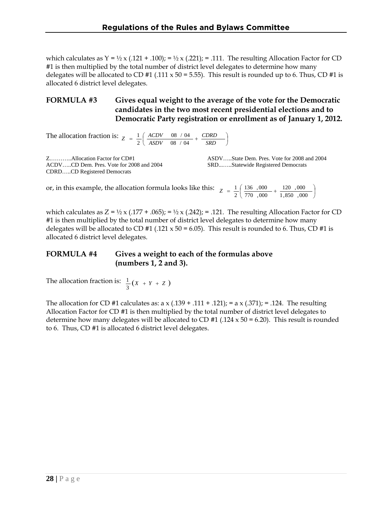which calculates as  $Y = \frac{1}{2} \times (0.121 + 0.100)$ ; =  $\frac{1}{2} \times (0.221)$ ; = .111. The resulting Allocation Factor for CD #1 is then multiplied by the total number of district level delegates to determine how many delegates will be allocated to CD #1 (.111  $\times$  50 = 5.55). This result is rounded up to 6. Thus, CD #1 is allocated 6 district level delegates.

#### **FORMULA #3 Gives equal weight to the average of the vote for the Democratic candidates in the two most recent presidential elections and to Democratic Party registration or enrollment as of January 1, 2012.**

The allocation fraction is:  $Z = \frac{1}{2} \left( \frac{ACDV}{ASDV} \frac{0.08}{0.04} + \frac{CDRD}{SRD} \right)$ *CDRD*  $Z = \frac{1}{2} \left( \begin{array}{cc} ACDV & 08 / 04 \\ ASDV & 08 / 04 \end{array} \right)$ 08 / 04 2 1

ACDV…..CD Dem. Pres. Vote for 2008 and 2004 SRD...…..Statewide Registered Democrats CDRD…..CD Registered Democrats

Z.………..Allocation Factor for CD#1 ASDV…..State Dem. Pres. Vote for 2008 and 2004

or, in this example, the allocation formula looks like this: <sup>⎟</sup> ⎠  $\left(\frac{136}{258 \cdot 0.000} + \frac{120}{1.058 \cdot 0.000}\right)$ ⎝  $=\frac{1}{2}\left(\frac{136}{770},\frac{000}{000}+\frac{120}{1,850},\frac{000}{000}\right)$ 120 ,000 770 ,000 136 ,000  $Z = \frac{1}{2}$ 

which calculates as  $Z = \frac{1}{2} \times (0.177 + 0.065)$ ; =  $\frac{1}{2} \times (0.242)$ ; = .121. The resulting Allocation Factor for CD #1 is then multiplied by the total number of district level delegates to determine how many delegates will be allocated to CD #1 (.121 x 50 = 6.05). This result is rounded to 6. Thus, CD #1 is allocated 6 district level delegates.

#### **FORMULA #4 Gives a weight to each of the formulas above (numbers 1, 2 and 3).**

The allocation fraction is:  $\frac{1}{3}(x + Y + Z)$ 1

The allocation for CD #1 calculates as: a x (.139 + .111 + .121); = a x (.371); = .124. The resulting Allocation Factor for CD #1 is then multiplied by the total number of district level delegates to determine how many delegates will be allocated to CD  $#1$  (.124 x 50 = 6.20). This result is rounded to 6. Thus, CD #1 is allocated 6 district level delegates.